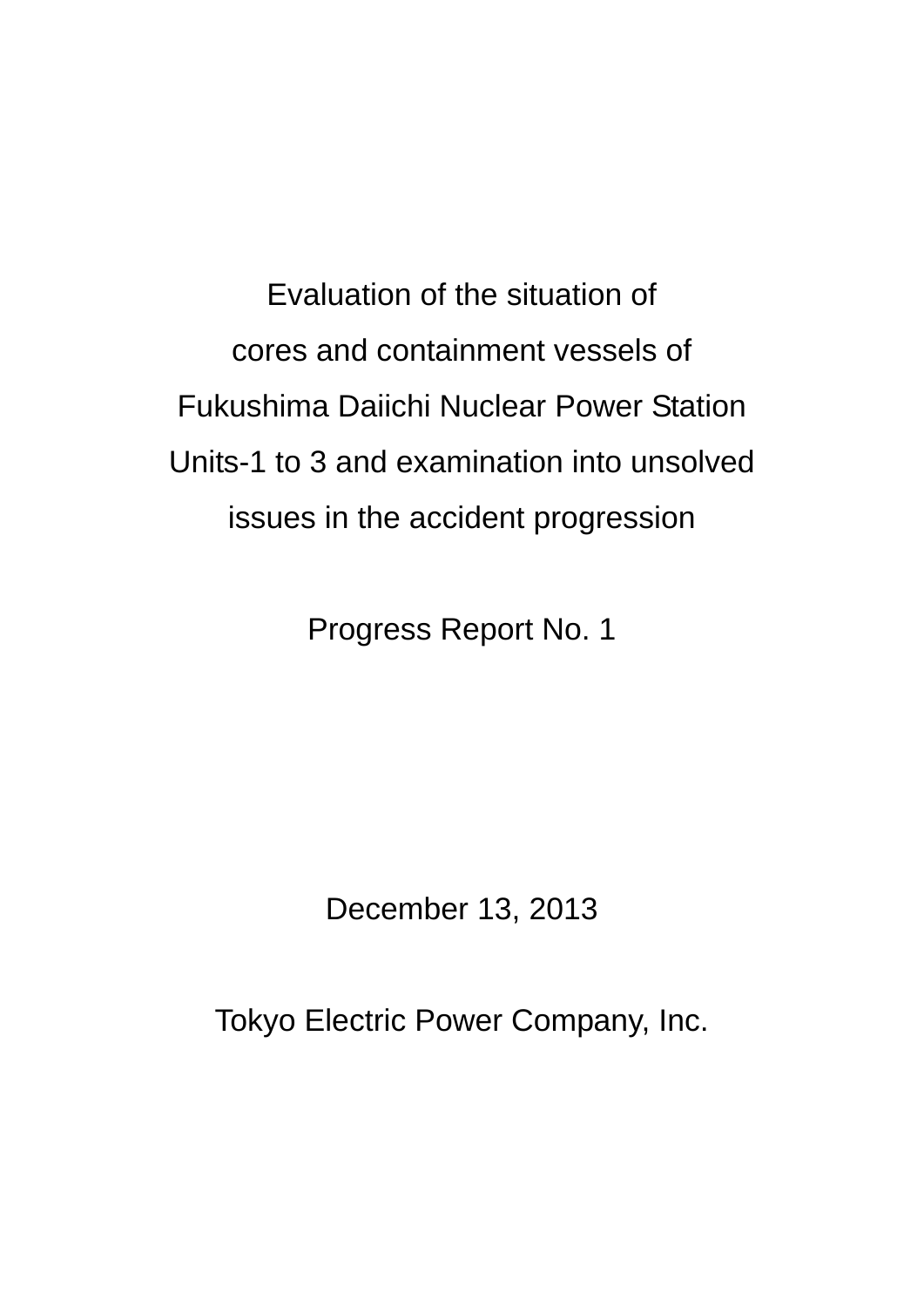Evaluation of the situation of cores and containment vessels of Fukushima Daiichi Nuclear Power Station Units-1 to 3 and examination into unsolved issues in the accident progression

Progress Report No. 1

December 13, 2013

Tokyo Electric Power Company, Inc.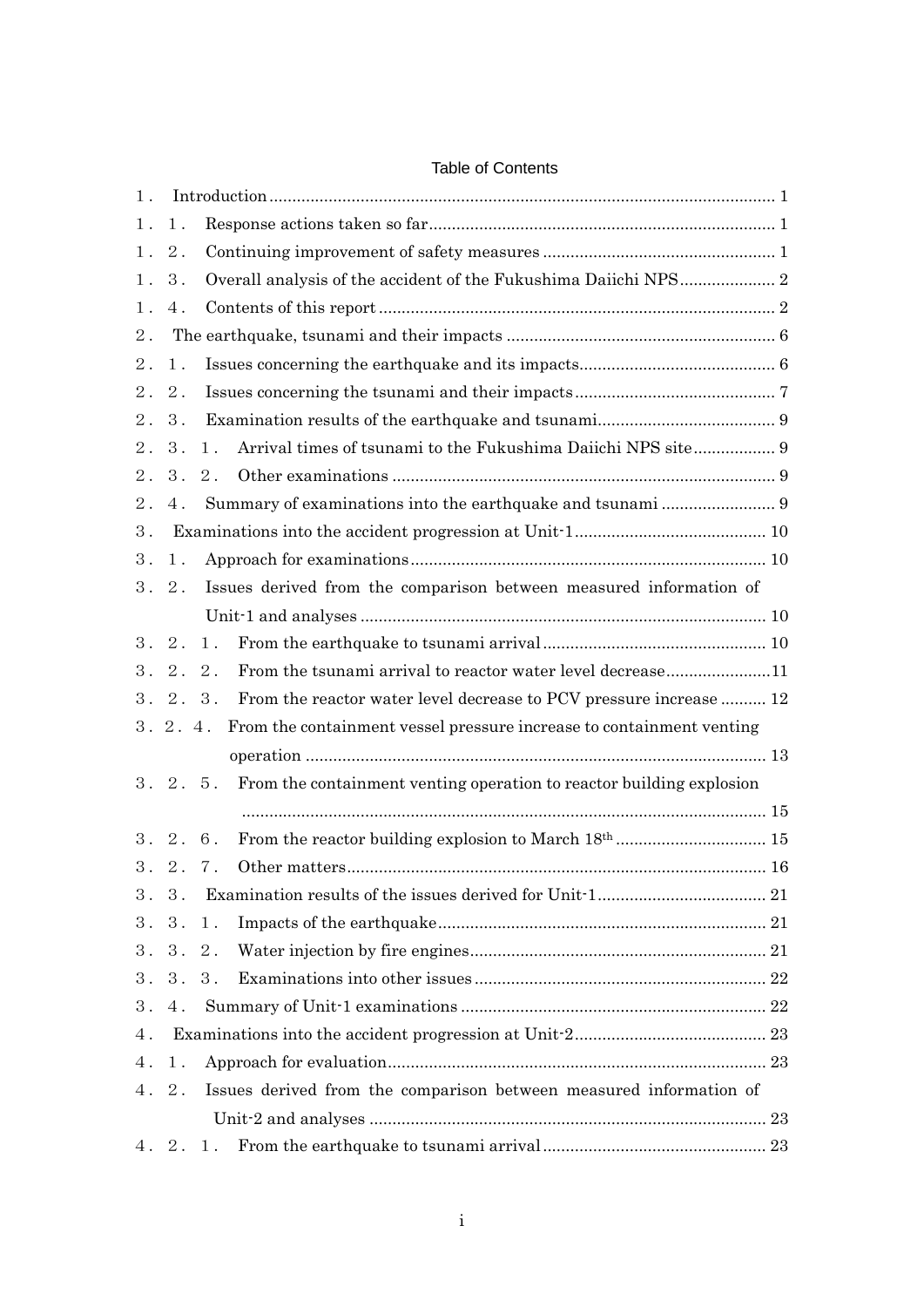| $1$ . |                |                                                                       |  |  |  |  |  |
|-------|----------------|-----------------------------------------------------------------------|--|--|--|--|--|
| $1$ . | $1$ .          |                                                                       |  |  |  |  |  |
|       | 1.2.           |                                                                       |  |  |  |  |  |
|       | 1.3.           |                                                                       |  |  |  |  |  |
| $1$ . | 4.             |                                                                       |  |  |  |  |  |
| 2.    |                |                                                                       |  |  |  |  |  |
| $2$ . | $1$ .          |                                                                       |  |  |  |  |  |
| 2.    | 2.             |                                                                       |  |  |  |  |  |
| 2.    | 3 <sub>1</sub> |                                                                       |  |  |  |  |  |
| 2.    | 3.             | Arrival times of tsunami to the Fukushima Daiichi NPS site 9<br>$1$ . |  |  |  |  |  |
|       | 2.3.           | $2$ .                                                                 |  |  |  |  |  |
| 2.    | 4.             |                                                                       |  |  |  |  |  |
| 3.    |                |                                                                       |  |  |  |  |  |
| 3.    | $1$ .          |                                                                       |  |  |  |  |  |
|       | 3.2.           | Issues derived from the comparison between measured information of    |  |  |  |  |  |
|       |                |                                                                       |  |  |  |  |  |
|       | 3.2.           | 1.                                                                    |  |  |  |  |  |
|       | 3.2.2.         | From the tsunami arrival to reactor water level decrease11            |  |  |  |  |  |
|       | 3.2.3.         | From the reactor water level decrease to PCV pressure increase  12    |  |  |  |  |  |
|       | 3.2.4.         | From the containment vessel pressure increase to containment venting  |  |  |  |  |  |
|       |                |                                                                       |  |  |  |  |  |
|       | 3.2.5.         | From the containment venting operation to reactor building explosion  |  |  |  |  |  |
|       |                |                                                                       |  |  |  |  |  |
|       | 3.2.6.         |                                                                       |  |  |  |  |  |
|       | 3.2.7.         |                                                                       |  |  |  |  |  |
|       | 3.3.           |                                                                       |  |  |  |  |  |
|       | 3.3.1.         |                                                                       |  |  |  |  |  |
|       | 3.3.2.         |                                                                       |  |  |  |  |  |
|       | 3.3.3.         |                                                                       |  |  |  |  |  |
|       | 3.4.           |                                                                       |  |  |  |  |  |
| 4.    |                |                                                                       |  |  |  |  |  |
|       | 4.1.           |                                                                       |  |  |  |  |  |
|       | 4.2.           | Issues derived from the comparison between measured information of    |  |  |  |  |  |
|       |                |                                                                       |  |  |  |  |  |
|       |                | 4.2.1.                                                                |  |  |  |  |  |

# Table of Contents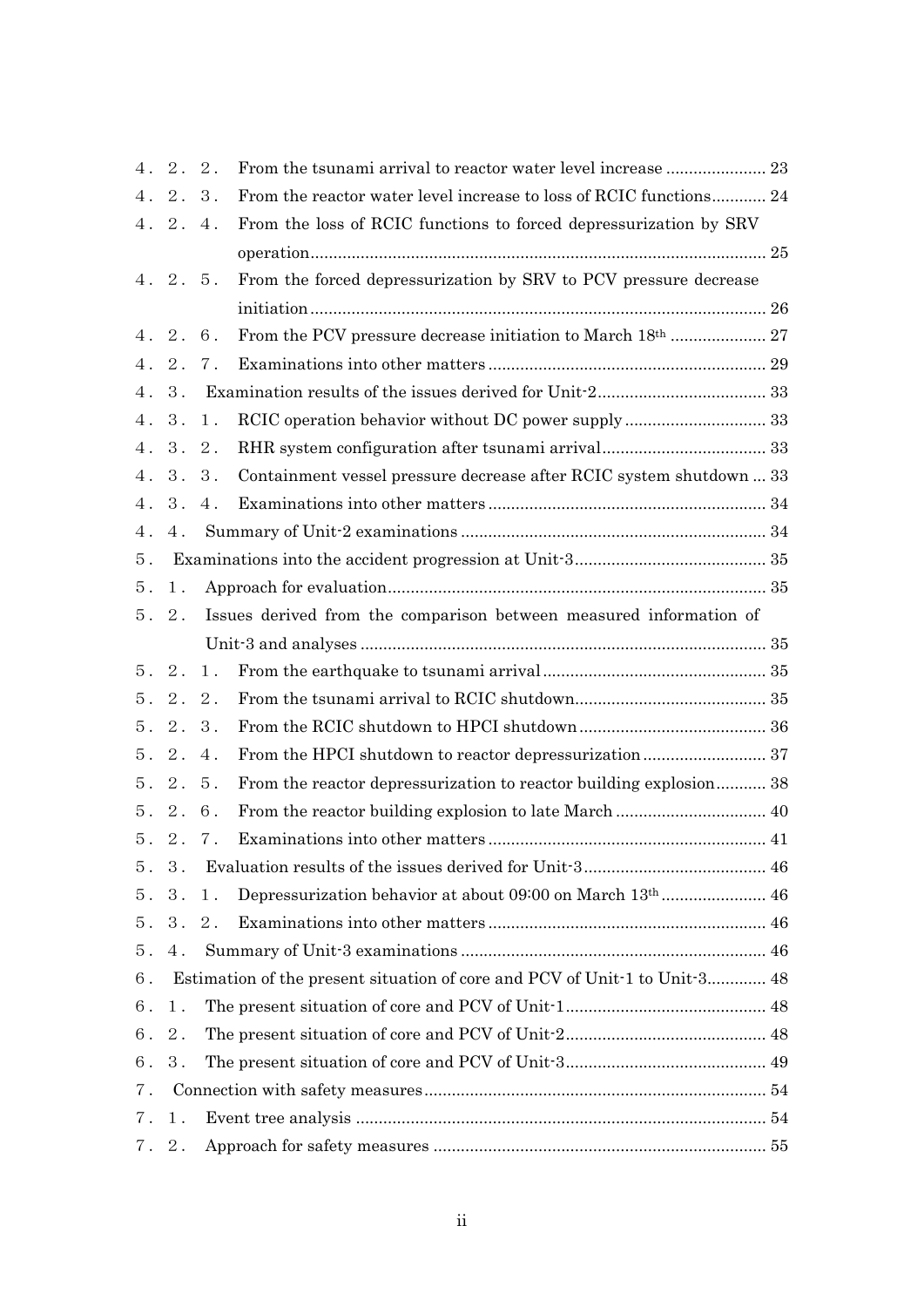|       | 4.2.2. |        |                                                                            |  |
|-------|--------|--------|----------------------------------------------------------------------------|--|
|       | 4.2.3. |        | From the reactor water level increase to loss of RCIC functions 24         |  |
|       | 4.2.4. |        | From the loss of RCIC functions to forced depressurization by SRV          |  |
|       |        |        |                                                                            |  |
|       | 4.2.5. |        | From the forced depressurization by SRV to PCV pressure decrease           |  |
|       |        |        |                                                                            |  |
|       | 4.2.6. |        |                                                                            |  |
|       | 4.2.   | $7$ .  |                                                                            |  |
|       | 4.3.   |        |                                                                            |  |
|       | 4. 3.  | $1$ .  |                                                                            |  |
|       |        | 4.3.2. |                                                                            |  |
|       |        | 4.3.3. | Containment vessel pressure decrease after RCIC system shutdown  33        |  |
|       | 4.3.   | 4.     |                                                                            |  |
| 4.    | 4.     |        |                                                                            |  |
| 5.    |        |        |                                                                            |  |
| 5.    | 1.     |        |                                                                            |  |
|       | 5.2.   |        | Issues derived from the comparison between measured information of         |  |
|       |        |        |                                                                            |  |
|       | 5.2.   | $1$ .  |                                                                            |  |
|       | 5.2.2. |        |                                                                            |  |
|       | 5.2.3. |        |                                                                            |  |
|       | 5.2.4. |        |                                                                            |  |
|       | 5.2.5. |        | From the reactor depressurization to reactor building explosion 38         |  |
|       | 5.2.6. |        |                                                                            |  |
|       |        | 5.2.7. |                                                                            |  |
|       | 5.3.   |        |                                                                            |  |
|       | 5.3.   | $1$ .  |                                                                            |  |
|       |        | 5.3.2. |                                                                            |  |
| 5.    | $4$ .  |        |                                                                            |  |
| 6.    |        |        | Estimation of the present situation of core and PCV of Unit-1 to Unit-3 48 |  |
| 6.    | $1$ .  |        |                                                                            |  |
|       | 6.2.   |        |                                                                            |  |
| 6.3.  |        |        |                                                                            |  |
| $7$ . |        |        |                                                                            |  |
| 7.    | $1$ .  |        |                                                                            |  |
|       | 7.2.   |        |                                                                            |  |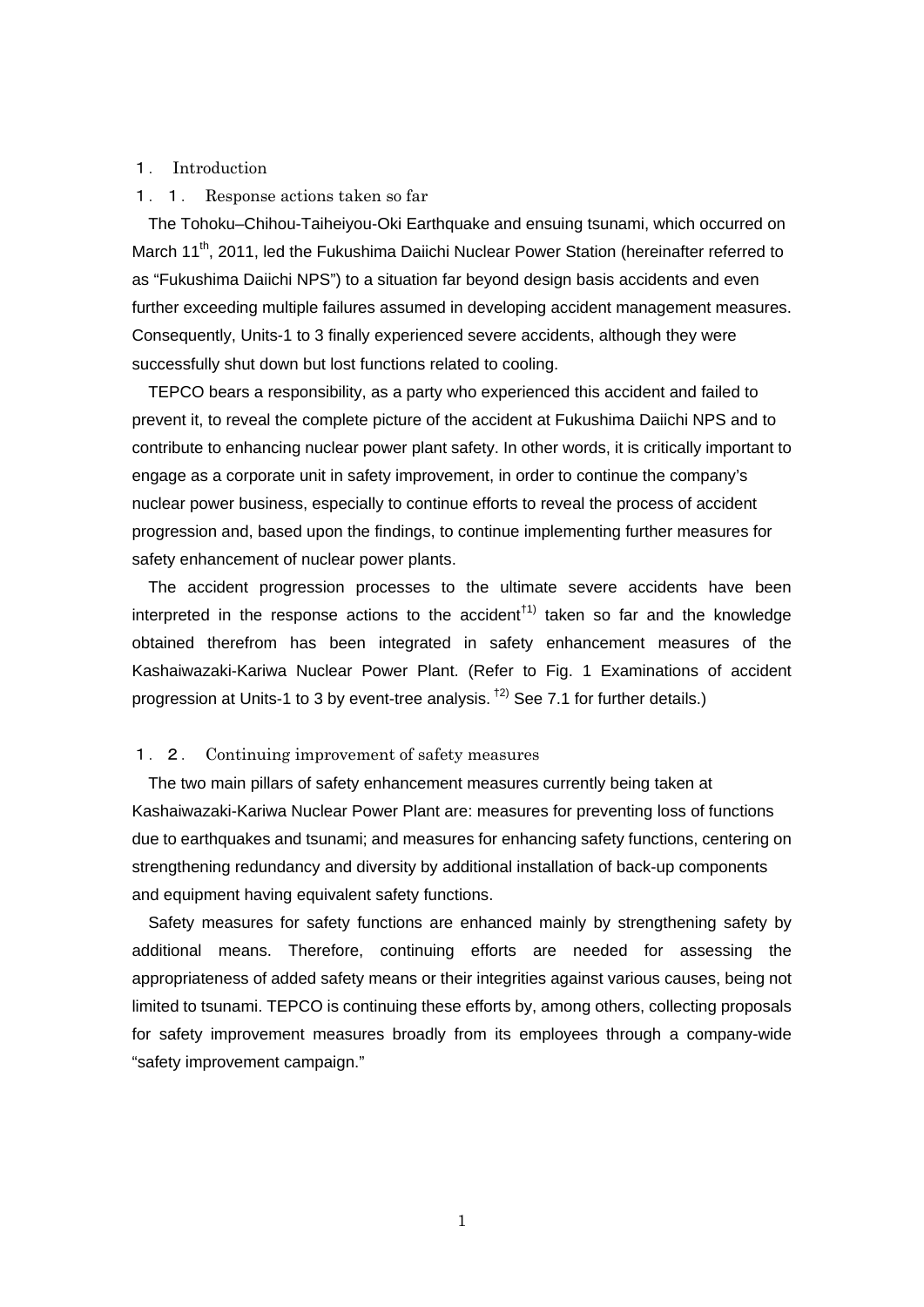## 1. Introduction

### 1.1. Response actions taken so far

The Tohoku–Chihou-Taiheiyou-Oki Earthquake and ensuing tsunami, which occurred on March 11<sup>th</sup>, 2011, led the Fukushima Daiichi Nuclear Power Station (hereinafter referred to as "Fukushima Daiichi NPS") to a situation far beyond design basis accidents and even further exceeding multiple failures assumed in developing accident management measures. Consequently, Units-1 to 3 finally experienced severe accidents, although they were successfully shut down but lost functions related to cooling.

TEPCO bears a responsibility, as a party who experienced this accident and failed to prevent it, to reveal the complete picture of the accident at Fukushima Daiichi NPS and to contribute to enhancing nuclear power plant safety. In other words, it is critically important to engage as a corporate unit in safety improvement, in order to continue the company's nuclear power business, especially to continue efforts to reveal the process of accident progression and, based upon the findings, to continue implementing further measures for safety enhancement of nuclear power plants.

The accident progression processes to the ultimate severe accidents have been interpreted in the response actions to the accident<sup> $t$ 1</sup> taken so far and the knowledge obtained therefrom has been integrated in safety enhancement measures of the Kashaiwazaki-Kariwa Nuclear Power Plant. (Refer to Fig. 1 Examinations of accident progression at Units-1 to 3 by event-tree analysis.  $\frac{1}{2}$  See 7.1 for further details.)

## 1.2. Continuing improvement of safety measures

The two main pillars of safety enhancement measures currently being taken at Kashaiwazaki-Kariwa Nuclear Power Plant are: measures for preventing loss of functions due to earthquakes and tsunami; and measures for enhancing safety functions, centering on strengthening redundancy and diversity by additional installation of back-up components and equipment having equivalent safety functions.

Safety measures for safety functions are enhanced mainly by strengthening safety by additional means. Therefore, continuing efforts are needed for assessing the appropriateness of added safety means or their integrities against various causes, being not limited to tsunami. TEPCO is continuing these efforts by, among others, collecting proposals for safety improvement measures broadly from its employees through a company-wide "safety improvement campaign."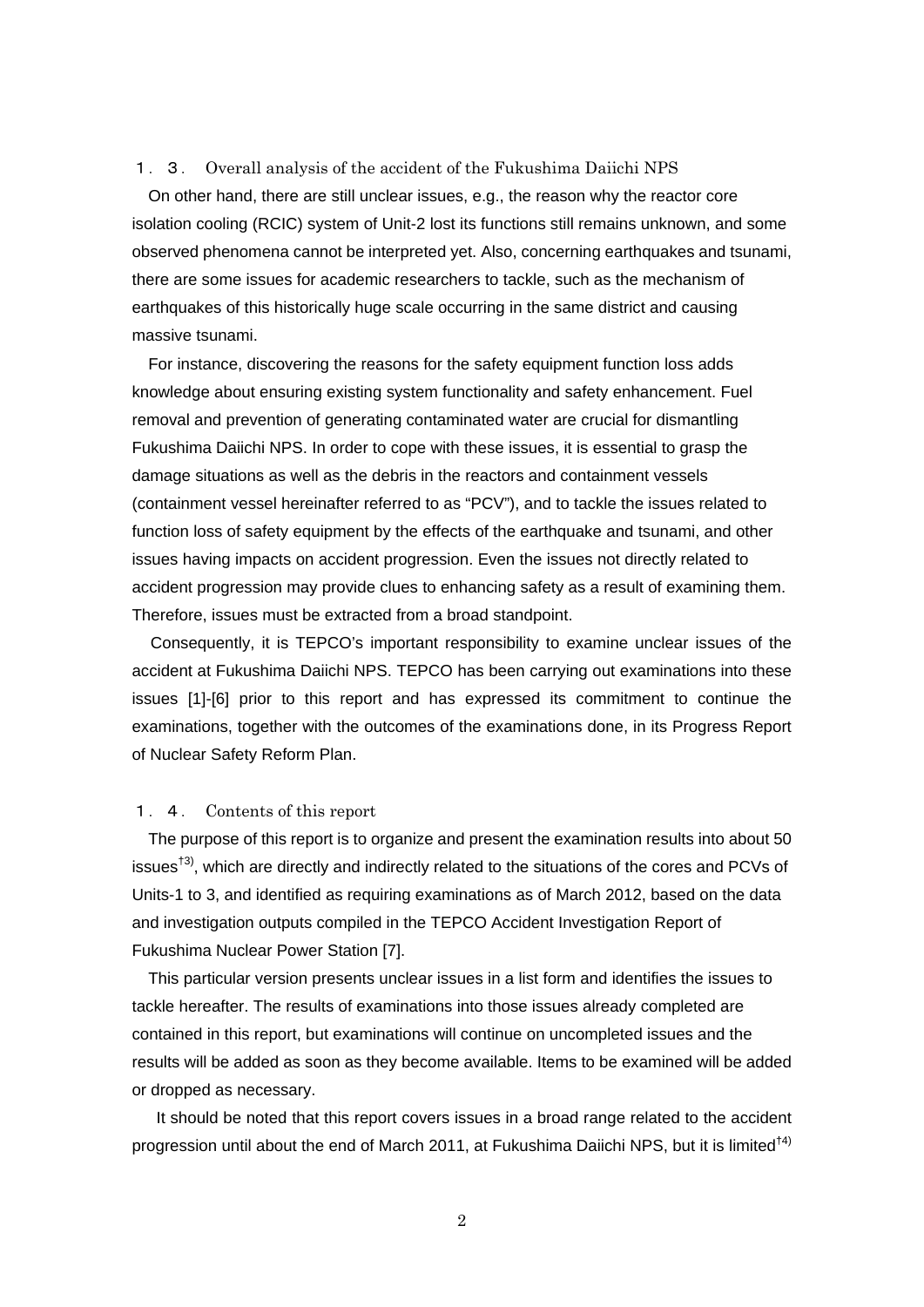#### 1.3. Overall analysis of the accident of the Fukushima Daiichi NPS

On other hand, there are still unclear issues, e.g., the reason why the reactor core isolation cooling (RCIC) system of Unit-2 lost its functions still remains unknown, and some observed phenomena cannot be interpreted yet. Also, concerning earthquakes and tsunami, there are some issues for academic researchers to tackle, such as the mechanism of earthquakes of this historically huge scale occurring in the same district and causing massive tsunami.

For instance, discovering the reasons for the safety equipment function loss adds knowledge about ensuring existing system functionality and safety enhancement. Fuel removal and prevention of generating contaminated water are crucial for dismantling Fukushima Daiichi NPS. In order to cope with these issues, it is essential to grasp the damage situations as well as the debris in the reactors and containment vessels (containment vessel hereinafter referred to as "PCV"), and to tackle the issues related to function loss of safety equipment by the effects of the earthquake and tsunami, and other issues having impacts on accident progression. Even the issues not directly related to accident progression may provide clues to enhancing safety as a result of examining them. Therefore, issues must be extracted from a broad standpoint.

Consequently, it is TEPCO's important responsibility to examine unclear issues of the accident at Fukushima Daiichi NPS. TEPCO has been carrying out examinations into these issues [1]-[6] prior to this report and has expressed its commitment to continue the examinations, together with the outcomes of the examinations done, in its Progress Report of Nuclear Safety Reform Plan.

#### 1.4. Contents of this report

The purpose of this report is to organize and present the examination results into about 50 issues<sup>†3)</sup>, which are directly and indirectly related to the situations of the cores and PCVs of Units-1 to 3, and identified as requiring examinations as of March 2012, based on the data and investigation outputs compiled in the TEPCO Accident Investigation Report of Fukushima Nuclear Power Station [7].

This particular version presents unclear issues in a list form and identifies the issues to tackle hereafter. The results of examinations into those issues already completed are contained in this report, but examinations will continue on uncompleted issues and the results will be added as soon as they become available. Items to be examined will be added or dropped as necessary.

It should be noted that this report covers issues in a broad range related to the accident progression until about the end of March 2011, at Fukushima Daiichi NPS, but it is limited<sup>†4)</sup>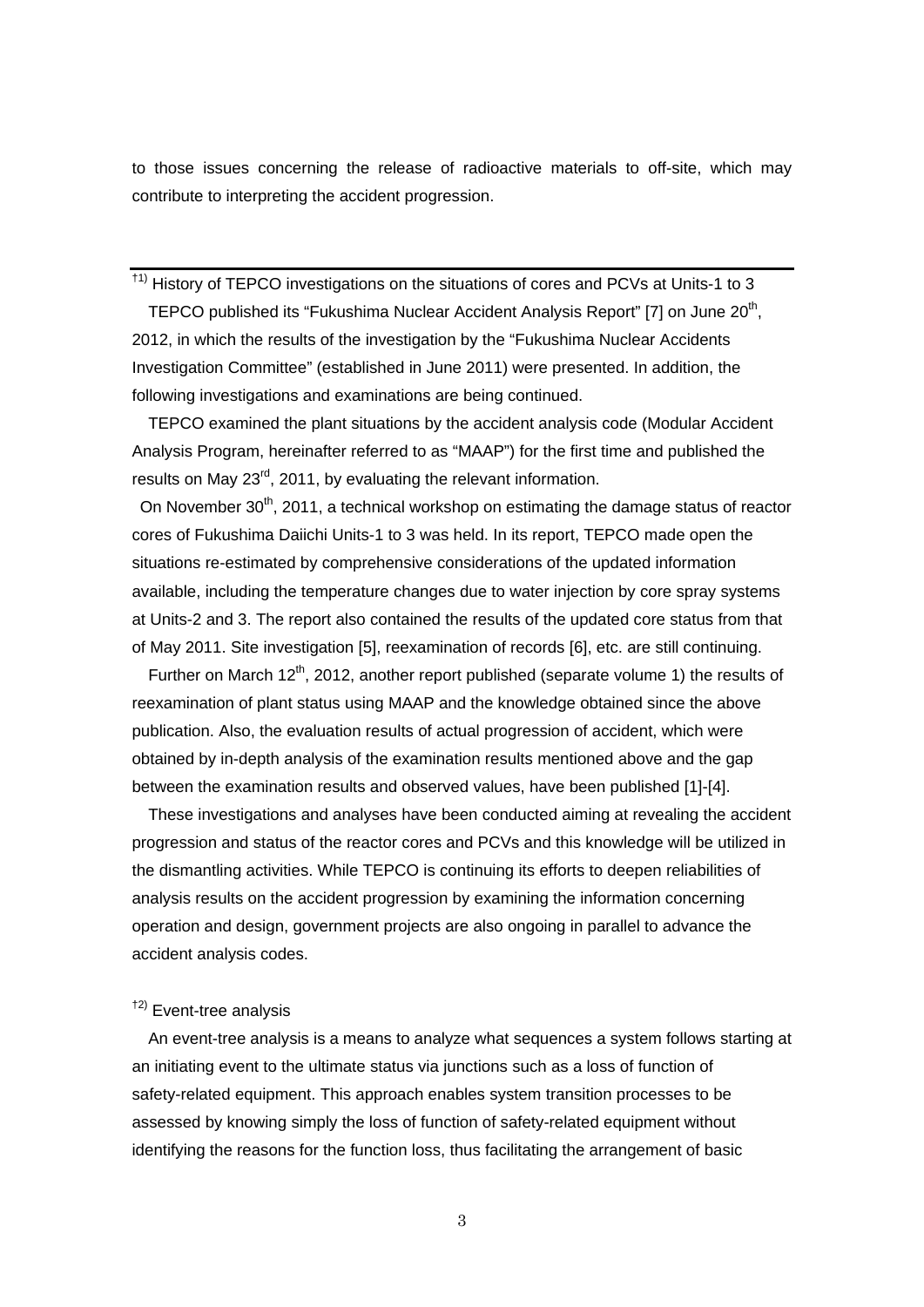to those issues concerning the release of radioactive materials to off-site, which may contribute to interpreting the accident progression.

 $<sup>†1)</sup>$  History of TEPCO investigations on the situations of cores and PCVs at Units-1 to 3</sup>

TEPCO published its "Fukushima Nuclear Accident Analysis Report" [7] on June 20<sup>th</sup>, 2012, in which the results of the investigation by the "Fukushima Nuclear Accidents Investigation Committee" (established in June 2011) were presented. In addition, the following investigations and examinations are being continued.

TEPCO examined the plant situations by the accident analysis code (Modular Accident Analysis Program, hereinafter referred to as "MAAP") for the first time and published the results on May 23<sup>rd</sup>, 2011, by evaluating the relevant information.

On November 30<sup>th</sup>, 2011, a technical workshop on estimating the damage status of reactor cores of Fukushima Daiichi Units-1 to 3 was held. In its report, TEPCO made open the situations re-estimated by comprehensive considerations of the updated information available, including the temperature changes due to water injection by core spray systems at Units-2 and 3. The report also contained the results of the updated core status from that of May 2011. Site investigation [5], reexamination of records [6], etc. are still continuing.

Further on March 12<sup>th</sup>, 2012, another report published (separate volume 1) the results of reexamination of plant status using MAAP and the knowledge obtained since the above publication. Also, the evaluation results of actual progression of accident, which were obtained by in-depth analysis of the examination results mentioned above and the gap between the examination results and observed values, have been published [1]-[4].

These investigations and analyses have been conducted aiming at revealing the accident progression and status of the reactor cores and PCVs and this knowledge will be utilized in the dismantling activities. While TEPCO is continuing its efforts to deepen reliabilities of analysis results on the accident progression by examining the information concerning operation and design, government projects are also ongoing in parallel to advance the accident analysis codes.

# †2) Event-tree analysis

An event-tree analysis is a means to analyze what sequences a system follows starting at an initiating event to the ultimate status via junctions such as a loss of function of safety-related equipment. This approach enables system transition processes to be assessed by knowing simply the loss of function of safety-related equipment without identifying the reasons for the function loss, thus facilitating the arrangement of basic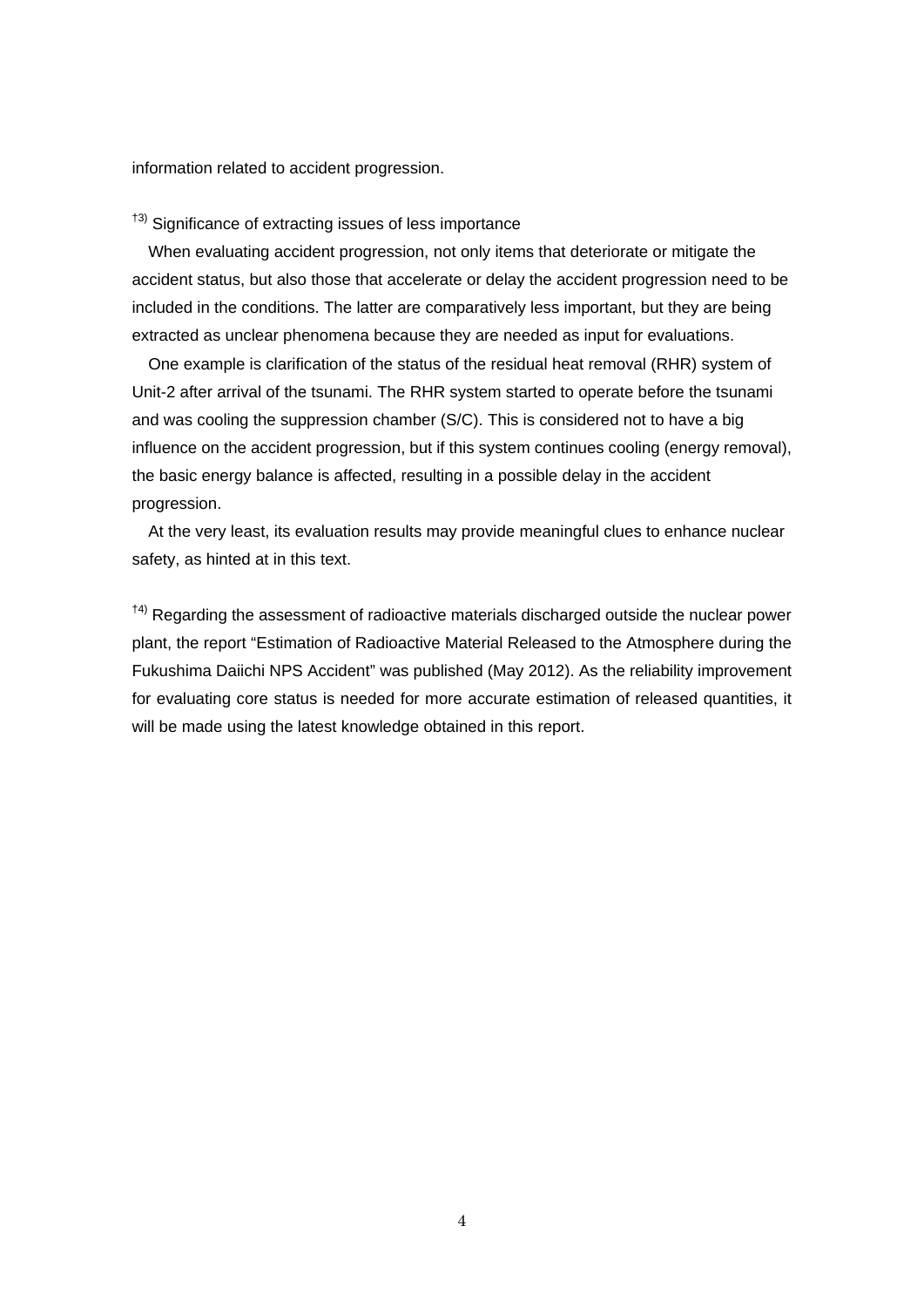information related to accident progression.

<sup>†3)</sup> Significance of extracting issues of less importance

When evaluating accident progression, not only items that deteriorate or mitigate the accident status, but also those that accelerate or delay the accident progression need to be included in the conditions. The latter are comparatively less important, but they are being extracted as unclear phenomena because they are needed as input for evaluations.

One example is clarification of the status of the residual heat removal (RHR) system of Unit-2 after arrival of the tsunami. The RHR system started to operate before the tsunami and was cooling the suppression chamber (S/C). This is considered not to have a big influence on the accident progression, but if this system continues cooling (energy removal), the basic energy balance is affected, resulting in a possible delay in the accident progression.

At the very least, its evaluation results may provide meaningful clues to enhance nuclear safety, as hinted at in this text.

<sup>†4)</sup> Regarding the assessment of radioactive materials discharged outside the nuclear power plant, the report "Estimation of Radioactive Material Released to the Atmosphere during the Fukushima Daiichi NPS Accident" was published (May 2012). As the reliability improvement for evaluating core status is needed for more accurate estimation of released quantities, it will be made using the latest knowledge obtained in this report.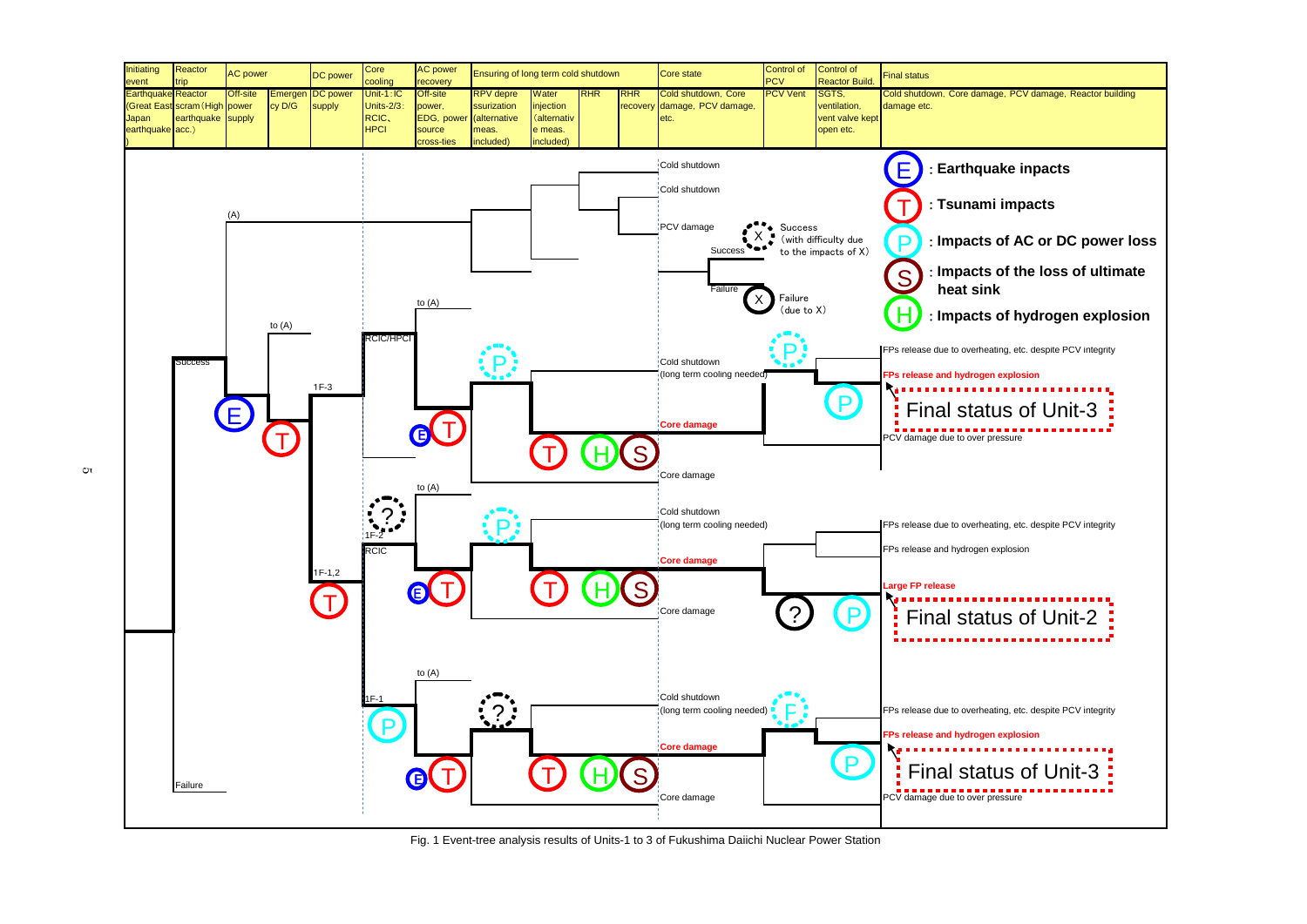Cold shutdown, Core damage, PCV damage, Reactor building FPs release due to overheating, etc. despite PCV integrity : **Earthquake inpacts** : **Tsunami impacts** : **Impacts of AC or DC power loss** : **Impacts of the loss of ultimate** : **Impacts of hydrogen explosion** Final status of Unit-3 Final status of Unit-2 Final status of Unit-3



Fig. 1 Event-tree analysis results of Units-1 to 3 of Fukushima Daiichi Nuclear Power Station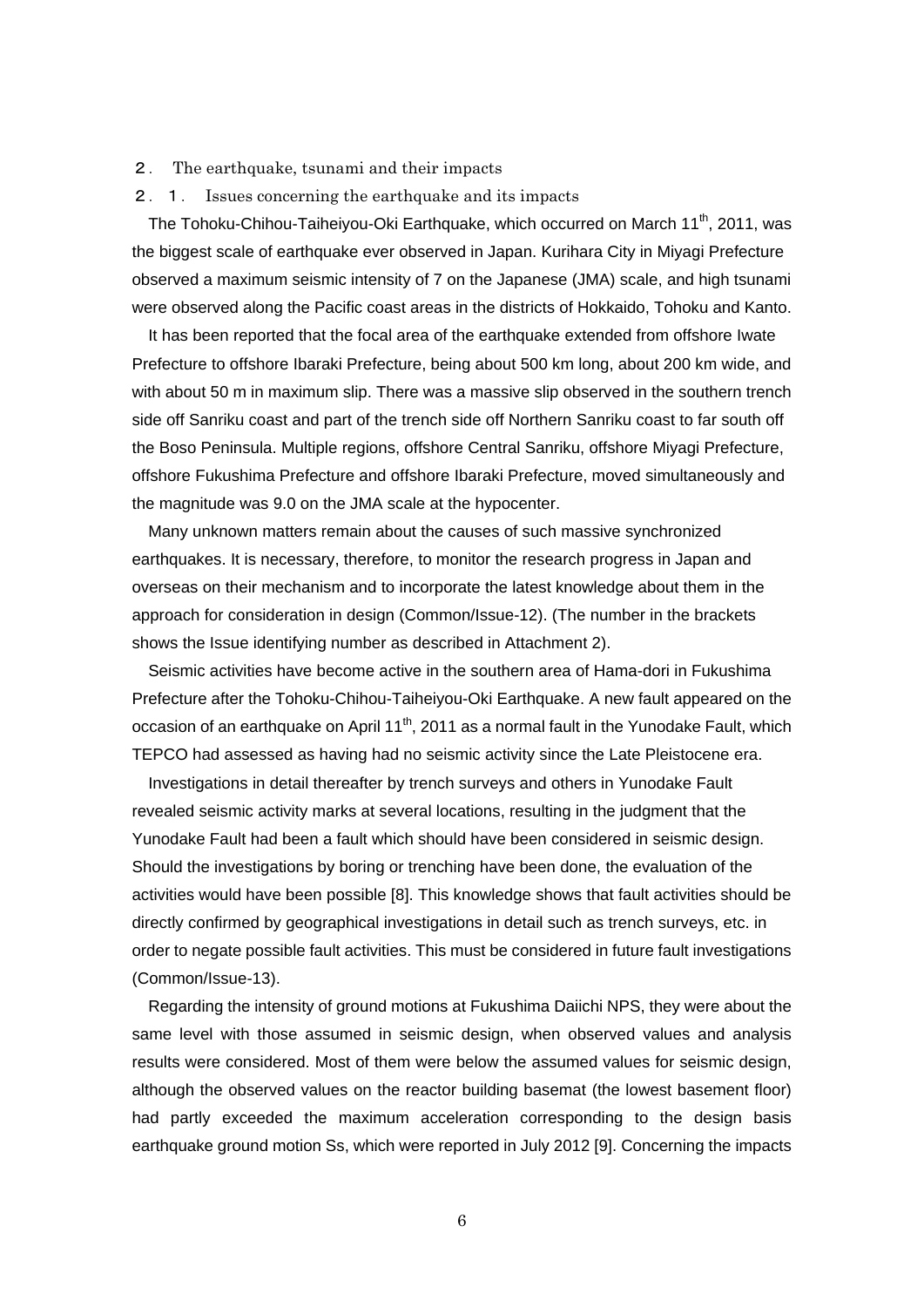- 2. The earthquake, tsunami and their impacts
- 2.1. Issues concerning the earthquake and its impacts

The Tohoku-Chihou-Taiheiyou-Oki Earthquake, which occurred on March 11<sup>th</sup>, 2011, was the biggest scale of earthquake ever observed in Japan. Kurihara City in Miyagi Prefecture observed a maximum seismic intensity of 7 on the Japanese (JMA) scale, and high tsunami were observed along the Pacific coast areas in the districts of Hokkaido, Tohoku and Kanto.

It has been reported that the focal area of the earthquake extended from offshore Iwate Prefecture to offshore Ibaraki Prefecture, being about 500 km long, about 200 km wide, and with about 50 m in maximum slip. There was a massive slip observed in the southern trench side off Sanriku coast and part of the trench side off Northern Sanriku coast to far south off the Boso Peninsula. Multiple regions, offshore Central Sanriku, offshore Miyagi Prefecture, offshore Fukushima Prefecture and offshore Ibaraki Prefecture, moved simultaneously and the magnitude was 9.0 on the JMA scale at the hypocenter.

Many unknown matters remain about the causes of such massive synchronized earthquakes. It is necessary, therefore, to monitor the research progress in Japan and overseas on their mechanism and to incorporate the latest knowledge about them in the approach for consideration in design (Common/Issue-12). (The number in the brackets shows the Issue identifying number as described in Attachment 2).

Seismic activities have become active in the southern area of Hama-dori in Fukushima Prefecture after the Tohoku-Chihou-Taiheiyou-Oki Earthquake. A new fault appeared on the occasion of an earthquake on April  $11<sup>th</sup>$ , 2011 as a normal fault in the Yunodake Fault, which TEPCO had assessed as having had no seismic activity since the Late Pleistocene era.

Investigations in detail thereafter by trench surveys and others in Yunodake Fault revealed seismic activity marks at several locations, resulting in the judgment that the Yunodake Fault had been a fault which should have been considered in seismic design. Should the investigations by boring or trenching have been done, the evaluation of the activities would have been possible [8]. This knowledge shows that fault activities should be directly confirmed by geographical investigations in detail such as trench surveys, etc. in order to negate possible fault activities. This must be considered in future fault investigations (Common/Issue-13).

Regarding the intensity of ground motions at Fukushima Daiichi NPS, they were about the same level with those assumed in seismic design, when observed values and analysis results were considered. Most of them were below the assumed values for seismic design, although the observed values on the reactor building basemat (the lowest basement floor) had partly exceeded the maximum acceleration corresponding to the design basis earthquake ground motion Ss, which were reported in July 2012 [9]. Concerning the impacts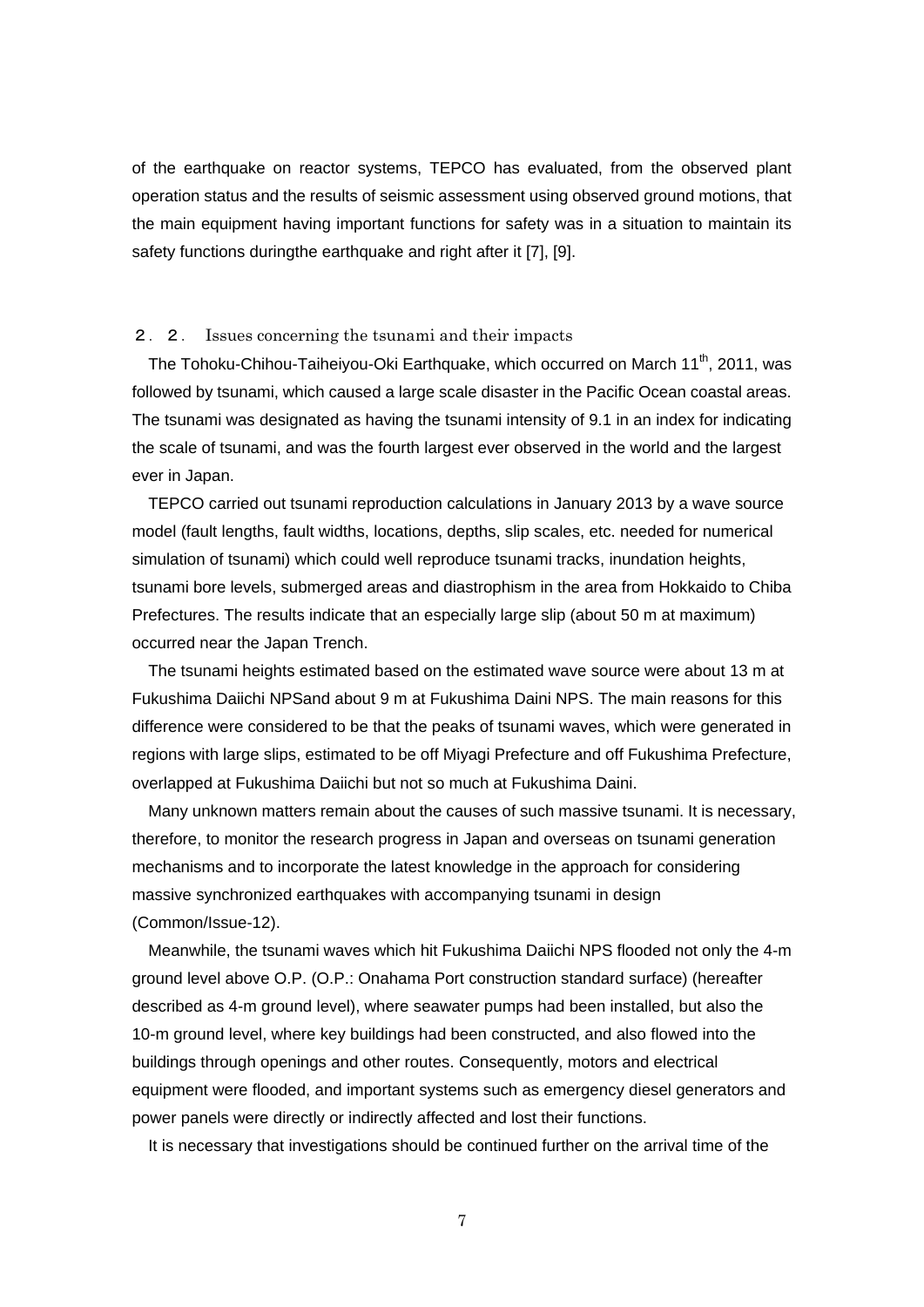of the earthquake on reactor systems, TEPCO has evaluated, from the observed plant operation status and the results of seismic assessment using observed ground motions, that the main equipment having important functions for safety was in a situation to maintain its safety functions duringthe earthquake and right after it [7], [9].

### 2.2. Issues concerning the tsunami and their impacts

The Tohoku-Chihou-Taiheiyou-Oki Earthquake, which occurred on March 11<sup>th</sup>, 2011, was followed by tsunami, which caused a large scale disaster in the Pacific Ocean coastal areas. The tsunami was designated as having the tsunami intensity of 9.1 in an index for indicating the scale of tsunami, and was the fourth largest ever observed in the world and the largest ever in Japan.

TEPCO carried out tsunami reproduction calculations in January 2013 by a wave source model (fault lengths, fault widths, locations, depths, slip scales, etc. needed for numerical simulation of tsunami) which could well reproduce tsunami tracks, inundation heights, tsunami bore levels, submerged areas and diastrophism in the area from Hokkaido to Chiba Prefectures. The results indicate that an especially large slip (about 50 m at maximum) occurred near the Japan Trench.

The tsunami heights estimated based on the estimated wave source were about 13 m at Fukushima Daiichi NPSand about 9 m at Fukushima Daini NPS. The main reasons for this difference were considered to be that the peaks of tsunami waves, which were generated in regions with large slips, estimated to be off Miyagi Prefecture and off Fukushima Prefecture, overlapped at Fukushima Daiichi but not so much at Fukushima Daini.

Many unknown matters remain about the causes of such massive tsunami. It is necessary, therefore, to monitor the research progress in Japan and overseas on tsunami generation mechanisms and to incorporate the latest knowledge in the approach for considering massive synchronized earthquakes with accompanying tsunami in design (Common/Issue-12).

Meanwhile, the tsunami waves which hit Fukushima Daiichi NPS flooded not only the 4-m ground level above O.P. (O.P.: Onahama Port construction standard surface) (hereafter described as 4-m ground level), where seawater pumps had been installed, but also the 10-m ground level, where key buildings had been constructed, and also flowed into the buildings through openings and other routes. Consequently, motors and electrical equipment were flooded, and important systems such as emergency diesel generators and power panels were directly or indirectly affected and lost their functions.

It is necessary that investigations should be continued further on the arrival time of the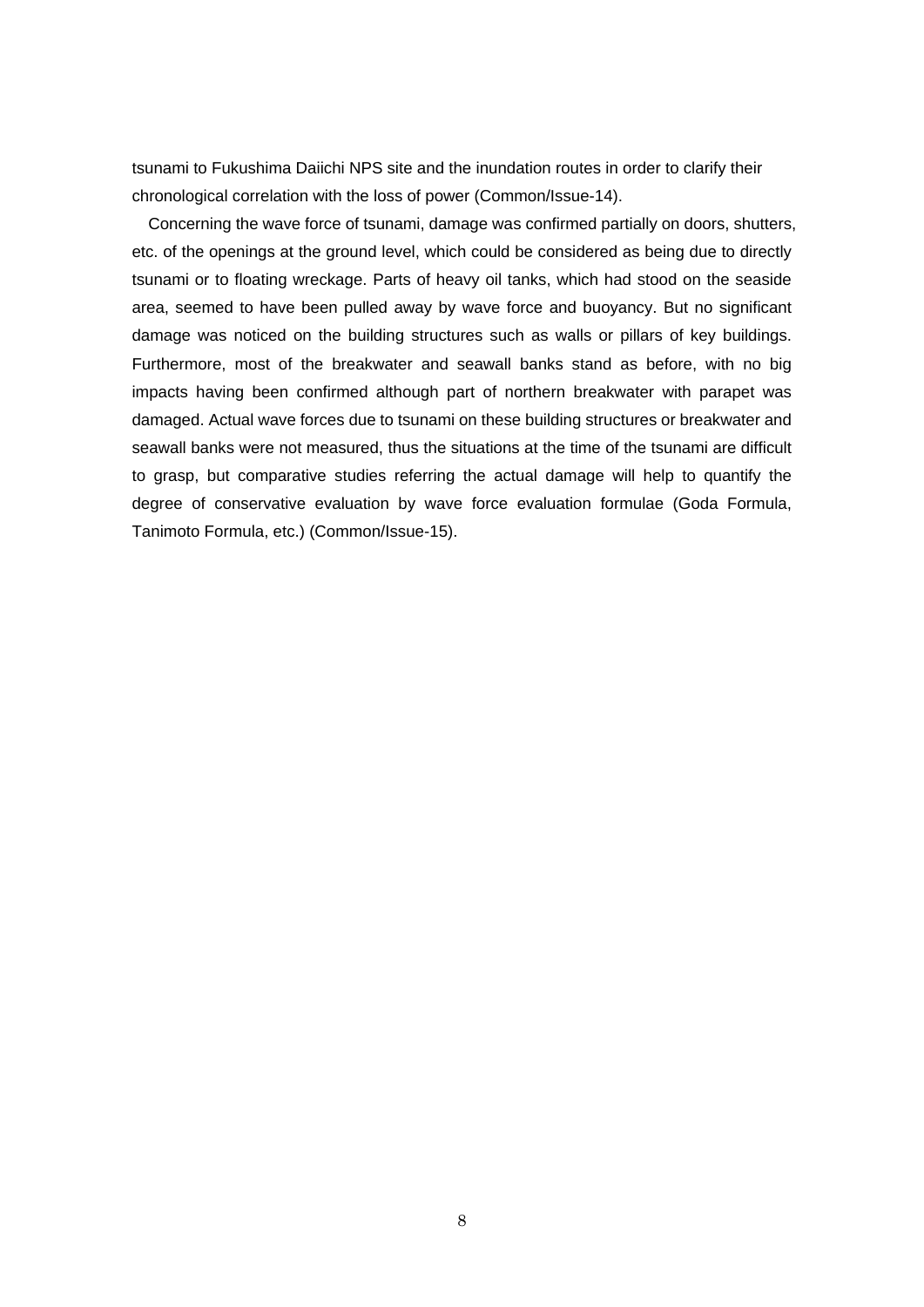tsunami to Fukushima Daiichi NPS site and the inundation routes in order to clarify their chronological correlation with the loss of power (Common/Issue-14).

Concerning the wave force of tsunami, damage was confirmed partially on doors, shutters, etc. of the openings at the ground level, which could be considered as being due to directly tsunami or to floating wreckage. Parts of heavy oil tanks, which had stood on the seaside area, seemed to have been pulled away by wave force and buoyancy. But no significant damage was noticed on the building structures such as walls or pillars of key buildings. Furthermore, most of the breakwater and seawall banks stand as before, with no big impacts having been confirmed although part of northern breakwater with parapet was damaged. Actual wave forces due to tsunami on these building structures or breakwater and seawall banks were not measured, thus the situations at the time of the tsunami are difficult to grasp, but comparative studies referring the actual damage will help to quantify the degree of conservative evaluation by wave force evaluation formulae (Goda Formula, Tanimoto Formula, etc.) (Common/Issue-15).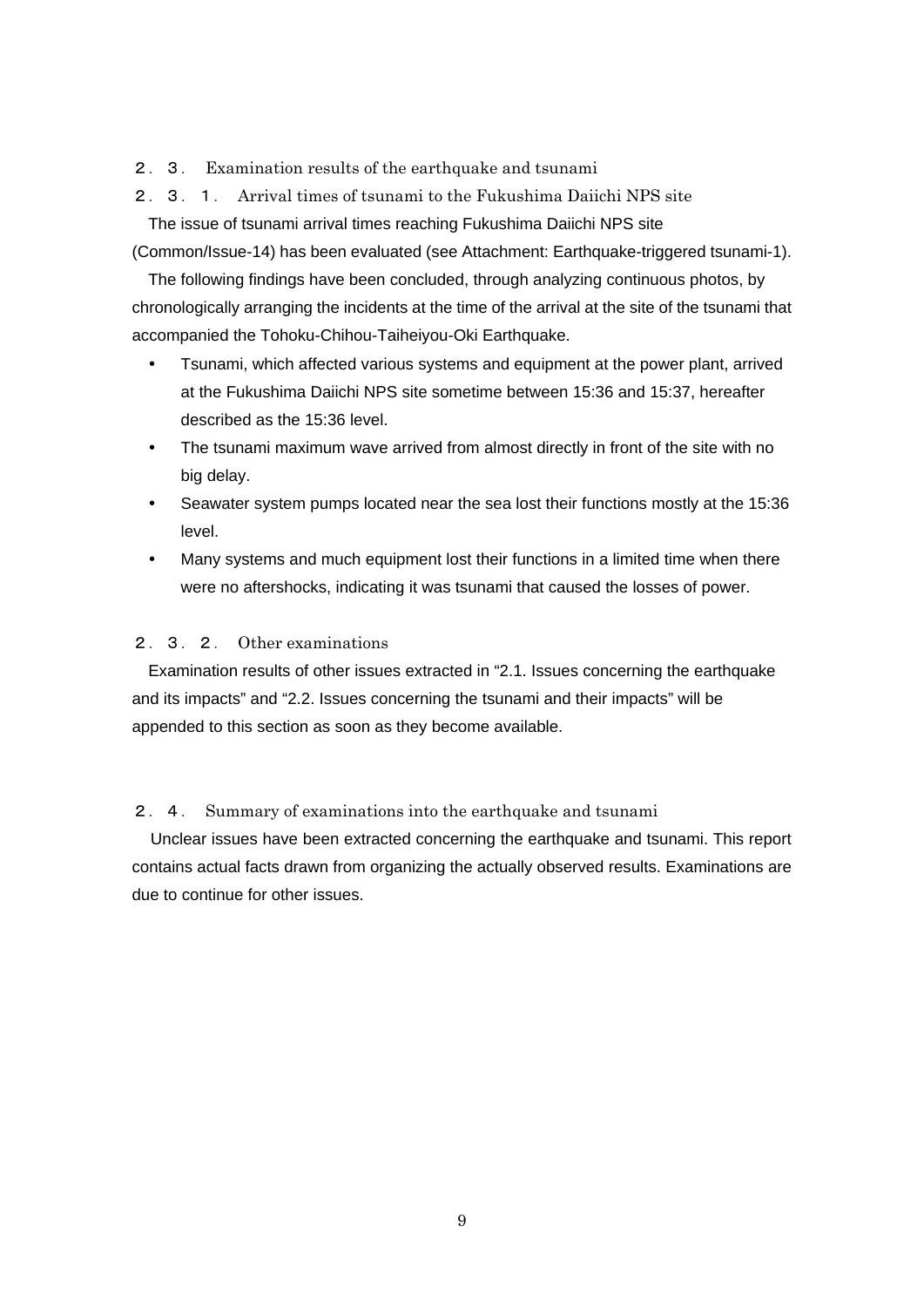- 2. 3. Examination results of the earthquake and tsunami
- 2.3.1. Arrival times of tsunami to the Fukushima Daiichi NPS site

The issue of tsunami arrival times reaching Fukushima Daiichi NPS site (Common/Issue-14) has been evaluated (see Attachment: Earthquake-triggered tsunami-1).

The following findings have been concluded, through analyzing continuous photos, by chronologically arranging the incidents at the time of the arrival at the site of the tsunami that accompanied the Tohoku-Chihou-Taiheiyou-Oki Earthquake.

- Tsunami, which affected various systems and equipment at the power plant, arrived at the Fukushima Daiichi NPS site sometime between 15:36 and 15:37, hereafter described as the 15:36 level.
- The tsunami maximum wave arrived from almost directly in front of the site with no big delay.
- Seawater system pumps located near the sea lost their functions mostly at the 15:36 level.
- Many systems and much equipment lost their functions in a limited time when there were no aftershocks, indicating it was tsunami that caused the losses of power.

# 2.3.2. Other examinations

Examination results of other issues extracted in "2.1. Issues concerning the earthquake and its impacts" and "2.2. Issues concerning the tsunami and their impacts" will be appended to this section as soon as they become available.

## 2.4. Summary of examinations into the earthquake and tsunami

Unclear issues have been extracted concerning the earthquake and tsunami. This report contains actual facts drawn from organizing the actually observed results. Examinations are due to continue for other issues.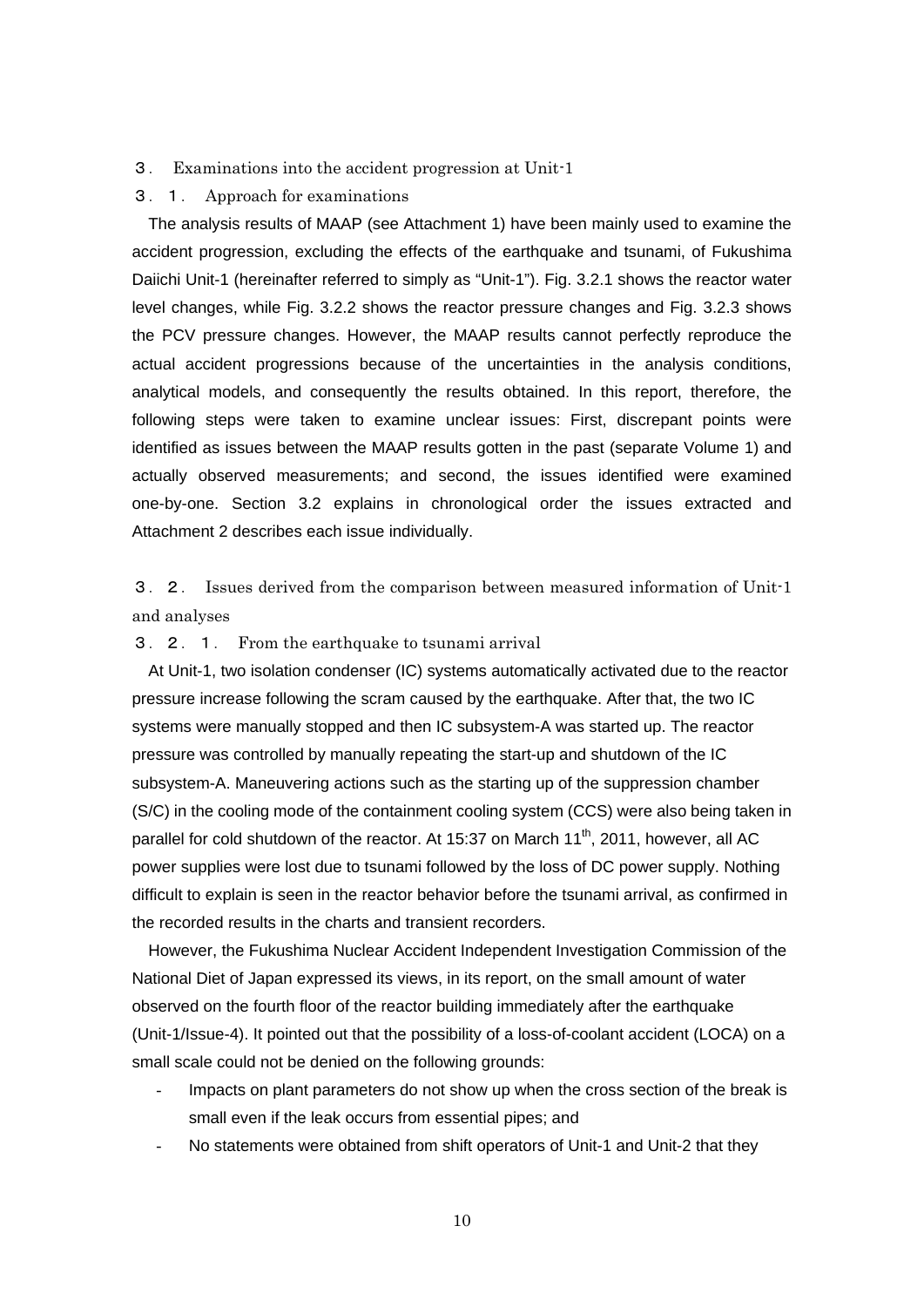#### 3. Examinations into the accident progression at Unit-1

#### 3.1. Approach for examinations

The analysis results of MAAP (see Attachment 1) have been mainly used to examine the accident progression, excluding the effects of the earthquake and tsunami, of Fukushima Daiichi Unit-1 (hereinafter referred to simply as "Unit-1"). Fig. 3.2.1 shows the reactor water level changes, while Fig. 3.2.2 shows the reactor pressure changes and Fig. 3.2.3 shows the PCV pressure changes. However, the MAAP results cannot perfectly reproduce the actual accident progressions because of the uncertainties in the analysis conditions, analytical models, and consequently the results obtained. In this report, therefore, the following steps were taken to examine unclear issues: First, discrepant points were identified as issues between the MAAP results gotten in the past (separate Volume 1) and actually observed measurements; and second, the issues identified were examined one-by-one. Section 3.2 explains in chronological order the issues extracted and Attachment 2 describes each issue individually.

3.2. Issues derived from the comparison between measured information of Unit-1 and analyses

## 3.2.1. From the earthquake to tsunami arrival

At Unit-1, two isolation condenser (IC) systems automatically activated due to the reactor pressure increase following the scram caused by the earthquake. After that, the two IC systems were manually stopped and then IC subsystem-A was started up. The reactor pressure was controlled by manually repeating the start-up and shutdown of the IC subsystem-A. Maneuvering actions such as the starting up of the suppression chamber (S/C) in the cooling mode of the containment cooling system (CCS) were also being taken in parallel for cold shutdown of the reactor. At 15:37 on March 11<sup>th</sup>, 2011, however, all AC power supplies were lost due to tsunami followed by the loss of DC power supply. Nothing difficult to explain is seen in the reactor behavior before the tsunami arrival, as confirmed in the recorded results in the charts and transient recorders.

However, the Fukushima Nuclear Accident Independent Investigation Commission of the National Diet of Japan expressed its views, in its report, on the small amount of water observed on the fourth floor of the reactor building immediately after the earthquake (Unit-1/Issue-4). It pointed out that the possibility of a loss-of-coolant accident (LOCA) on a small scale could not be denied on the following grounds:

- Impacts on plant parameters do not show up when the cross section of the break is small even if the leak occurs from essential pipes; and
- No statements were obtained from shift operators of Unit-1 and Unit-2 that they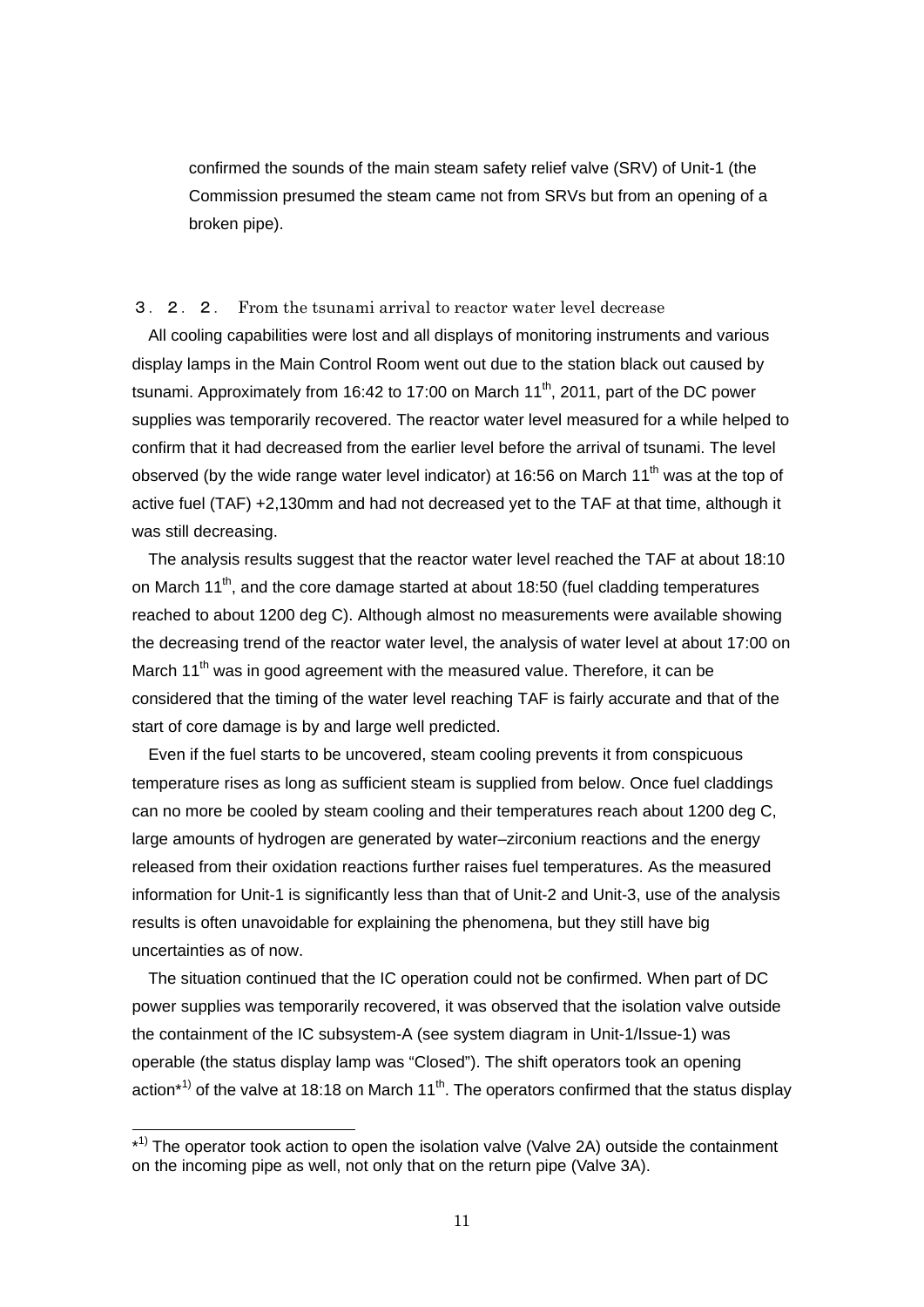confirmed the sounds of the main steam safety relief valve (SRV) of Unit-1 (the Commission presumed the steam came not from SRVs but from an opening of a broken pipe).

### 3.2.2. From the tsunami arrival to reactor water level decrease

All cooling capabilities were lost and all displays of monitoring instruments and various display lamps in the Main Control Room went out due to the station black out caused by tsunami. Approximately from 16:42 to 17:00 on March  $11<sup>th</sup>$ , 2011, part of the DC power supplies was temporarily recovered. The reactor water level measured for a while helped to confirm that it had decreased from the earlier level before the arrival of tsunami. The level observed (by the wide range water level indicator) at 16:56 on March 11<sup>th</sup> was at the top of active fuel (TAF) +2,130mm and had not decreased yet to the TAF at that time, although it was still decreasing.

The analysis results suggest that the reactor water level reached the TAF at about 18:10 on March  $11^{th}$ , and the core damage started at about 18:50 (fuel cladding temperatures reached to about 1200 deg C). Although almost no measurements were available showing the decreasing trend of the reactor water level, the analysis of water level at about 17:00 on March  $11<sup>th</sup>$  was in good agreement with the measured value. Therefore, it can be considered that the timing of the water level reaching TAF is fairly accurate and that of the start of core damage is by and large well predicted.

Even if the fuel starts to be uncovered, steam cooling prevents it from conspicuous temperature rises as long as sufficient steam is supplied from below. Once fuel claddings can no more be cooled by steam cooling and their temperatures reach about 1200 deg C, large amounts of hydrogen are generated by water–zirconium reactions and the energy released from their oxidation reactions further raises fuel temperatures. As the measured information for Unit-1 is significantly less than that of Unit-2 and Unit-3, use of the analysis results is often unavoidable for explaining the phenomena, but they still have big uncertainties as of now.

The situation continued that the IC operation could not be confirmed. When part of DC power supplies was temporarily recovered, it was observed that the isolation valve outside the containment of the IC subsystem-A (see system diagram in Unit-1/Issue-1) was operable (the status display lamp was "Closed"). The shift operators took an opening action<sup>\*1)</sup> of the valve at 18:18 on March 11<sup>th</sup>. The operators confirmed that the status display

-

<sup>\*&</sup>lt;sup>1)</sup> The operator took action to open the isolation valve (Valve 2A) outside the containment on the incoming pipe as well, not only that on the return pipe (Valve 3A).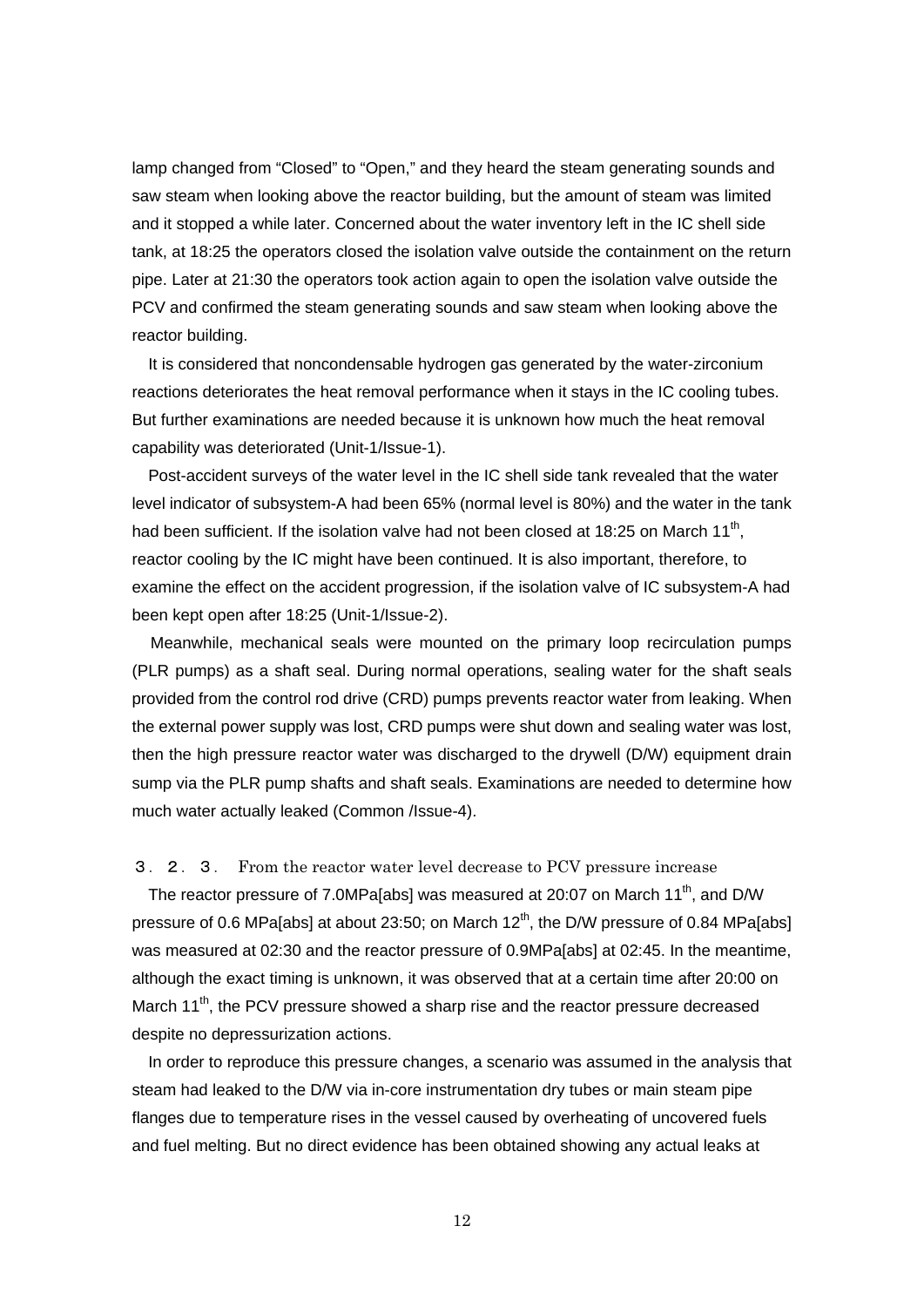lamp changed from "Closed" to "Open," and they heard the steam generating sounds and saw steam when looking above the reactor building, but the amount of steam was limited and it stopped a while later. Concerned about the water inventory left in the IC shell side tank, at 18:25 the operators closed the isolation valve outside the containment on the return pipe. Later at 21:30 the operators took action again to open the isolation valve outside the PCV and confirmed the steam generating sounds and saw steam when looking above the reactor building.

It is considered that noncondensable hydrogen gas generated by the water-zirconium reactions deteriorates the heat removal performance when it stays in the IC cooling tubes. But further examinations are needed because it is unknown how much the heat removal capability was deteriorated (Unit-1/Issue-1).

Post-accident surveys of the water level in the IC shell side tank revealed that the water level indicator of subsystem-A had been 65% (normal level is 80%) and the water in the tank had been sufficient. If the isolation valve had not been closed at 18:25 on March 11<sup>th</sup>. reactor cooling by the IC might have been continued. It is also important, therefore, to examine the effect on the accident progression, if the isolation valve of IC subsystem-A had been kept open after 18:25 (Unit-1/Issue-2).

Meanwhile, mechanical seals were mounted on the primary loop recirculation pumps (PLR pumps) as a shaft seal. During normal operations, sealing water for the shaft seals provided from the control rod drive (CRD) pumps prevents reactor water from leaking. When the external power supply was lost, CRD pumps were shut down and sealing water was lost, then the high pressure reactor water was discharged to the drywell (D/W) equipment drain sump via the PLR pump shafts and shaft seals. Examinations are needed to determine how much water actually leaked (Common /Issue-4).

3.2.3. From the reactor water level decrease to PCV pressure increase

The reactor pressure of 7.0MPa[abs] was measured at 20:07 on March 11<sup>th</sup>, and D/W pressure of 0.6 MPa[abs] at about 23:50; on March 12<sup>th</sup>, the D/W pressure of 0.84 MPa[abs] was measured at 02:30 and the reactor pressure of 0.9MPa[abs] at 02:45. In the meantime, although the exact timing is unknown, it was observed that at a certain time after 20:00 on March  $11^{th}$ , the PCV pressure showed a sharp rise and the reactor pressure decreased despite no depressurization actions.

In order to reproduce this pressure changes, a scenario was assumed in the analysis that steam had leaked to the D/W via in-core instrumentation dry tubes or main steam pipe flanges due to temperature rises in the vessel caused by overheating of uncovered fuels and fuel melting. But no direct evidence has been obtained showing any actual leaks at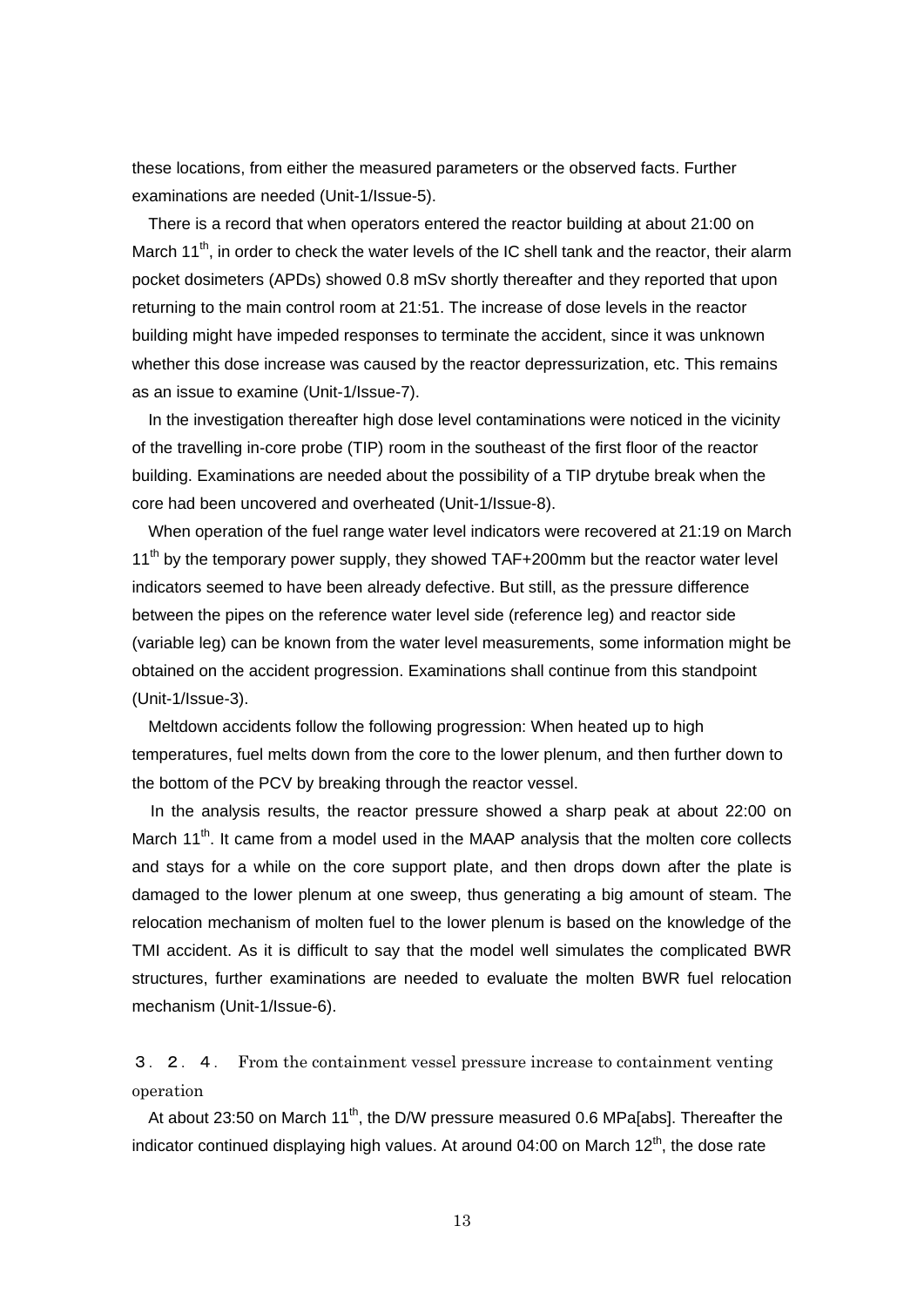these locations, from either the measured parameters or the observed facts. Further examinations are needed (Unit-1/Issue-5).

There is a record that when operators entered the reactor building at about 21:00 on March 11<sup>th</sup>, in order to check the water levels of the IC shell tank and the reactor, their alarm pocket dosimeters (APDs) showed 0.8 mSv shortly thereafter and they reported that upon returning to the main control room at 21:51. The increase of dose levels in the reactor building might have impeded responses to terminate the accident, since it was unknown whether this dose increase was caused by the reactor depressurization, etc. This remains as an issue to examine (Unit-1/Issue-7).

In the investigation thereafter high dose level contaminations were noticed in the vicinity of the travelling in-core probe (TIP) room in the southeast of the first floor of the reactor building. Examinations are needed about the possibility of a TIP drytube break when the core had been uncovered and overheated (Unit-1/Issue-8).

When operation of the fuel range water level indicators were recovered at 21:19 on March 11<sup>th</sup> by the temporary power supply, they showed TAF+200mm but the reactor water level indicators seemed to have been already defective. But still, as the pressure difference between the pipes on the reference water level side (reference leg) and reactor side (variable leg) can be known from the water level measurements, some information might be obtained on the accident progression. Examinations shall continue from this standpoint (Unit-1/Issue-3).

Meltdown accidents follow the following progression: When heated up to high temperatures, fuel melts down from the core to the lower plenum, and then further down to the bottom of the PCV by breaking through the reactor vessel.

In the analysis results, the reactor pressure showed a sharp peak at about 22:00 on March  $11<sup>th</sup>$ . It came from a model used in the MAAP analysis that the molten core collects and stays for a while on the core support plate, and then drops down after the plate is damaged to the lower plenum at one sweep, thus generating a big amount of steam. The relocation mechanism of molten fuel to the lower plenum is based on the knowledge of the TMI accident. As it is difficult to say that the model well simulates the complicated BWR structures, further examinations are needed to evaluate the molten BWR fuel relocation mechanism (Unit-1/Issue-6).

3.2.4. From the containment vessel pressure increase to containment venting operation

At about 23:50 on March 11<sup>th</sup>, the D/W pressure measured 0.6 MPa[abs]. Thereafter the indicator continued displaying high values. At around 04:00 on March  $12<sup>th</sup>$ , the dose rate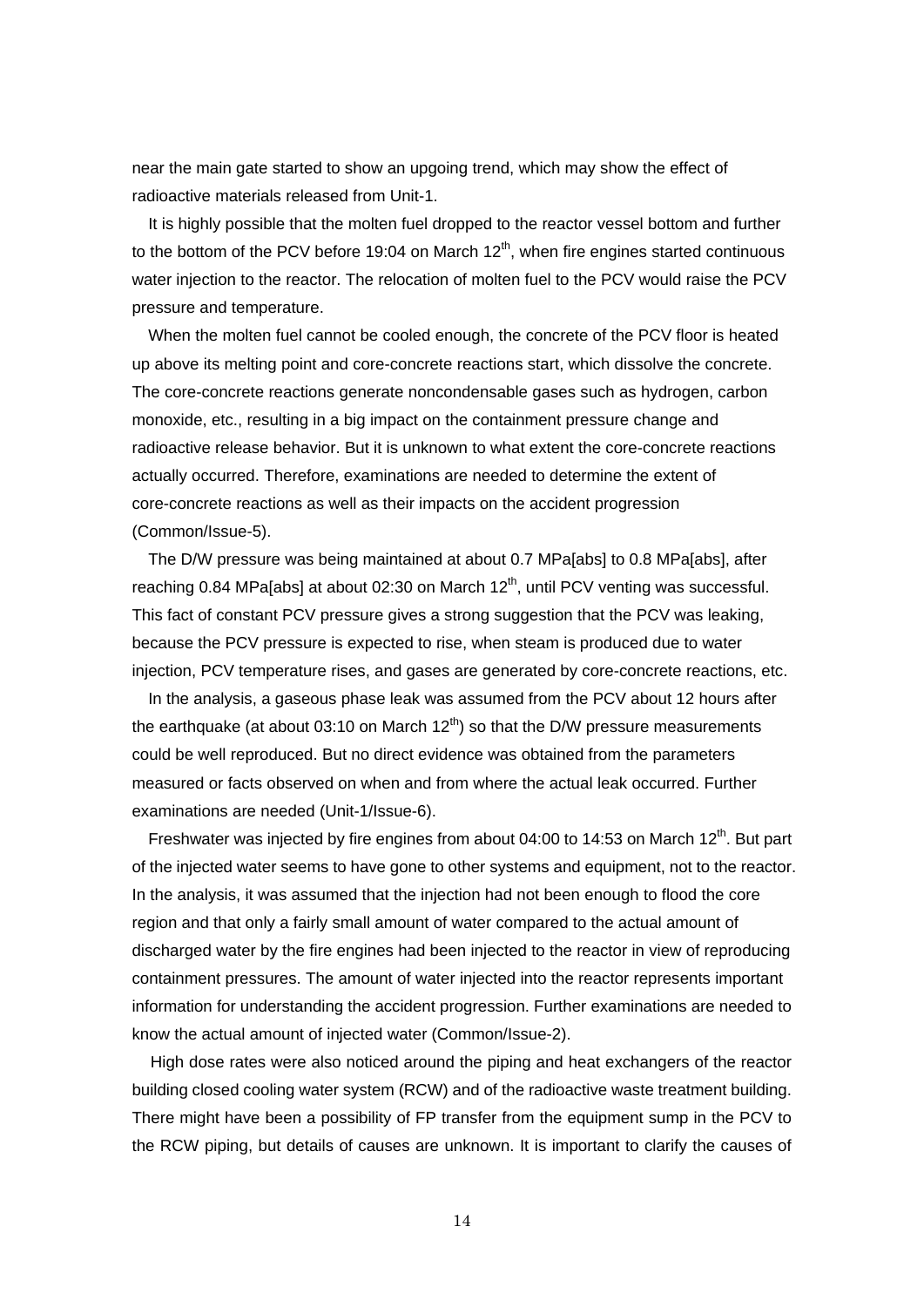near the main gate started to show an upgoing trend, which may show the effect of radioactive materials released from Unit-1.

It is highly possible that the molten fuel dropped to the reactor vessel bottom and further to the bottom of the PCV before 19:04 on March  $12<sup>th</sup>$ , when fire engines started continuous water injection to the reactor. The relocation of molten fuel to the PCV would raise the PCV pressure and temperature.

When the molten fuel cannot be cooled enough, the concrete of the PCV floor is heated up above its melting point and core-concrete reactions start, which dissolve the concrete. The core-concrete reactions generate noncondensable gases such as hydrogen, carbon monoxide, etc., resulting in a big impact on the containment pressure change and radioactive release behavior. But it is unknown to what extent the core-concrete reactions actually occurred. Therefore, examinations are needed to determine the extent of core-concrete reactions as well as their impacts on the accident progression (Common/Issue-5).

The D/W pressure was being maintained at about 0.7 MPa[abs] to 0.8 MPa[abs], after reaching 0.84 MPalabs] at about 02:30 on March  $12<sup>th</sup>$ , until PCV venting was successful. This fact of constant PCV pressure gives a strong suggestion that the PCV was leaking, because the PCV pressure is expected to rise, when steam is produced due to water injection, PCV temperature rises, and gases are generated by core-concrete reactions, etc.

In the analysis, a gaseous phase leak was assumed from the PCV about 12 hours after the earthquake (at about 03:10 on March  $12<sup>th</sup>$ ) so that the D/W pressure measurements could be well reproduced. But no direct evidence was obtained from the parameters measured or facts observed on when and from where the actual leak occurred. Further examinations are needed (Unit-1/Issue-6).

Freshwater was injected by fire engines from about 04:00 to 14:53 on March 12<sup>th</sup>. But part of the injected water seems to have gone to other systems and equipment, not to the reactor. In the analysis, it was assumed that the injection had not been enough to flood the core region and that only a fairly small amount of water compared to the actual amount of discharged water by the fire engines had been injected to the reactor in view of reproducing containment pressures. The amount of water injected into the reactor represents important information for understanding the accident progression. Further examinations are needed to know the actual amount of injected water (Common/Issue-2).

High dose rates were also noticed around the piping and heat exchangers of the reactor building closed cooling water system (RCW) and of the radioactive waste treatment building. There might have been a possibility of FP transfer from the equipment sump in the PCV to the RCW piping, but details of causes are unknown. It is important to clarify the causes of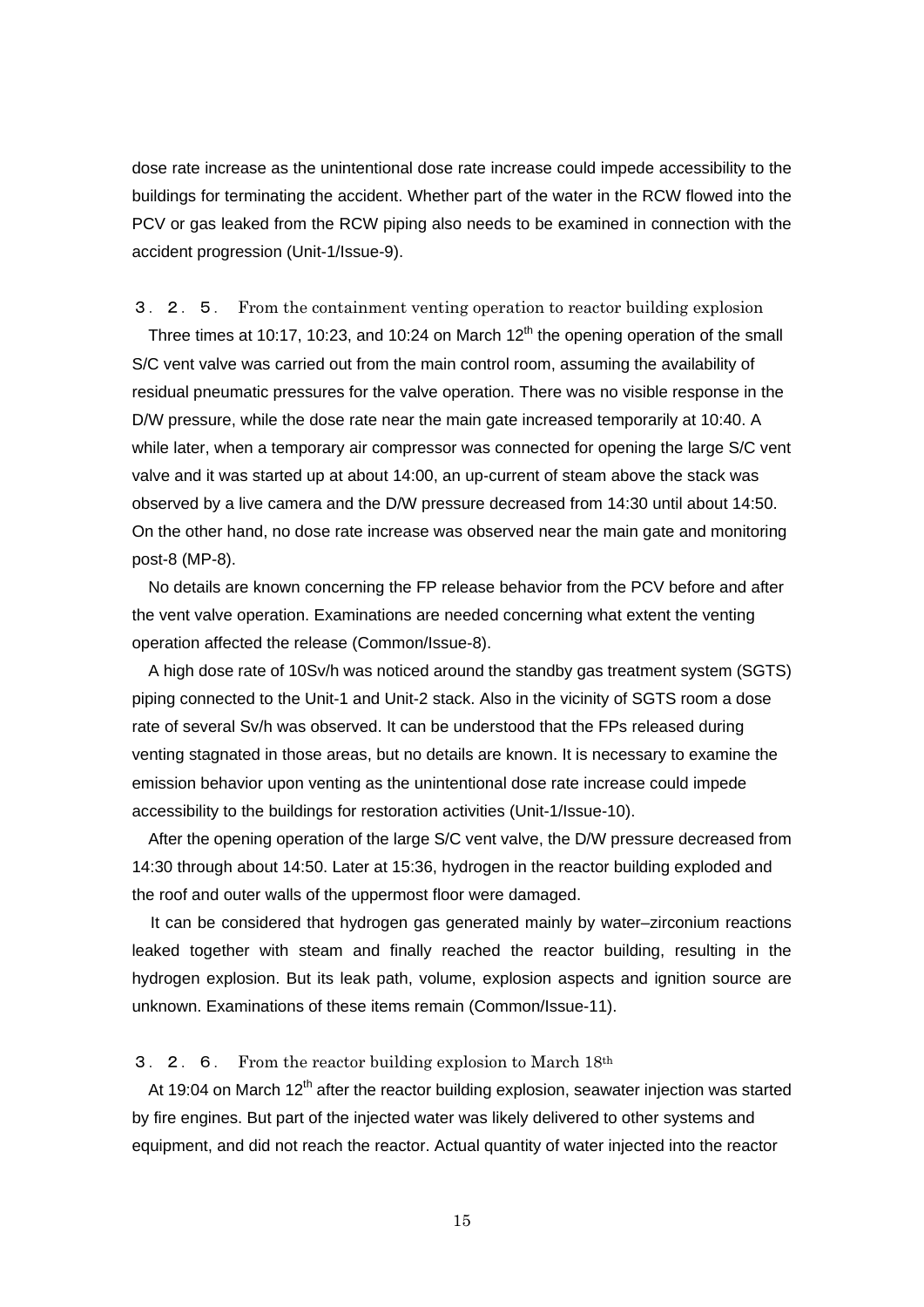dose rate increase as the unintentional dose rate increase could impede accessibility to the buildings for terminating the accident. Whether part of the water in the RCW flowed into the PCV or gas leaked from the RCW piping also needs to be examined in connection with the accident progression (Unit-1/Issue-9).

3.2.5. From the containment venting operation to reactor building explosion Three times at 10:17, 10:23, and 10:24 on March  $12<sup>th</sup>$  the opening operation of the small S/C vent valve was carried out from the main control room, assuming the availability of residual pneumatic pressures for the valve operation. There was no visible response in the D/W pressure, while the dose rate near the main gate increased temporarily at 10:40. A while later, when a temporary air compressor was connected for opening the large S/C vent valve and it was started up at about 14:00, an up-current of steam above the stack was observed by a live camera and the D/W pressure decreased from 14:30 until about 14:50. On the other hand, no dose rate increase was observed near the main gate and monitoring post-8 (MP-8).

No details are known concerning the FP release behavior from the PCV before and after the vent valve operation. Examinations are needed concerning what extent the venting operation affected the release (Common/Issue-8).

A high dose rate of 10Sv/h was noticed around the standby gas treatment system (SGTS) piping connected to the Unit-1 and Unit-2 stack. Also in the vicinity of SGTS room a dose rate of several Sv/h was observed. It can be understood that the FPs released during venting stagnated in those areas, but no details are known. It is necessary to examine the emission behavior upon venting as the unintentional dose rate increase could impede accessibility to the buildings for restoration activities (Unit-1/Issue-10).

After the opening operation of the large S/C vent valve, the D/W pressure decreased from 14:30 through about 14:50. Later at 15:36, hydrogen in the reactor building exploded and the roof and outer walls of the uppermost floor were damaged.

It can be considered that hydrogen gas generated mainly by water–zirconium reactions leaked together with steam and finally reached the reactor building, resulting in the hydrogen explosion. But its leak path, volume, explosion aspects and ignition source are unknown. Examinations of these items remain (Common/Issue-11).

## 3.2.6. From the reactor building explosion to March 18th

At 19:04 on March  $12<sup>th</sup>$  after the reactor building explosion, seawater injection was started by fire engines. But part of the injected water was likely delivered to other systems and equipment, and did not reach the reactor. Actual quantity of water injected into the reactor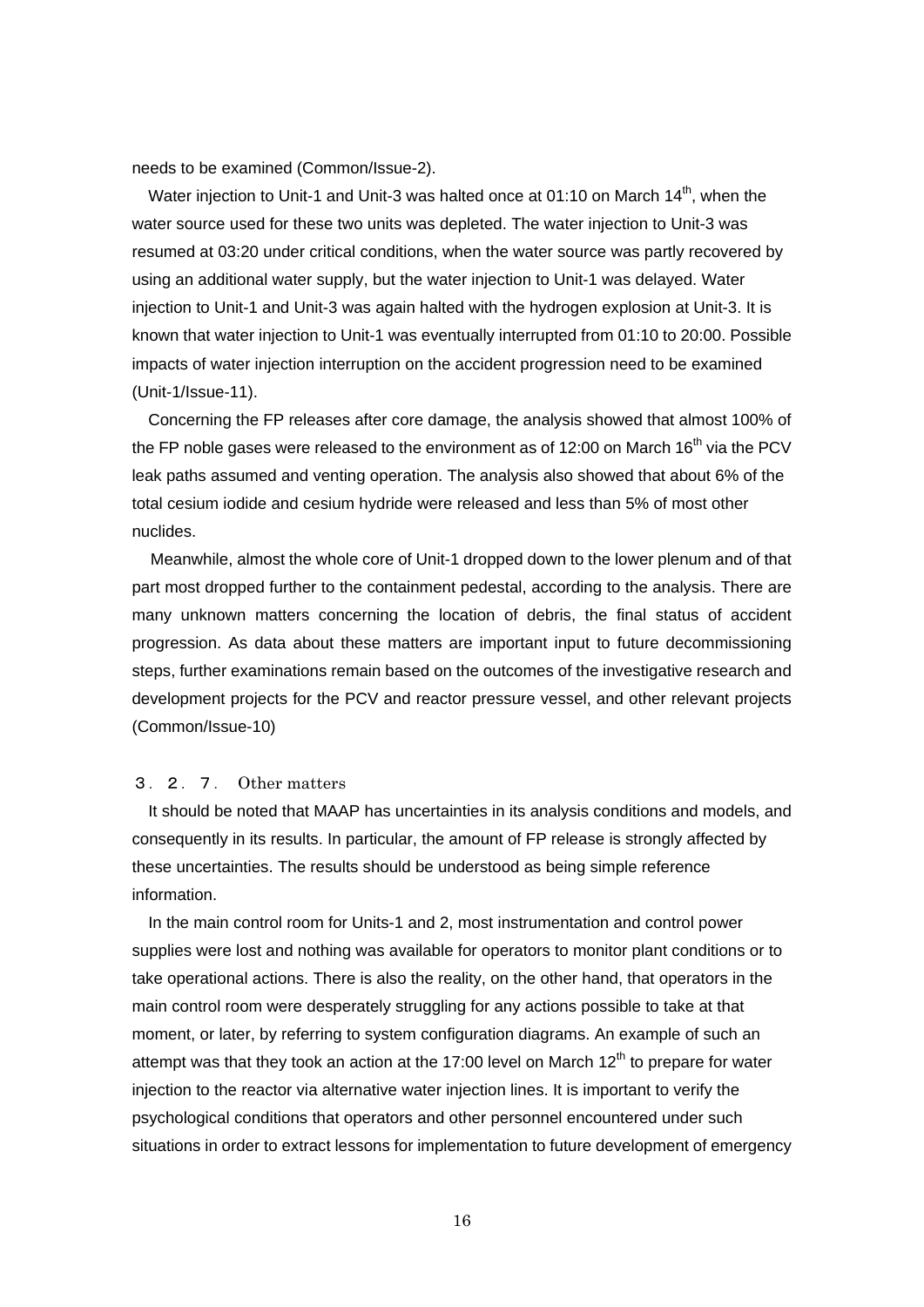needs to be examined (Common/Issue-2).

Water injection to Unit-1 and Unit-3 was halted once at 01:10 on March  $14<sup>th</sup>$ . when the water source used for these two units was depleted. The water injection to Unit-3 was resumed at 03:20 under critical conditions, when the water source was partly recovered by using an additional water supply, but the water injection to Unit-1 was delayed. Water injection to Unit-1 and Unit-3 was again halted with the hydrogen explosion at Unit-3. It is known that water injection to Unit-1 was eventually interrupted from 01:10 to 20:00. Possible impacts of water injection interruption on the accident progression need to be examined (Unit-1/Issue-11).

Concerning the FP releases after core damage, the analysis showed that almost 100% of the FP noble gases were released to the environment as of 12:00 on March  $16<sup>th</sup>$  via the PCV leak paths assumed and venting operation. The analysis also showed that about 6% of the total cesium iodide and cesium hydride were released and less than 5% of most other nuclides.

Meanwhile, almost the whole core of Unit-1 dropped down to the lower plenum and of that part most dropped further to the containment pedestal, according to the analysis. There are many unknown matters concerning the location of debris, the final status of accident progression. As data about these matters are important input to future decommissioning steps, further examinations remain based on the outcomes of the investigative research and development projects for the PCV and reactor pressure vessel, and other relevant projects (Common/Issue-10)

## 3.2.7. Other matters

It should be noted that MAAP has uncertainties in its analysis conditions and models, and consequently in its results. In particular, the amount of FP release is strongly affected by these uncertainties. The results should be understood as being simple reference information.

In the main control room for Units-1 and 2, most instrumentation and control power supplies were lost and nothing was available for operators to monitor plant conditions or to take operational actions. There is also the reality, on the other hand, that operators in the main control room were desperately struggling for any actions possible to take at that moment, or later, by referring to system configuration diagrams. An example of such an attempt was that they took an action at the 17:00 level on March  $12<sup>th</sup>$  to prepare for water injection to the reactor via alternative water injection lines. It is important to verify the psychological conditions that operators and other personnel encountered under such situations in order to extract lessons for implementation to future development of emergency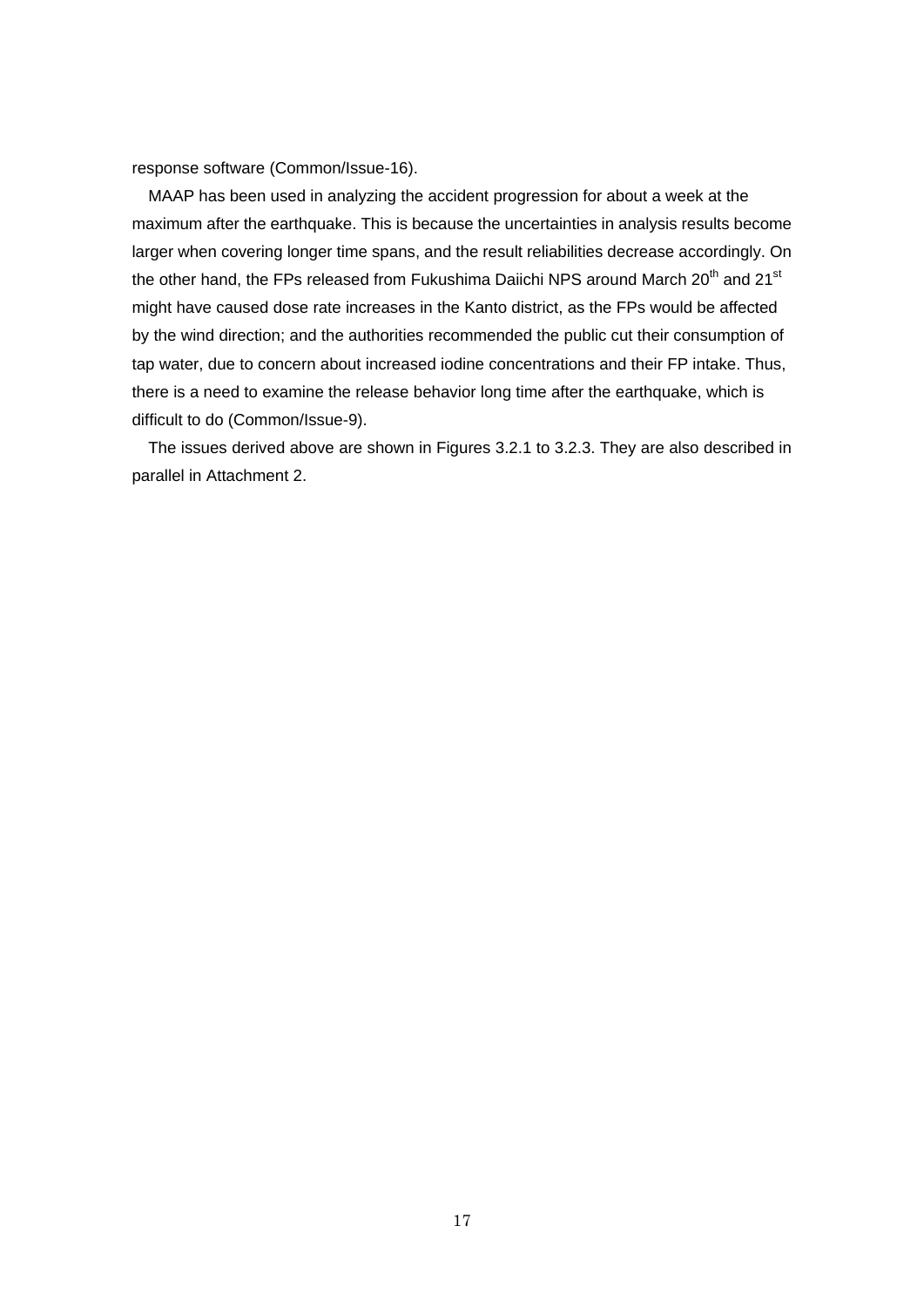response software (Common/Issue-16).

MAAP has been used in analyzing the accident progression for about a week at the maximum after the earthquake. This is because the uncertainties in analysis results become larger when covering longer time spans, and the result reliabilities decrease accordingly. On the other hand, the FPs released from Fukushima Daiichi NPS around March 20<sup>th</sup> and 21<sup>st</sup> might have caused dose rate increases in the Kanto district, as the FPs would be affected by the wind direction; and the authorities recommended the public cut their consumption of tap water, due to concern about increased iodine concentrations and their FP intake. Thus, there is a need to examine the release behavior long time after the earthquake, which is difficult to do (Common/Issue-9).

The issues derived above are shown in Figures 3.2.1 to 3.2.3. They are also described in parallel in Attachment 2.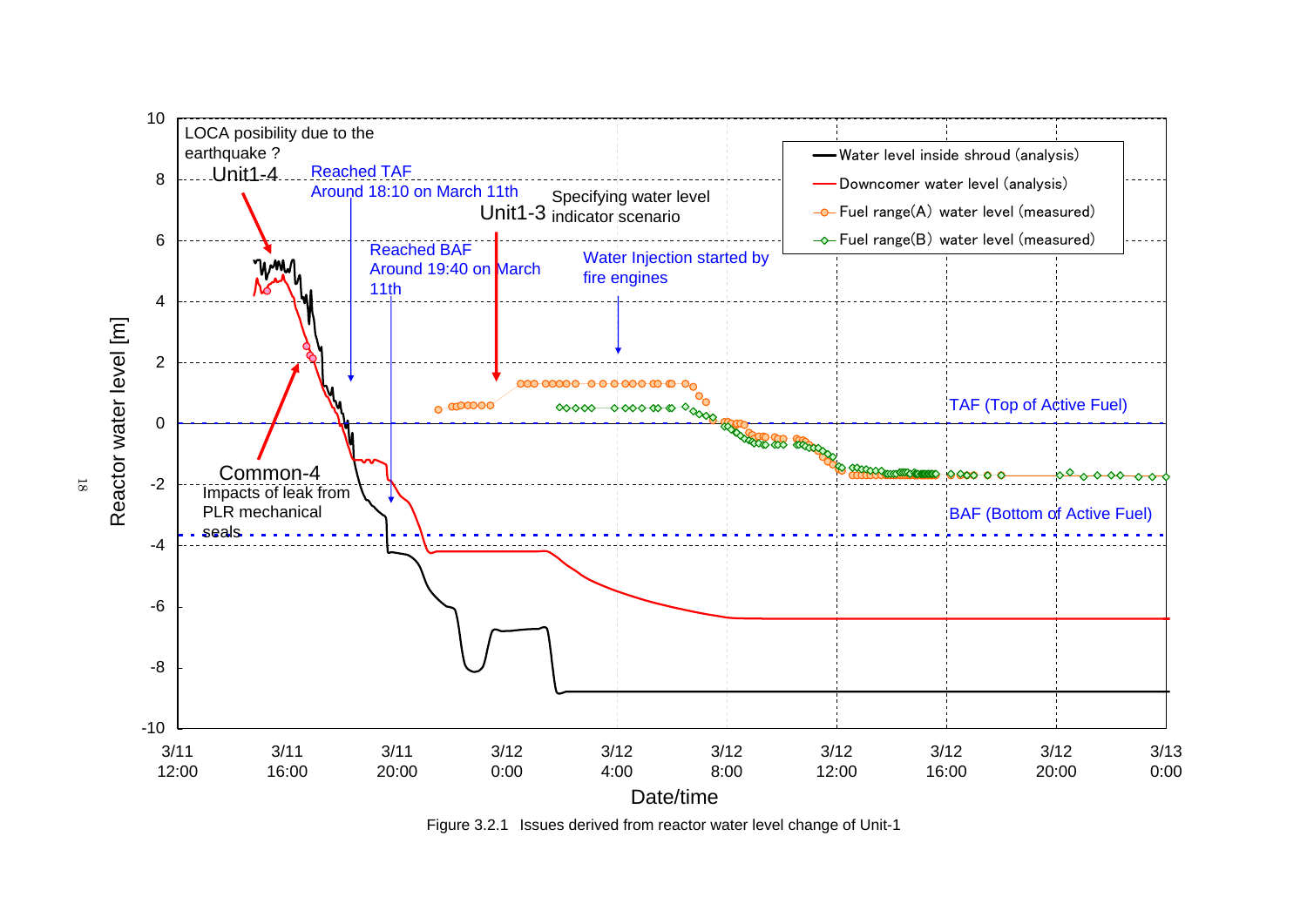

Figure 3.2.1 Issues derived from reactor water level change of Unit-1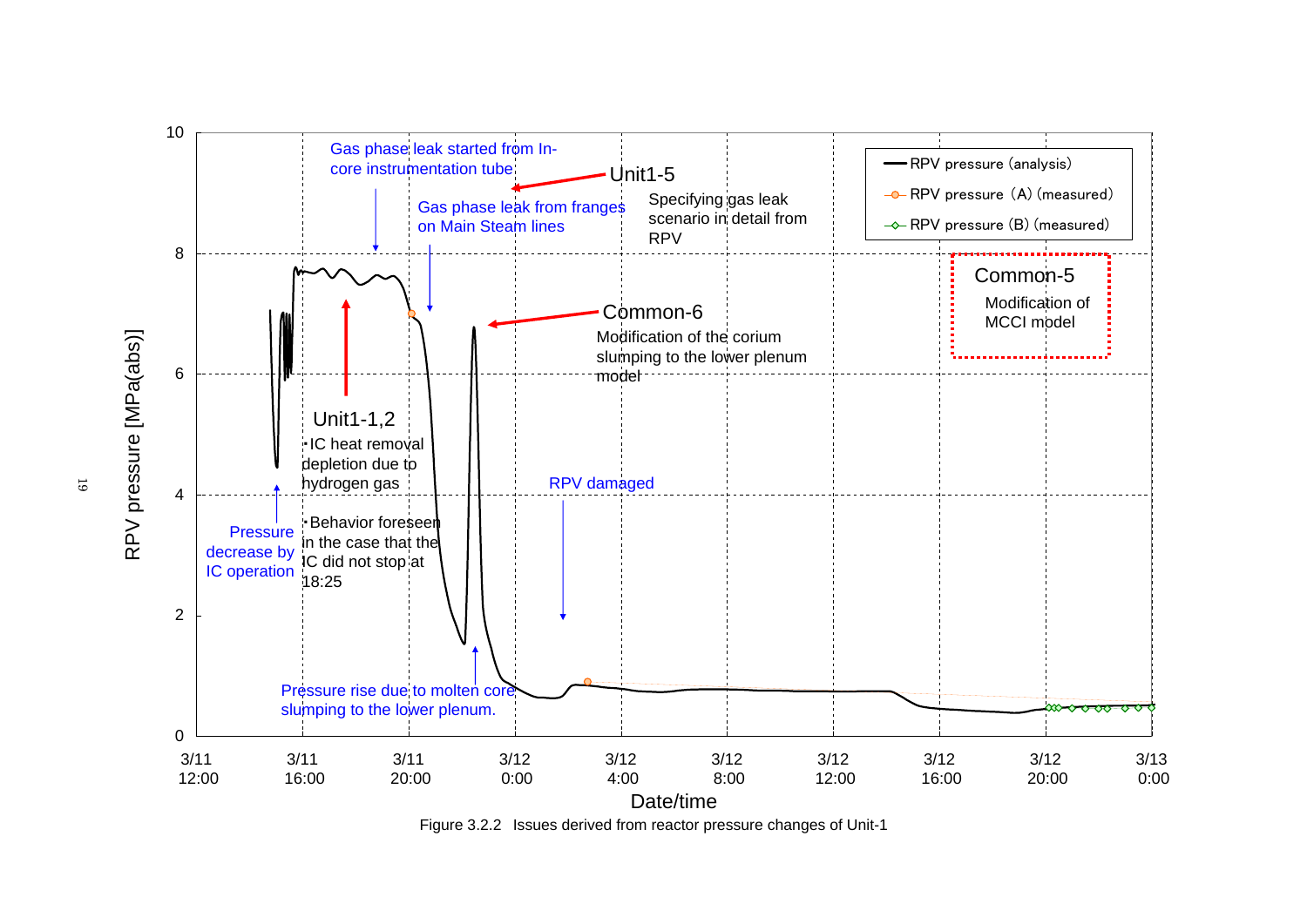

Figure 3.2.2 Issues derived from reactor pressure changes of Unit-1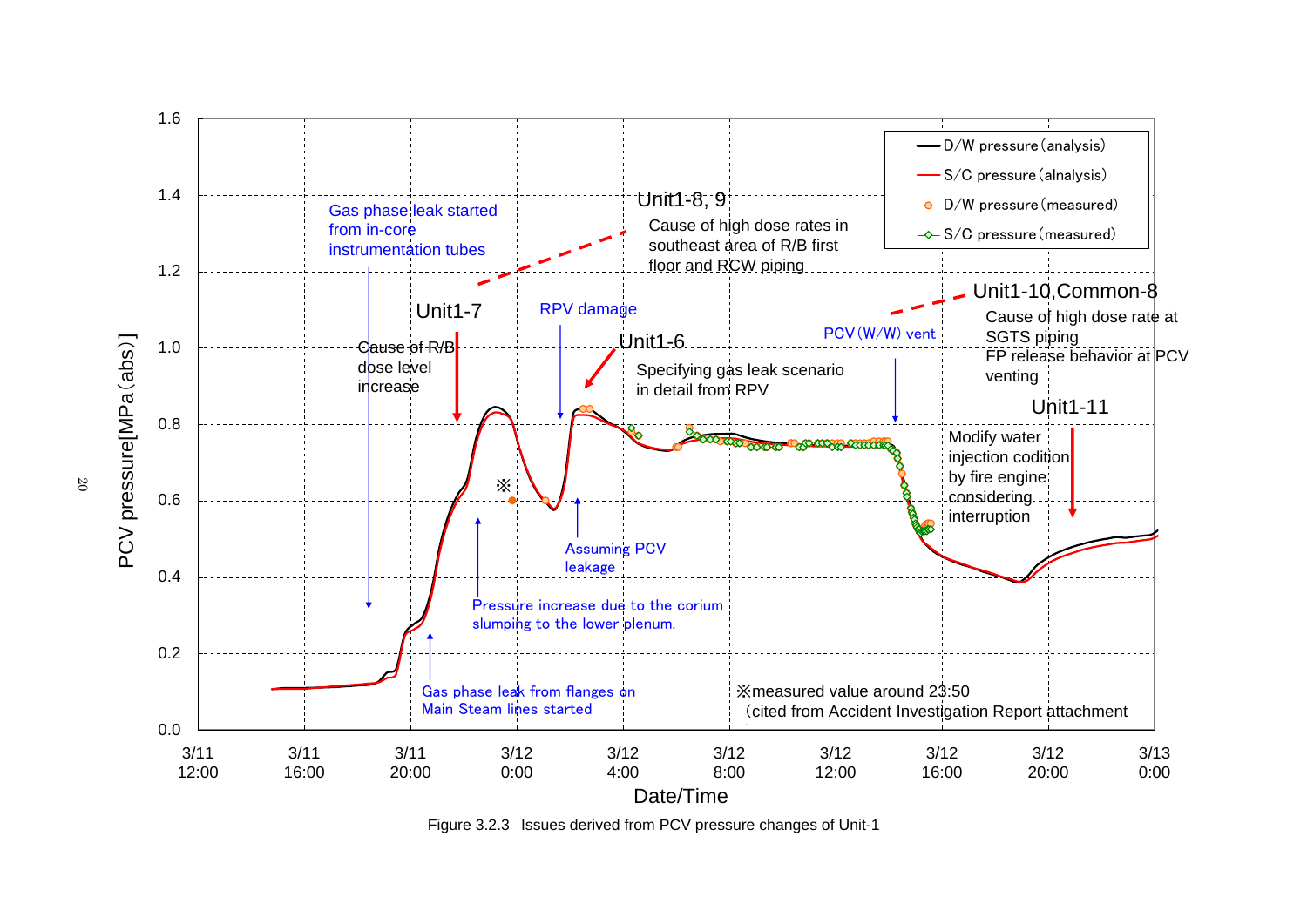

Figure 3.2.3 Issues derived from PCV pressure changes of Unit-1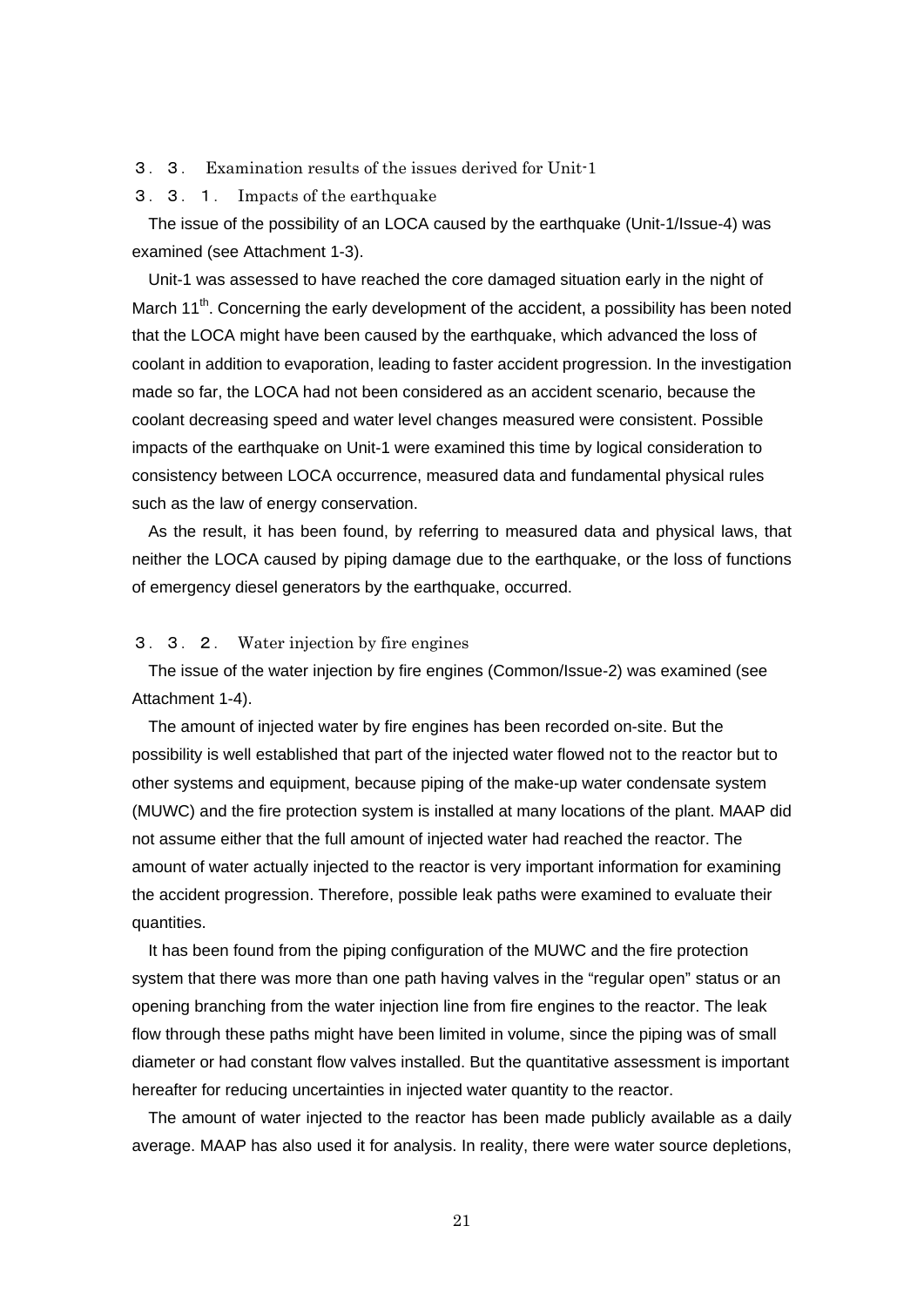- 3.3. Examination results of the issues derived for Unit-1
- 3.3.1. Impacts of the earthquake

The issue of the possibility of an LOCA caused by the earthquake (Unit-1/Issue-4) was examined (see Attachment 1-3).

Unit-1 was assessed to have reached the core damaged situation early in the night of March  $11<sup>th</sup>$ . Concerning the early development of the accident, a possibility has been noted that the LOCA might have been caused by the earthquake, which advanced the loss of coolant in addition to evaporation, leading to faster accident progression. In the investigation made so far, the LOCA had not been considered as an accident scenario, because the coolant decreasing speed and water level changes measured were consistent. Possible impacts of the earthquake on Unit-1 were examined this time by logical consideration to consistency between LOCA occurrence, measured data and fundamental physical rules such as the law of energy conservation.

As the result, it has been found, by referring to measured data and physical laws, that neither the LOCA caused by piping damage due to the earthquake, or the loss of functions of emergency diesel generators by the earthquake, occurred.

## 3.3.2. Water injection by fire engines

The issue of the water injection by fire engines (Common/Issue-2) was examined (see Attachment 1-4).

The amount of injected water by fire engines has been recorded on-site. But the possibility is well established that part of the injected water flowed not to the reactor but to other systems and equipment, because piping of the make-up water condensate system (MUWC) and the fire protection system is installed at many locations of the plant. MAAP did not assume either that the full amount of injected water had reached the reactor. The amount of water actually injected to the reactor is very important information for examining the accident progression. Therefore, possible leak paths were examined to evaluate their quantities.

It has been found from the piping configuration of the MUWC and the fire protection system that there was more than one path having valves in the "regular open" status or an opening branching from the water injection line from fire engines to the reactor. The leak flow through these paths might have been limited in volume, since the piping was of small diameter or had constant flow valves installed. But the quantitative assessment is important hereafter for reducing uncertainties in injected water quantity to the reactor.

The amount of water injected to the reactor has been made publicly available as a daily average. MAAP has also used it for analysis. In reality, there were water source depletions,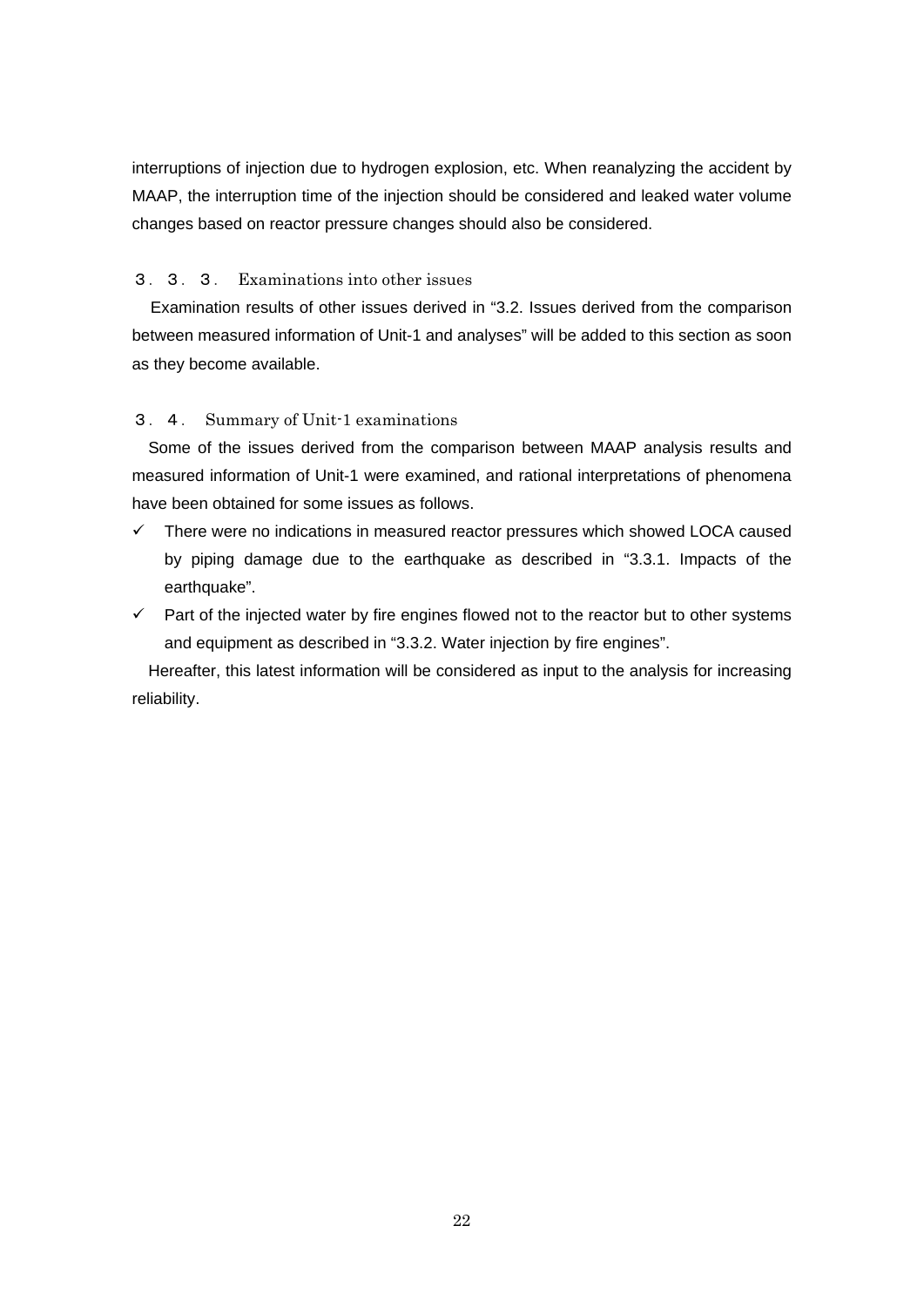interruptions of injection due to hydrogen explosion, etc. When reanalyzing the accident by MAAP, the interruption time of the injection should be considered and leaked water volume changes based on reactor pressure changes should also be considered.

# 3.3.3. Examinations into other issues

Examination results of other issues derived in "3.2. Issues derived from the comparison between measured information of Unit-1 and analyses" will be added to this section as soon as they become available.

# 3.4. Summary of Unit-1 examinations

Some of the issues derived from the comparison between MAAP analysis results and measured information of Unit-1 were examined, and rational interpretations of phenomena have been obtained for some issues as follows.

- $\checkmark$  There were no indications in measured reactor pressures which showed LOCA caused by piping damage due to the earthquake as described in "3.3.1. Impacts of the earthquake".
- $\checkmark$  Part of the injected water by fire engines flowed not to the reactor but to other systems and equipment as described in "3.3.2. Water injection by fire engines".

Hereafter, this latest information will be considered as input to the analysis for increasing reliability.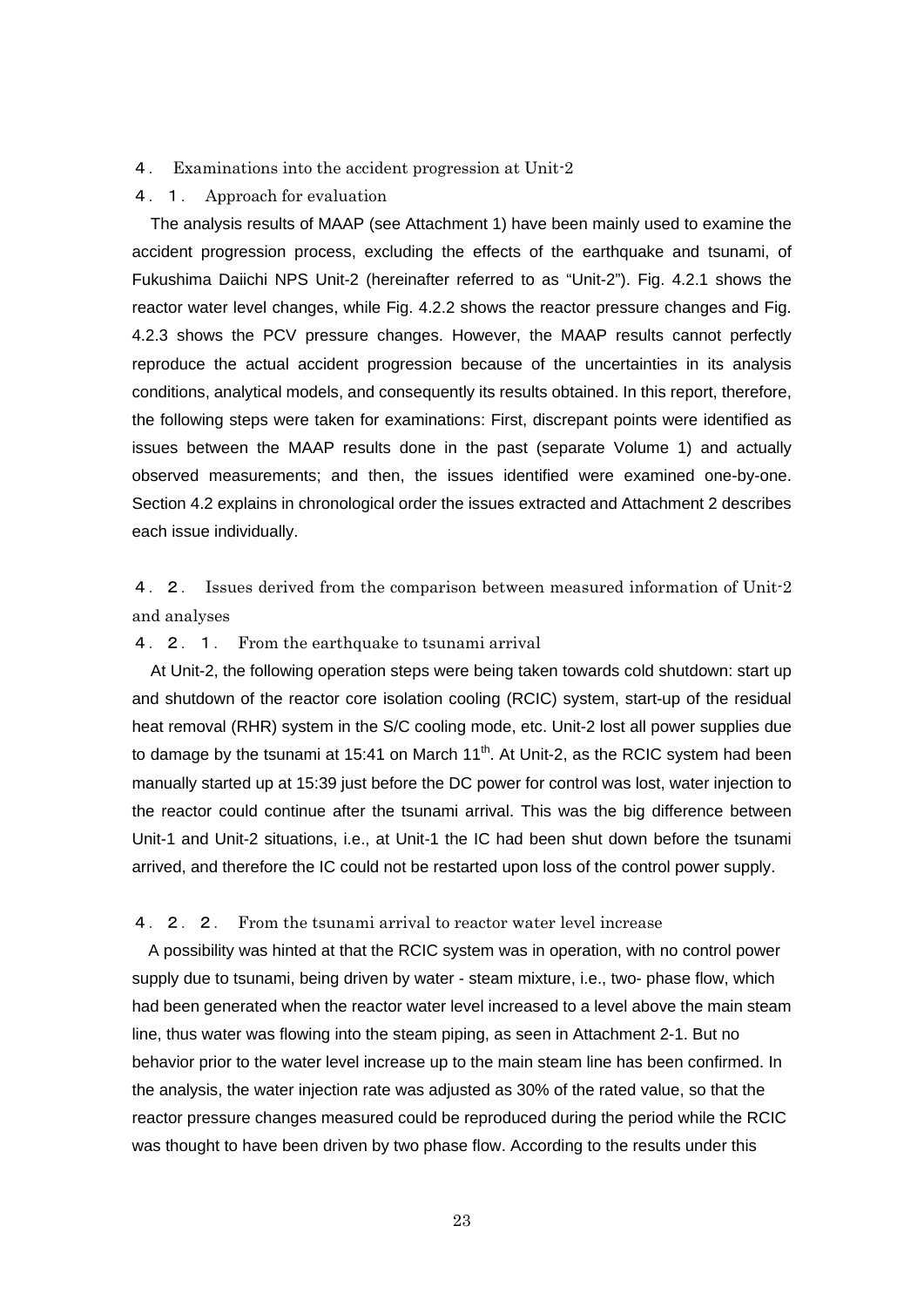#### 4. Examinations into the accident progression at Unit-2

#### 4.1. Approach for evaluation

The analysis results of MAAP (see Attachment 1) have been mainly used to examine the accident progression process, excluding the effects of the earthquake and tsunami, of Fukushima Daiichi NPS Unit-2 (hereinafter referred to as "Unit-2"). Fig. 4.2.1 shows the reactor water level changes, while Fig. 4.2.2 shows the reactor pressure changes and Fig. 4.2.3 shows the PCV pressure changes. However, the MAAP results cannot perfectly reproduce the actual accident progression because of the uncertainties in its analysis conditions, analytical models, and consequently its results obtained. In this report, therefore, the following steps were taken for examinations: First, discrepant points were identified as issues between the MAAP results done in the past (separate Volume 1) and actually observed measurements; and then, the issues identified were examined one-by-one. Section 4.2 explains in chronological order the issues extracted and Attachment 2 describes each issue individually.

4. 2. Issues derived from the comparison between measured information of Unit-2 and analyses

## 4.2.1. From the earthquake to tsunami arrival

At Unit-2, the following operation steps were being taken towards cold shutdown: start up and shutdown of the reactor core isolation cooling (RCIC) system, start-up of the residual heat removal (RHR) system in the S/C cooling mode, etc. Unit-2 lost all power supplies due to damage by the tsunami at 15:41 on March  $11<sup>th</sup>$ . At Unit-2, as the RCIC system had been manually started up at 15:39 just before the DC power for control was lost, water injection to the reactor could continue after the tsunami arrival. This was the big difference between Unit-1 and Unit-2 situations, i.e., at Unit-1 the IC had been shut down before the tsunami arrived, and therefore the IC could not be restarted upon loss of the control power supply.

#### 4.2.2. From the tsunami arrival to reactor water level increase

A possibility was hinted at that the RCIC system was in operation, with no control power supply due to tsunami, being driven by water - steam mixture, i.e., two- phase flow, which had been generated when the reactor water level increased to a level above the main steam line, thus water was flowing into the steam piping, as seen in Attachment 2-1. But no behavior prior to the water level increase up to the main steam line has been confirmed. In the analysis, the water injection rate was adjusted as 30% of the rated value, so that the reactor pressure changes measured could be reproduced during the period while the RCIC was thought to have been driven by two phase flow. According to the results under this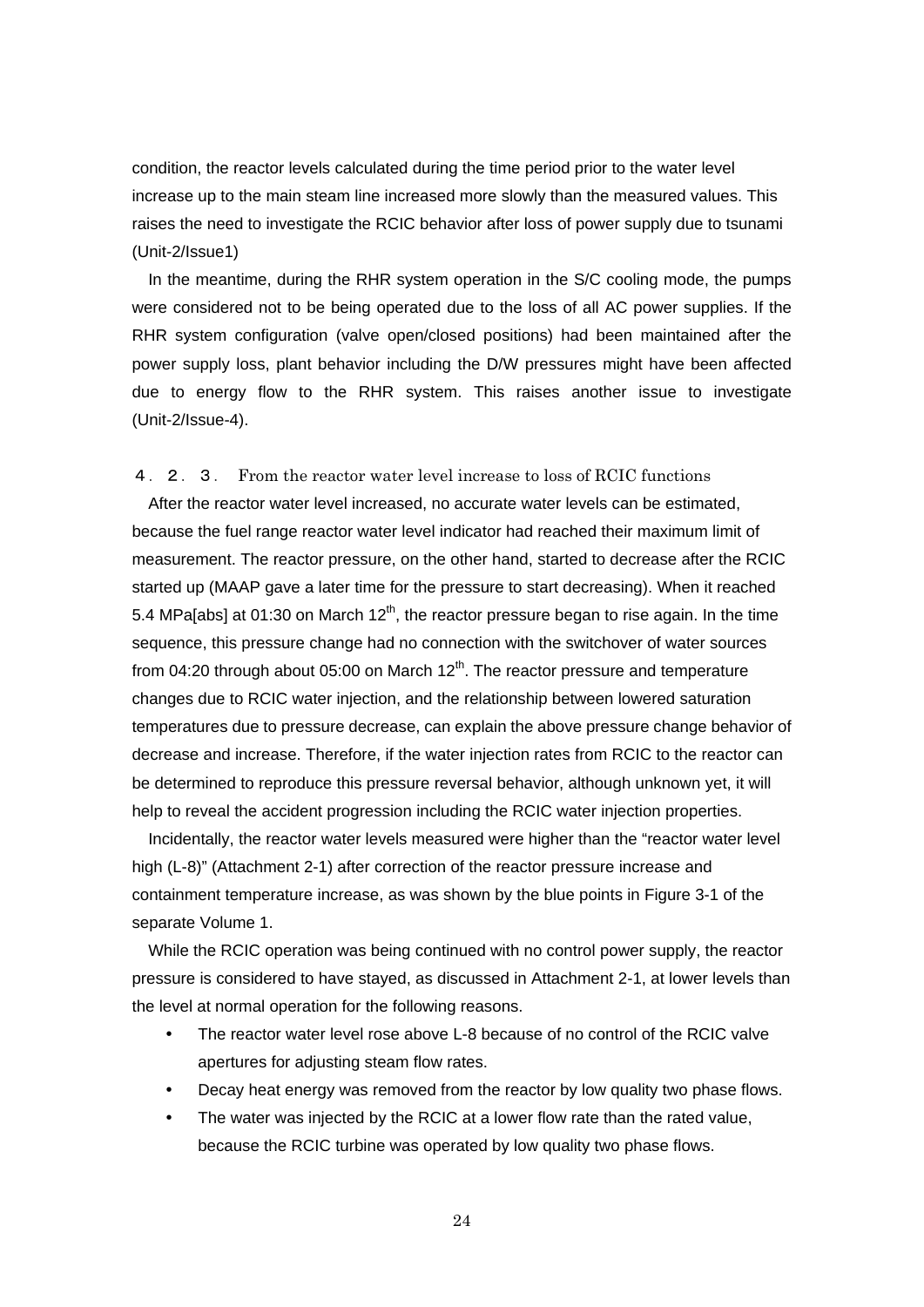condition, the reactor levels calculated during the time period prior to the water level increase up to the main steam line increased more slowly than the measured values. This raises the need to investigate the RCIC behavior after loss of power supply due to tsunami (Unit-2/Issue1)

In the meantime, during the RHR system operation in the S/C cooling mode, the pumps were considered not to be being operated due to the loss of all AC power supplies. If the RHR system configuration (valve open/closed positions) had been maintained after the power supply loss, plant behavior including the D/W pressures might have been affected due to energy flow to the RHR system. This raises another issue to investigate (Unit-2/Issue-4).

### 4.2.3. From the reactor water level increase to loss of RCIC functions

After the reactor water level increased, no accurate water levels can be estimated, because the fuel range reactor water level indicator had reached their maximum limit of measurement. The reactor pressure, on the other hand, started to decrease after the RCIC started up (MAAP gave a later time for the pressure to start decreasing). When it reached 5.4 MPa[abs] at 01:30 on March 12<sup>th</sup>, the reactor pressure began to rise again. In the time sequence, this pressure change had no connection with the switchover of water sources from 04:20 through about 05:00 on March  $12<sup>th</sup>$ . The reactor pressure and temperature changes due to RCIC water injection, and the relationship between lowered saturation temperatures due to pressure decrease, can explain the above pressure change behavior of decrease and increase. Therefore, if the water injection rates from RCIC to the reactor can be determined to reproduce this pressure reversal behavior, although unknown yet, it will help to reveal the accident progression including the RCIC water injection properties.

Incidentally, the reactor water levels measured were higher than the "reactor water level high (L-8)" (Attachment 2-1) after correction of the reactor pressure increase and containment temperature increase, as was shown by the blue points in Figure 3-1 of the separate Volume 1.

While the RCIC operation was being continued with no control power supply, the reactor pressure is considered to have stayed, as discussed in Attachment 2-1, at lower levels than the level at normal operation for the following reasons.

- The reactor water level rose above L-8 because of no control of the RCIC valve apertures for adjusting steam flow rates.
- Decay heat energy was removed from the reactor by low quality two phase flows.
- The water was injected by the RCIC at a lower flow rate than the rated value, because the RCIC turbine was operated by low quality two phase flows.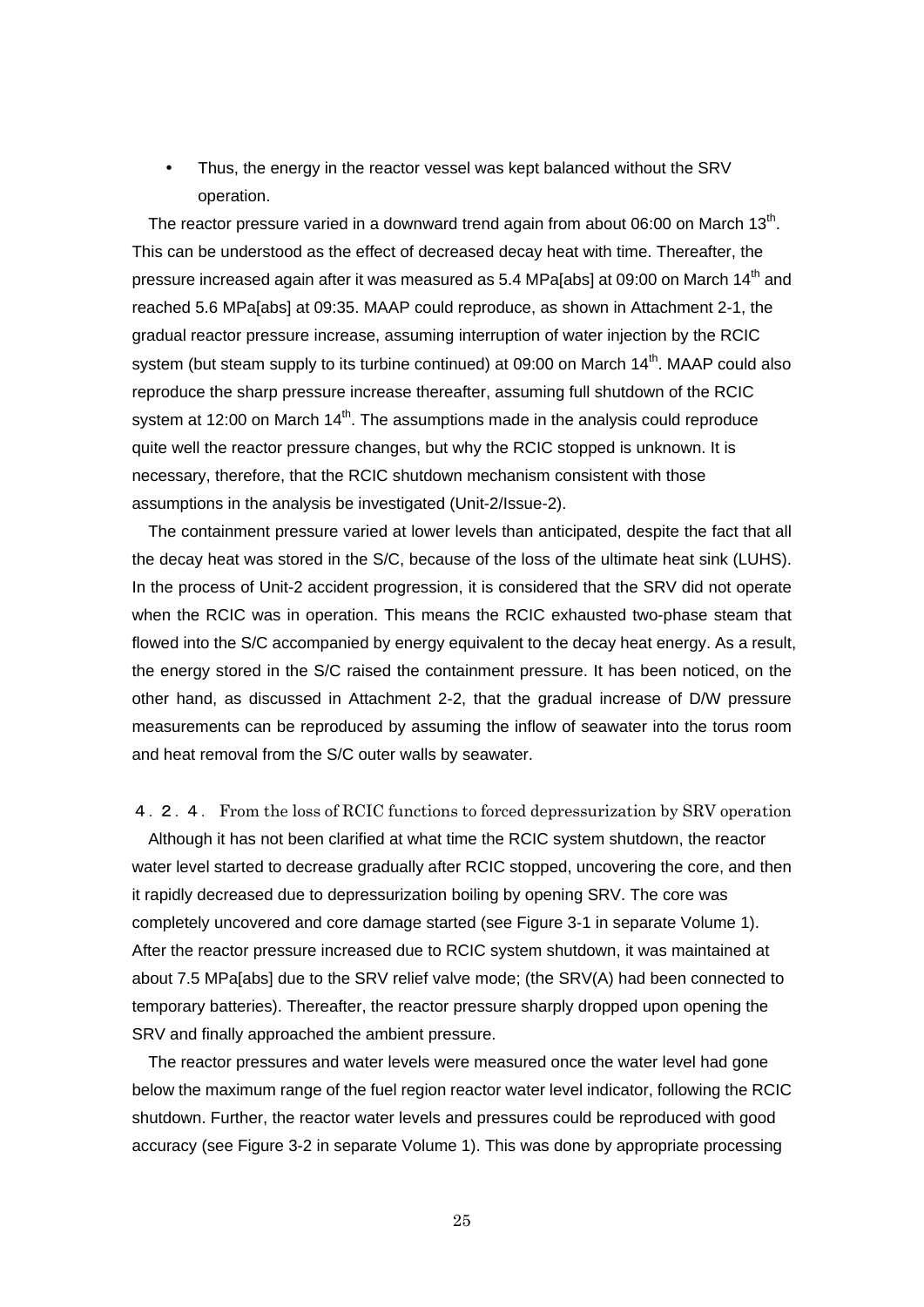Thus, the energy in the reactor vessel was kept balanced without the SRV operation.

The reactor pressure varied in a downward trend again from about  $06:00$  on March 13<sup>th</sup>. This can be understood as the effect of decreased decay heat with time. Thereafter, the pressure increased again after it was measured as 5.4 MPa[abs] at 09:00 on March 14<sup>th</sup> and reached 5.6 MPa[abs] at 09:35. MAAP could reproduce, as shown in Attachment 2-1, the gradual reactor pressure increase, assuming interruption of water injection by the RCIC system (but steam supply to its turbine continued) at 09:00 on March 14<sup>th</sup>. MAAP could also reproduce the sharp pressure increase thereafter, assuming full shutdown of the RCIC system at 12:00 on March  $14<sup>th</sup>$ . The assumptions made in the analysis could reproduce quite well the reactor pressure changes, but why the RCIC stopped is unknown. It is necessary, therefore, that the RCIC shutdown mechanism consistent with those assumptions in the analysis be investigated (Unit-2/Issue-2).

The containment pressure varied at lower levels than anticipated, despite the fact that all the decay heat was stored in the S/C, because of the loss of the ultimate heat sink (LUHS). In the process of Unit-2 accident progression, it is considered that the SRV did not operate when the RCIC was in operation. This means the RCIC exhausted two-phase steam that flowed into the S/C accompanied by energy equivalent to the decay heat energy. As a result, the energy stored in the S/C raised the containment pressure. It has been noticed, on the other hand, as discussed in Attachment 2-2, that the gradual increase of D/W pressure measurements can be reproduced by assuming the inflow of seawater into the torus room and heat removal from the S/C outer walls by seawater.

4.2.4. From the loss of RCIC functions to forced depressurization by SRV operation Although it has not been clarified at what time the RCIC system shutdown, the reactor water level started to decrease gradually after RCIC stopped, uncovering the core, and then it rapidly decreased due to depressurization boiling by opening SRV. The core was completely uncovered and core damage started (see Figure 3-1 in separate Volume 1). After the reactor pressure increased due to RCIC system shutdown, it was maintained at about 7.5 MPa[abs] due to the SRV relief valve mode; (the SRV(A) had been connected to temporary batteries). Thereafter, the reactor pressure sharply dropped upon opening the SRV and finally approached the ambient pressure.

The reactor pressures and water levels were measured once the water level had gone below the maximum range of the fuel region reactor water level indicator, following the RCIC shutdown. Further, the reactor water levels and pressures could be reproduced with good accuracy (see Figure 3-2 in separate Volume 1). This was done by appropriate processing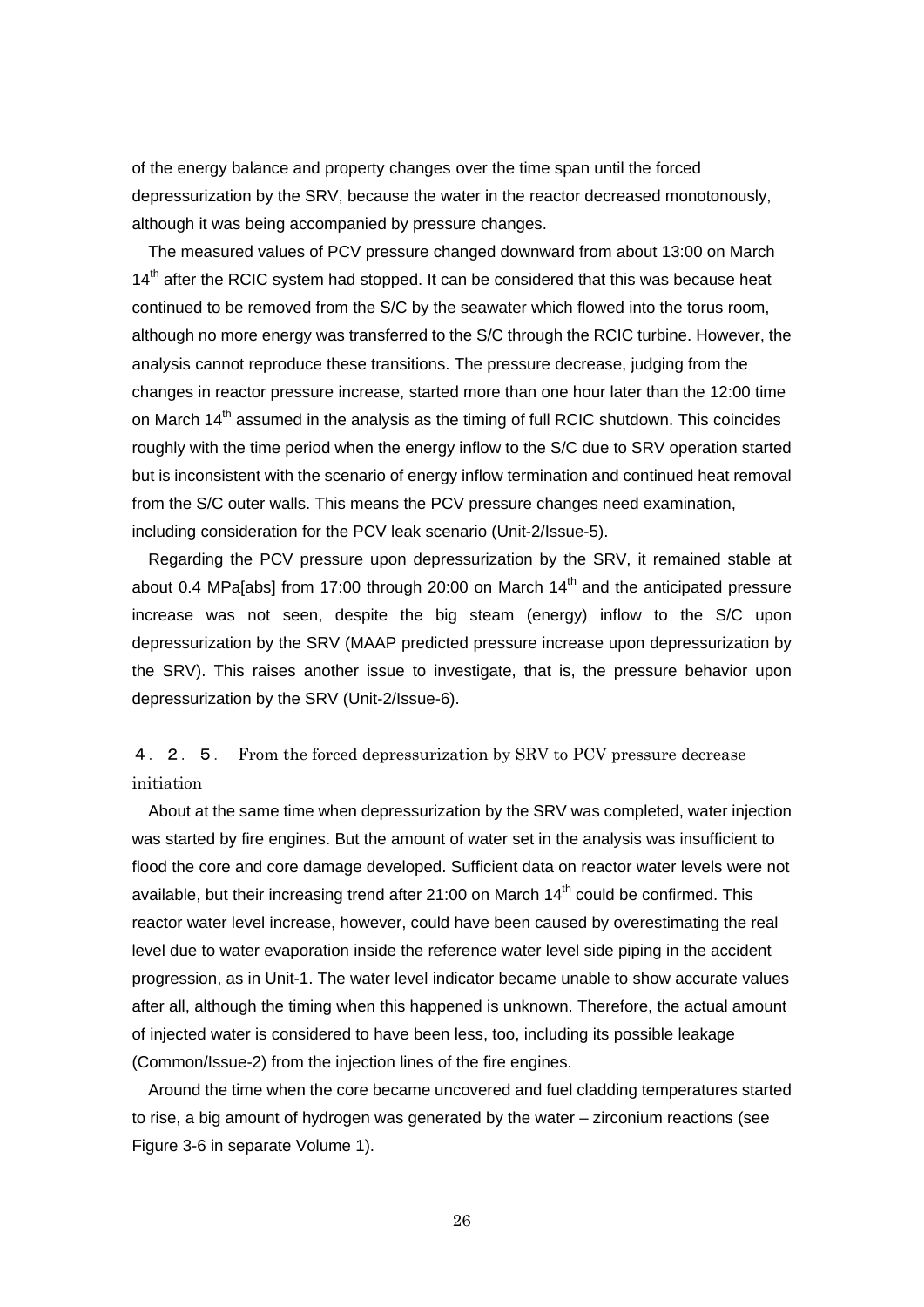of the energy balance and property changes over the time span until the forced depressurization by the SRV, because the water in the reactor decreased monotonously, although it was being accompanied by pressure changes.

The measured values of PCV pressure changed downward from about 13:00 on March  $14<sup>th</sup>$  after the RCIC system had stopped. It can be considered that this was because heat continued to be removed from the S/C by the seawater which flowed into the torus room, although no more energy was transferred to the S/C through the RCIC turbine. However, the analysis cannot reproduce these transitions. The pressure decrease, judging from the changes in reactor pressure increase, started more than one hour later than the 12:00 time on March 14<sup>th</sup> assumed in the analysis as the timing of full RCIC shutdown. This coincides roughly with the time period when the energy inflow to the S/C due to SRV operation started but is inconsistent with the scenario of energy inflow termination and continued heat removal from the S/C outer walls. This means the PCV pressure changes need examination, including consideration for the PCV leak scenario (Unit-2/Issue-5).

Regarding the PCV pressure upon depressurization by the SRV, it remained stable at about 0.4 MPa[abs] from 17:00 through 20:00 on March  $14<sup>th</sup>$  and the anticipated pressure increase was not seen, despite the big steam (energy) inflow to the S/C upon depressurization by the SRV (MAAP predicted pressure increase upon depressurization by the SRV). This raises another issue to investigate, that is, the pressure behavior upon depressurization by the SRV (Unit-2/Issue-6).

4.2.5. From the forced depressurization by SRV to PCV pressure decrease initiation

About at the same time when depressurization by the SRV was completed, water injection was started by fire engines. But the amount of water set in the analysis was insufficient to flood the core and core damage developed. Sufficient data on reactor water levels were not available, but their increasing trend after 21:00 on March  $14<sup>th</sup>$  could be confirmed. This reactor water level increase, however, could have been caused by overestimating the real level due to water evaporation inside the reference water level side piping in the accident progression, as in Unit-1. The water level indicator became unable to show accurate values after all, although the timing when this happened is unknown. Therefore, the actual amount of injected water is considered to have been less, too, including its possible leakage (Common/Issue-2) from the injection lines of the fire engines.

Around the time when the core became uncovered and fuel cladding temperatures started to rise, a big amount of hydrogen was generated by the water – zirconium reactions (see Figure 3-6 in separate Volume 1).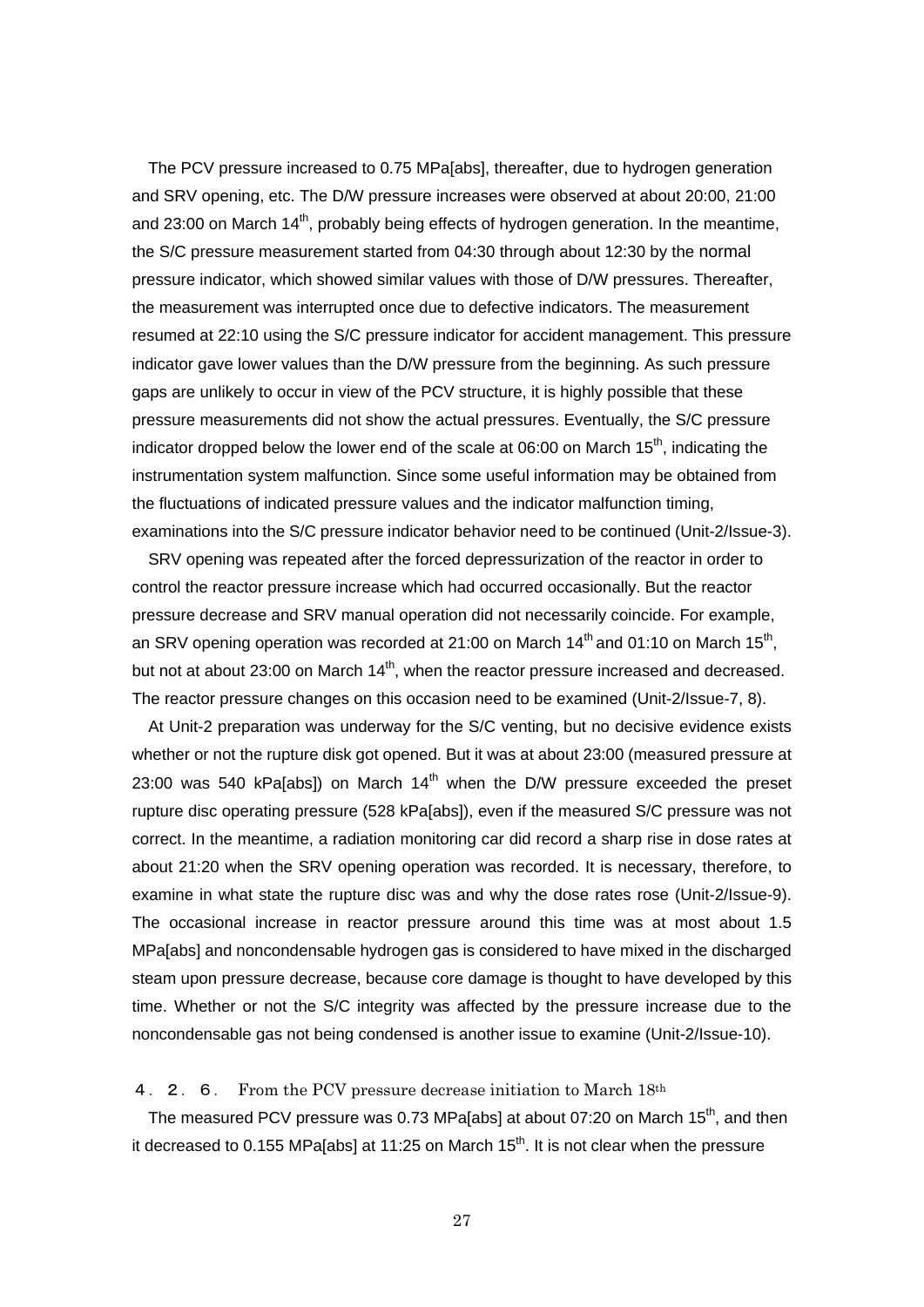The PCV pressure increased to 0.75 MPa[abs], thereafter, due to hydrogen generation and SRV opening, etc. The D/W pressure increases were observed at about 20:00, 21:00 and 23:00 on March  $14<sup>th</sup>$ , probably being effects of hydrogen generation. In the meantime, the S/C pressure measurement started from 04:30 through about 12:30 by the normal pressure indicator, which showed similar values with those of D/W pressures. Thereafter, the measurement was interrupted once due to defective indicators. The measurement resumed at 22:10 using the S/C pressure indicator for accident management. This pressure indicator gave lower values than the D/W pressure from the beginning. As such pressure gaps are unlikely to occur in view of the PCV structure, it is highly possible that these pressure measurements did not show the actual pressures. Eventually, the S/C pressure indicator dropped below the lower end of the scale at  $06:00$  on March  $15<sup>th</sup>$ , indicating the instrumentation system malfunction. Since some useful information may be obtained from the fluctuations of indicated pressure values and the indicator malfunction timing, examinations into the S/C pressure indicator behavior need to be continued (Unit-2/Issue-3).

SRV opening was repeated after the forced depressurization of the reactor in order to control the reactor pressure increase which had occurred occasionally. But the reactor pressure decrease and SRV manual operation did not necessarily coincide. For example, an SRV opening operation was recorded at 21:00 on March  $14<sup>th</sup>$  and 01:10 on March 15<sup>th</sup>, but not at about 23:00 on March 14<sup>th</sup>, when the reactor pressure increased and decreased. The reactor pressure changes on this occasion need to be examined (Unit-2/Issue-7, 8).

At Unit-2 preparation was underway for the S/C venting, but no decisive evidence exists whether or not the rupture disk got opened. But it was at about 23:00 (measured pressure at 23:00 was 540 kPa[abs]) on March  $14<sup>th</sup>$  when the D/W pressure exceeded the preset rupture disc operating pressure (528 kPa[abs]), even if the measured S/C pressure was not correct. In the meantime, a radiation monitoring car did record a sharp rise in dose rates at about 21:20 when the SRV opening operation was recorded. It is necessary, therefore, to examine in what state the rupture disc was and why the dose rates rose (Unit-2/Issue-9). The occasional increase in reactor pressure around this time was at most about 1.5 MPa[abs] and noncondensable hydrogen gas is considered to have mixed in the discharged steam upon pressure decrease, because core damage is thought to have developed by this time. Whether or not the S/C integrity was affected by the pressure increase due to the noncondensable gas not being condensed is another issue to examine (Unit-2/Issue-10).

4. 2. 6. From the PCV pressure decrease initiation to March 18th

The measured PCV pressure was 0.73 MPa[abs] at about 07:20 on March  $15<sup>th</sup>$ , and then it decreased to 0.155 MPa[abs] at 11:25 on March 15<sup>th</sup>. It is not clear when the pressure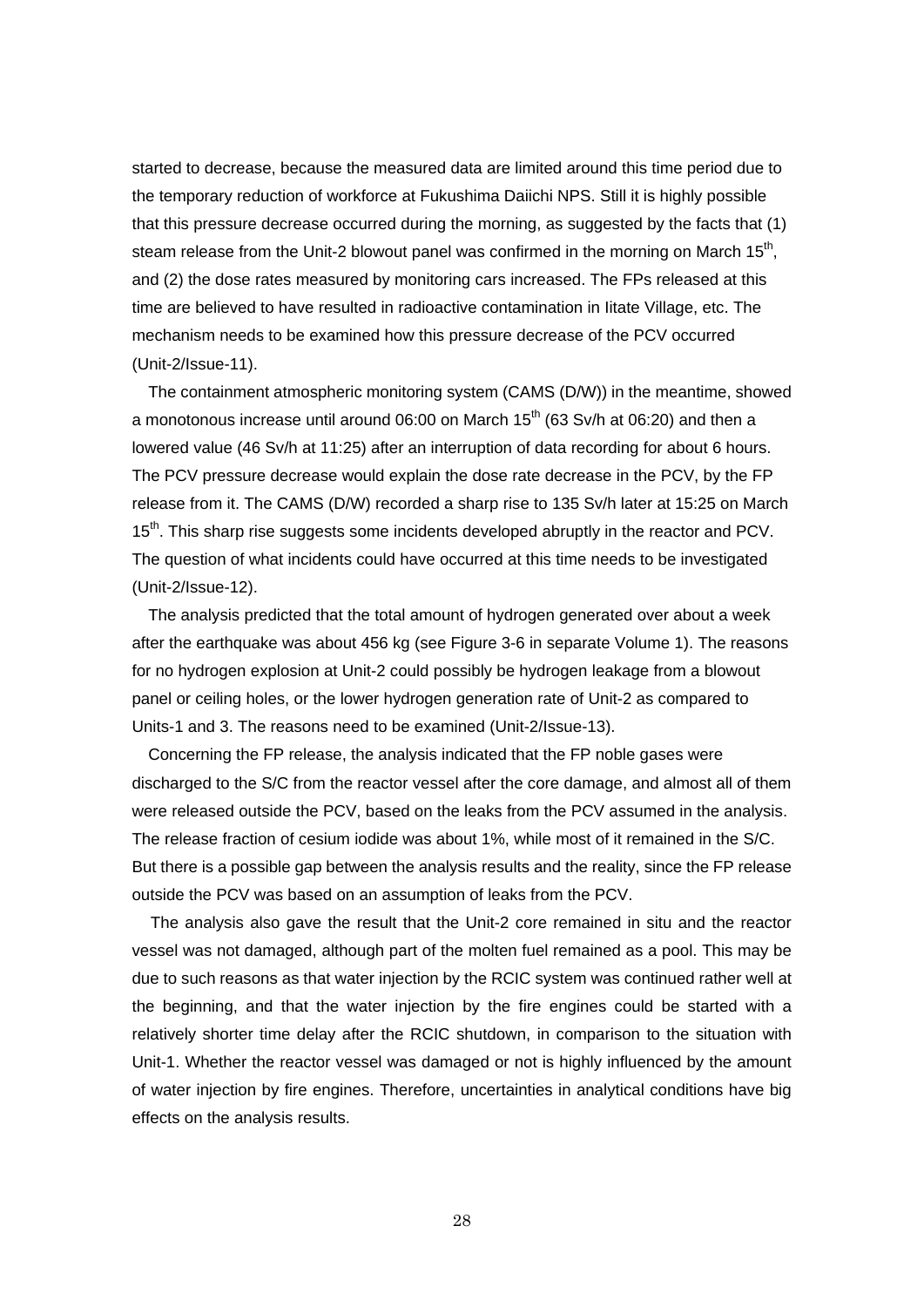started to decrease, because the measured data are limited around this time period due to the temporary reduction of workforce at Fukushima Daiichi NPS. Still it is highly possible that this pressure decrease occurred during the morning, as suggested by the facts that (1) steam release from the Unit-2 blowout panel was confirmed in the morning on March 15<sup>th</sup>, and (2) the dose rates measured by monitoring cars increased. The FPs released at this time are believed to have resulted in radioactive contamination in Iitate Village, etc. The mechanism needs to be examined how this pressure decrease of the PCV occurred (Unit-2/Issue-11).

The containment atmospheric monitoring system (CAMS (D/W)) in the meantime, showed a monotonous increase until around 06:00 on March  $15<sup>th</sup>$  (63 Sv/h at 06:20) and then a lowered value (46 Sv/h at 11:25) after an interruption of data recording for about 6 hours. The PCV pressure decrease would explain the dose rate decrease in the PCV, by the FP release from it. The CAMS (D/W) recorded a sharp rise to 135 Sv/h later at 15:25 on March 15<sup>th</sup>. This sharp rise suggests some incidents developed abruptly in the reactor and PCV. The question of what incidents could have occurred at this time needs to be investigated (Unit-2/Issue-12).

The analysis predicted that the total amount of hydrogen generated over about a week after the earthquake was about 456 kg (see Figure 3-6 in separate Volume 1). The reasons for no hydrogen explosion at Unit-2 could possibly be hydrogen leakage from a blowout panel or ceiling holes, or the lower hydrogen generation rate of Unit-2 as compared to Units-1 and 3. The reasons need to be examined (Unit-2/Issue-13).

Concerning the FP release, the analysis indicated that the FP noble gases were discharged to the S/C from the reactor vessel after the core damage, and almost all of them were released outside the PCV, based on the leaks from the PCV assumed in the analysis. The release fraction of cesium iodide was about 1%, while most of it remained in the S/C. But there is a possible gap between the analysis results and the reality, since the FP release outside the PCV was based on an assumption of leaks from the PCV.

The analysis also gave the result that the Unit-2 core remained in situ and the reactor vessel was not damaged, although part of the molten fuel remained as a pool. This may be due to such reasons as that water injection by the RCIC system was continued rather well at the beginning, and that the water injection by the fire engines could be started with a relatively shorter time delay after the RCIC shutdown, in comparison to the situation with Unit-1. Whether the reactor vessel was damaged or not is highly influenced by the amount of water injection by fire engines. Therefore, uncertainties in analytical conditions have big effects on the analysis results.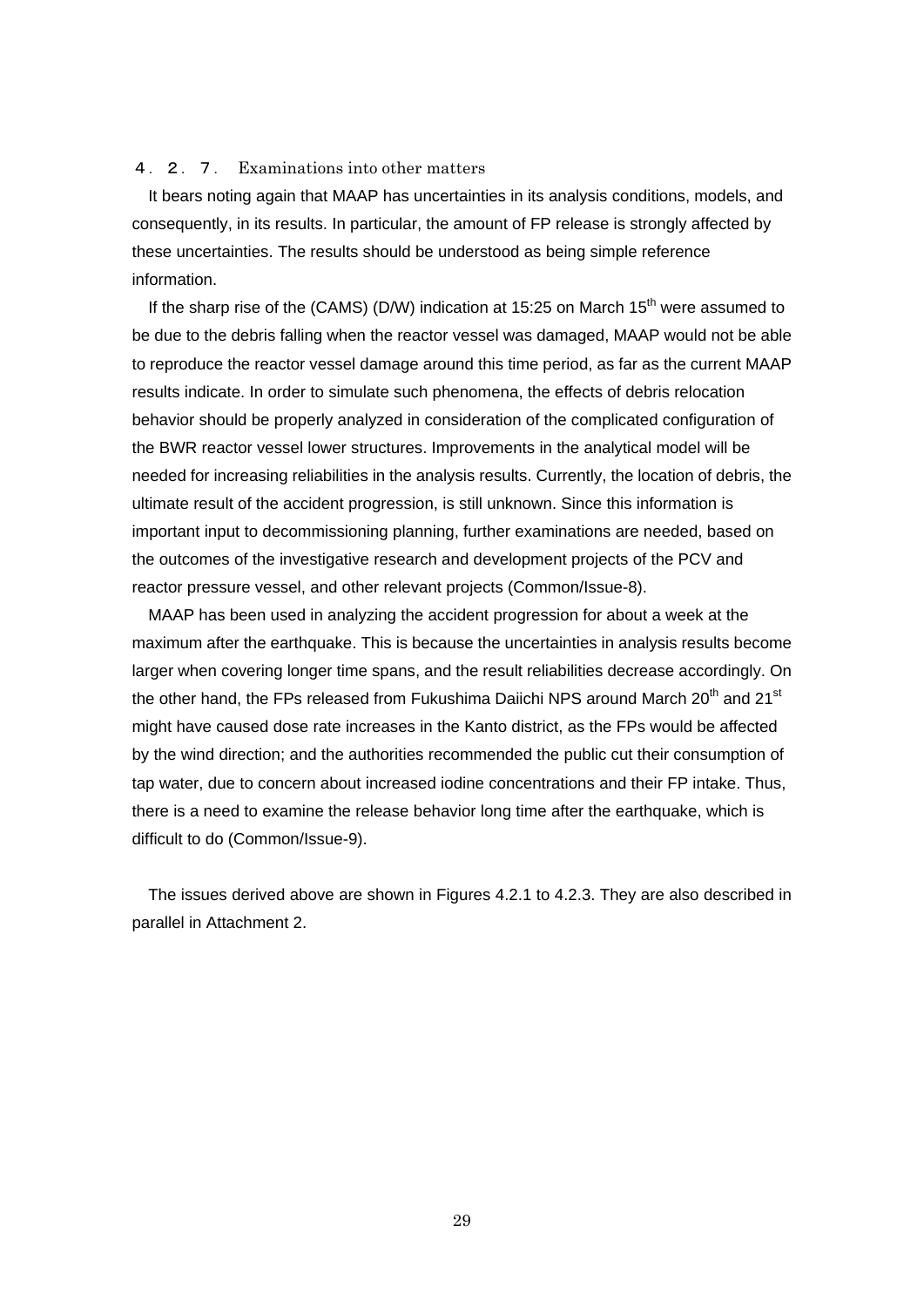#### 4.2.7. Examinations into other matters

It bears noting again that MAAP has uncertainties in its analysis conditions, models, and consequently, in its results. In particular, the amount of FP release is strongly affected by these uncertainties. The results should be understood as being simple reference information.

If the sharp rise of the (CAMS) (D/W) indication at 15:25 on March  $15<sup>th</sup>$  were assumed to be due to the debris falling when the reactor vessel was damaged, MAAP would not be able to reproduce the reactor vessel damage around this time period, as far as the current MAAP results indicate. In order to simulate such phenomena, the effects of debris relocation behavior should be properly analyzed in consideration of the complicated configuration of the BWR reactor vessel lower structures. Improvements in the analytical model will be needed for increasing reliabilities in the analysis results. Currently, the location of debris, the ultimate result of the accident progression, is still unknown. Since this information is important input to decommissioning planning, further examinations are needed, based on the outcomes of the investigative research and development projects of the PCV and reactor pressure vessel, and other relevant projects (Common/Issue-8).

MAAP has been used in analyzing the accident progression for about a week at the maximum after the earthquake. This is because the uncertainties in analysis results become larger when covering longer time spans, and the result reliabilities decrease accordingly. On the other hand, the FPs released from Fukushima Daiichi NPS around March 20<sup>th</sup> and 21<sup>st</sup> might have caused dose rate increases in the Kanto district, as the FPs would be affected by the wind direction; and the authorities recommended the public cut their consumption of tap water, due to concern about increased iodine concentrations and their FP intake. Thus, there is a need to examine the release behavior long time after the earthquake, which is difficult to do (Common/Issue-9).

The issues derived above are shown in Figures 4.2.1 to 4.2.3. They are also described in parallel in Attachment 2.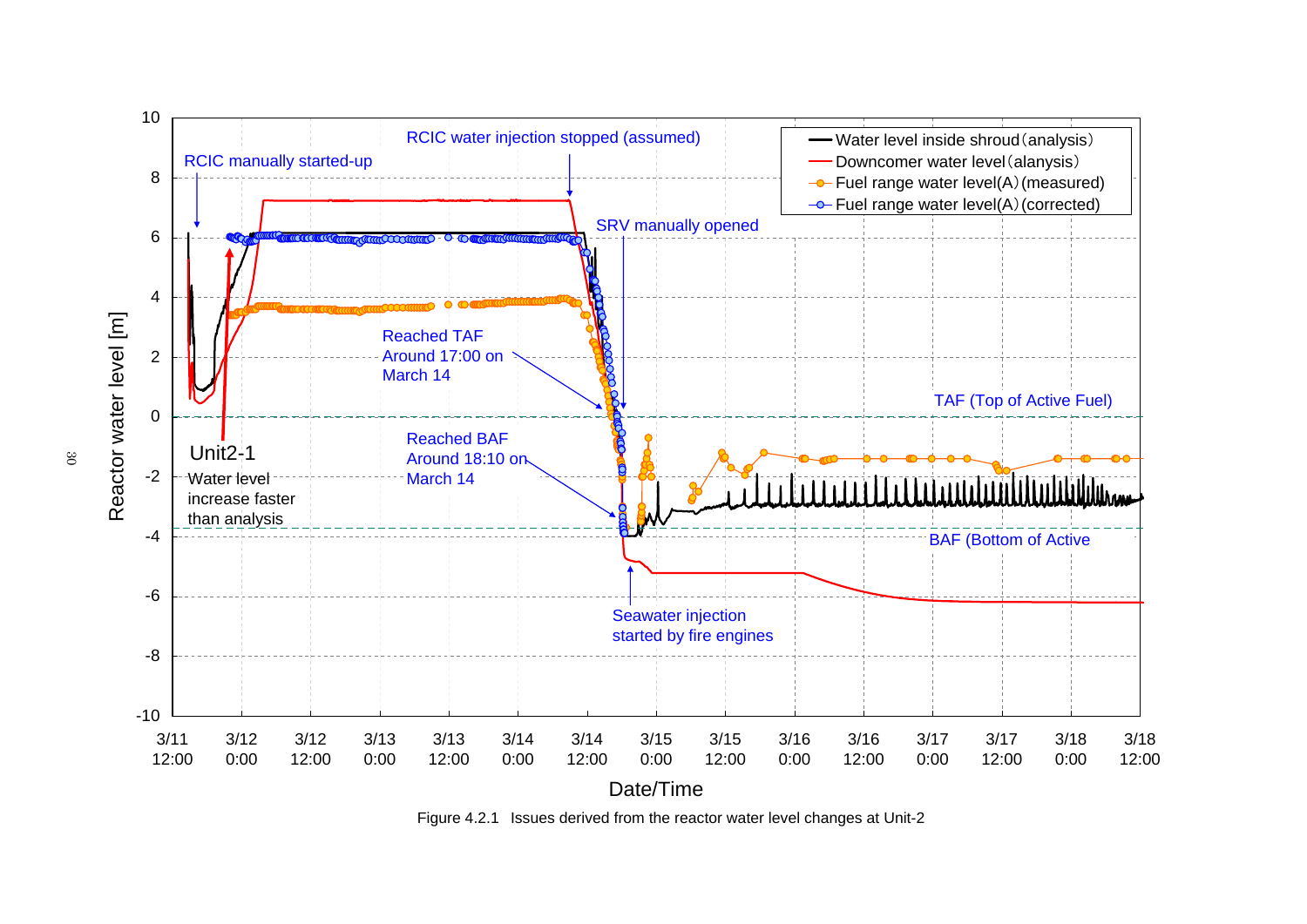

Figure 4.2.1 Issues derived from the reactor water level changes at Unit-2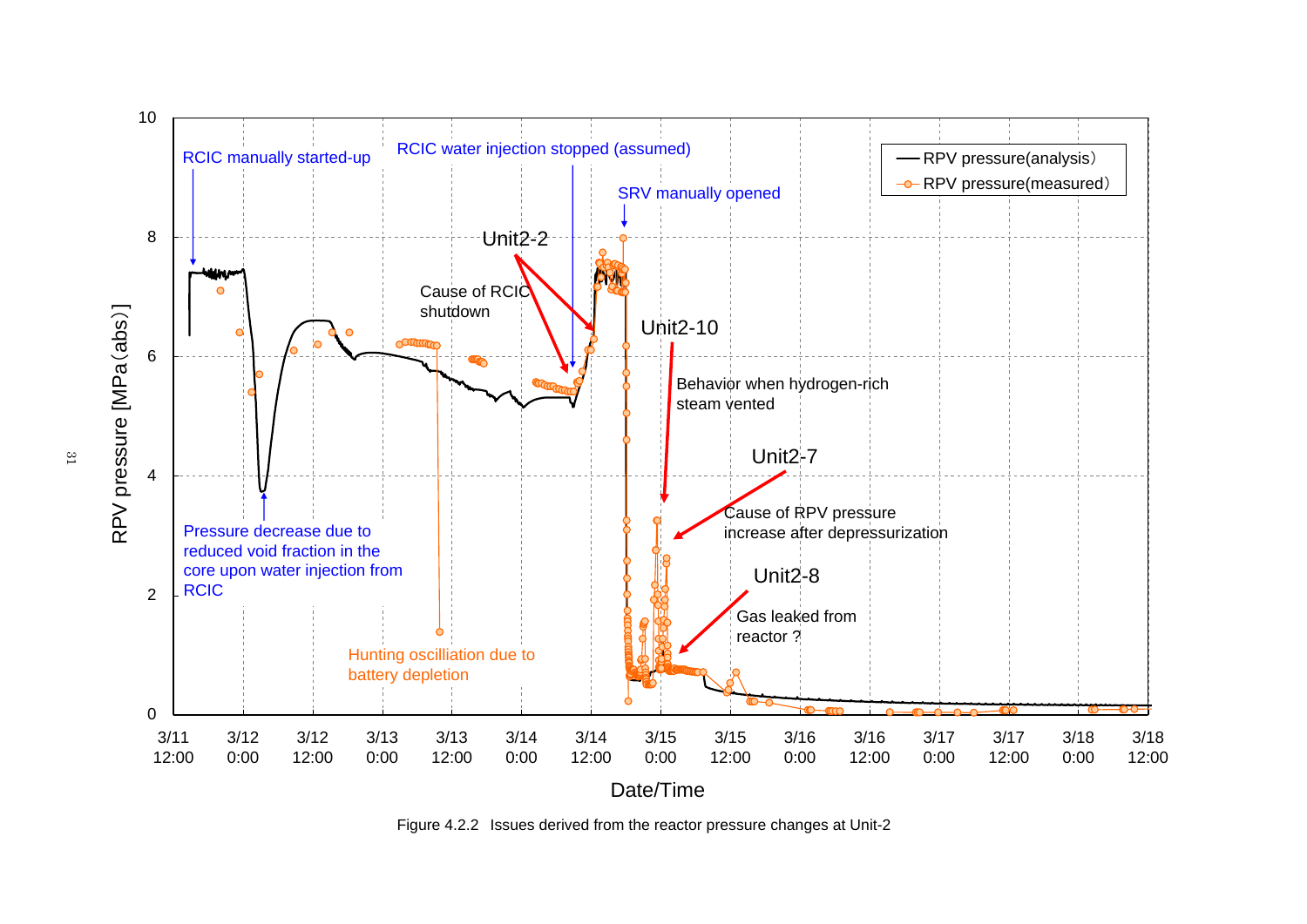

Figure 4.2.2 Issues derived from the reactor pressure changes at Unit-2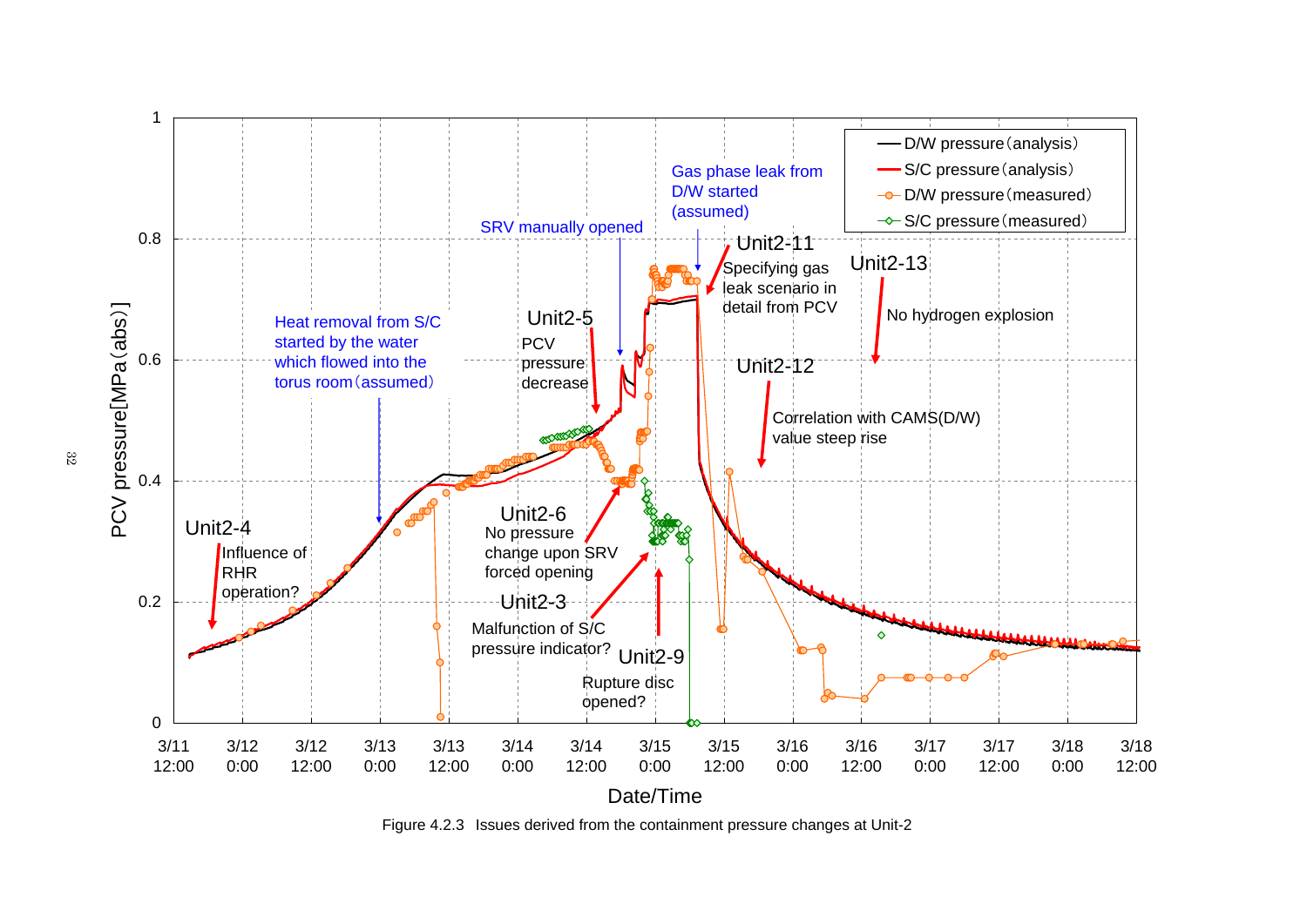

Figure 4.2.3 Issues derived from the containment pressure changes at Unit-2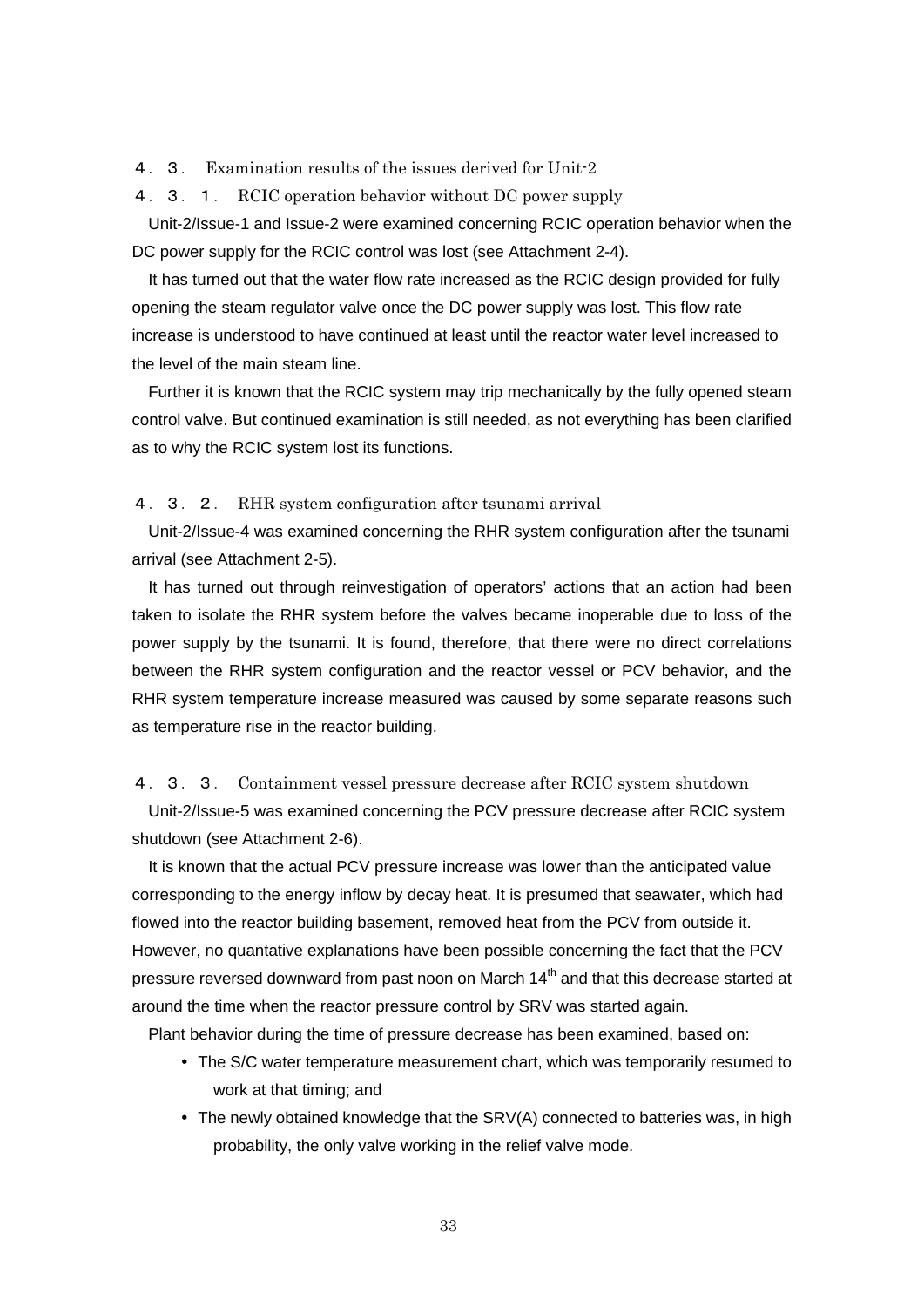4.3. Examination results of the issues derived for Unit-2

4.3.1. RCIC operation behavior without DC power supply

Unit-2/Issue-1 and Issue-2 were examined concerning RCIC operation behavior when the DC power supply for the RCIC control was lost (see Attachment 2-4).

It has turned out that the water flow rate increased as the RCIC design provided for fully opening the steam regulator valve once the DC power supply was lost. This flow rate increase is understood to have continued at least until the reactor water level increased to the level of the main steam line.

Further it is known that the RCIC system may trip mechanically by the fully opened steam control valve. But continued examination is still needed, as not everything has been clarified as to why the RCIC system lost its functions.

### 4.3.2. RHR system configuration after tsunami arrival

Unit-2/Issue-4 was examined concerning the RHR system configuration after the tsunami arrival (see Attachment 2-5).

It has turned out through reinvestigation of operators' actions that an action had been taken to isolate the RHR system before the valves became inoperable due to loss of the power supply by the tsunami. It is found, therefore, that there were no direct correlations between the RHR system configuration and the reactor vessel or PCV behavior, and the RHR system temperature increase measured was caused by some separate reasons such as temperature rise in the reactor building.

## 4.3.3. Containment vessel pressure decrease after RCIC system shutdown

Unit-2/Issue-5 was examined concerning the PCV pressure decrease after RCIC system shutdown (see Attachment 2-6).

It is known that the actual PCV pressure increase was lower than the anticipated value corresponding to the energy inflow by decay heat. It is presumed that seawater, which had flowed into the reactor building basement, removed heat from the PCV from outside it. However, no quantative explanations have been possible concerning the fact that the PCV pressure reversed downward from past noon on March 14<sup>th</sup> and that this decrease started at around the time when the reactor pressure control by SRV was started again.

Plant behavior during the time of pressure decrease has been examined, based on:

- The S/C water temperature measurement chart, which was temporarily resumed to work at that timing; and
- The newly obtained knowledge that the SRV(A) connected to batteries was, in high probability, the only valve working in the relief valve mode.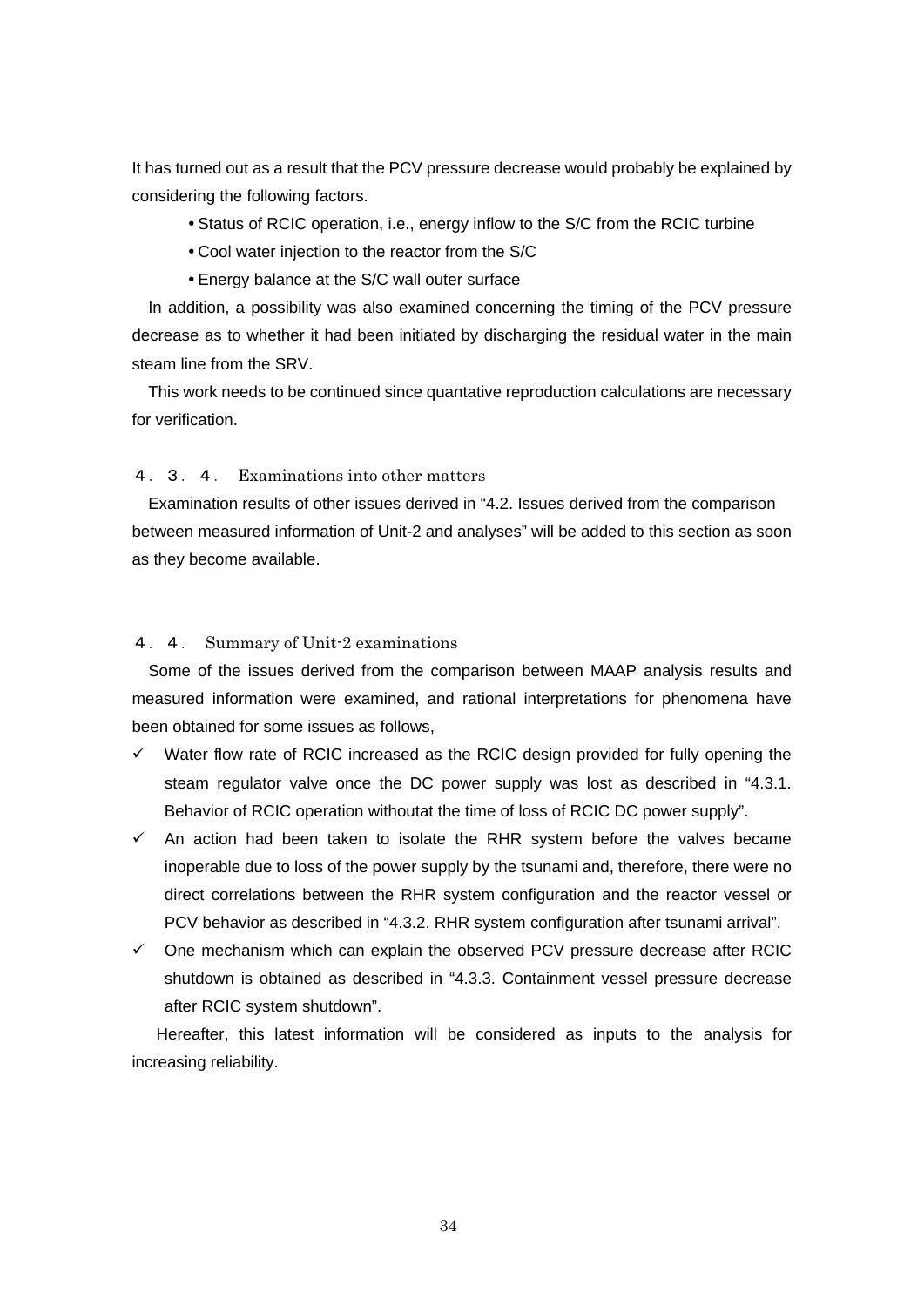It has turned out as a result that the PCV pressure decrease would probably be explained by considering the following factors.

- Status of RCIC operation, i.e., energy inflow to the S/C from the RCIC turbine
- Cool water injection to the reactor from the S/C
- Energy balance at the S/C wall outer surface

In addition, a possibility was also examined concerning the timing of the PCV pressure decrease as to whether it had been initiated by discharging the residual water in the main steam line from the SRV.

This work needs to be continued since quantative reproduction calculations are necessary for verification.

### 4.3.4. Examinations into other matters

Examination results of other issues derived in "4.2. Issues derived from the comparison between measured information of Unit-2 and analyses" will be added to this section as soon as they become available.

## 4.4. Summary of Unit-2 examinations

Some of the issues derived from the comparison between MAAP analysis results and measured information were examined, and rational interpretations for phenomena have been obtained for some issues as follows,

- $\checkmark$  Water flow rate of RCIC increased as the RCIC design provided for fully opening the steam regulator valve once the DC power supply was lost as described in "4.3.1. Behavior of RCIC operation withoutat the time of loss of RCIC DC power supply".
- $\checkmark$  An action had been taken to isolate the RHR system before the valves became inoperable due to loss of the power supply by the tsunami and, therefore, there were no direct correlations between the RHR system configuration and the reactor vessel or PCV behavior as described in "4.3.2. RHR system configuration after tsunami arrival".
- $\checkmark$  One mechanism which can explain the observed PCV pressure decrease after RCIC shutdown is obtained as described in "4.3.3. Containment vessel pressure decrease after RCIC system shutdown".

 Hereafter, this latest information will be considered as inputs to the analysis for increasing reliability.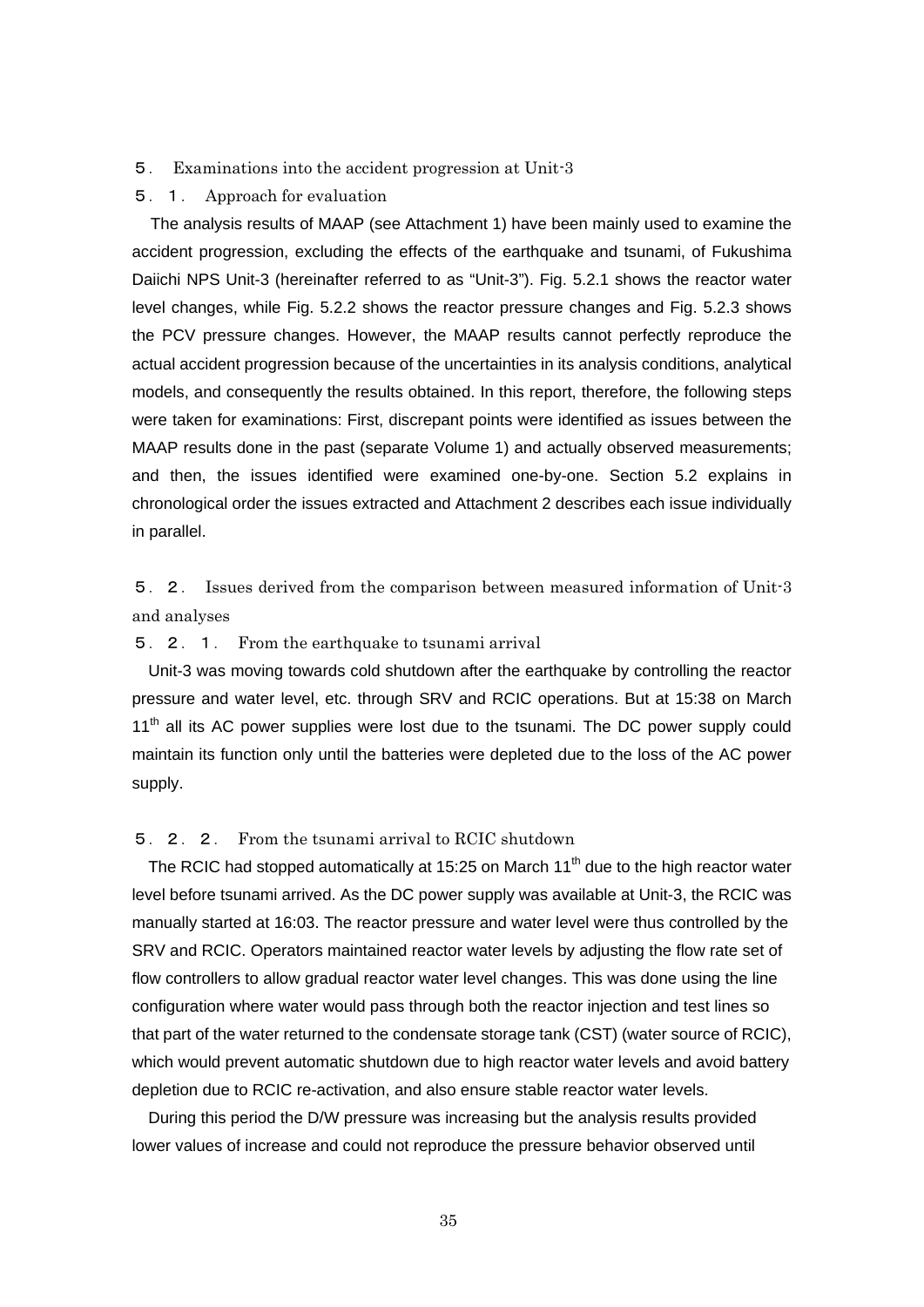#### 5. Examinations into the accident progression at Unit-3

#### 5.1. Approach for evaluation

The analysis results of MAAP (see Attachment 1) have been mainly used to examine the accident progression, excluding the effects of the earthquake and tsunami, of Fukushima Daiichi NPS Unit-3 (hereinafter referred to as "Unit-3"). Fig. 5.2.1 shows the reactor water level changes, while Fig. 5.2.2 shows the reactor pressure changes and Fig. 5.2.3 shows the PCV pressure changes. However, the MAAP results cannot perfectly reproduce the actual accident progression because of the uncertainties in its analysis conditions, analytical models, and consequently the results obtained. In this report, therefore, the following steps were taken for examinations: First, discrepant points were identified as issues between the MAAP results done in the past (separate Volume 1) and actually observed measurements; and then, the issues identified were examined one-by-one. Section 5.2 explains in chronological order the issues extracted and Attachment 2 describes each issue individually in parallel.

5.2. Issues derived from the comparison between measured information of Unit-3 and analyses

# 5.2.1. From the earthquake to tsunami arrival

Unit-3 was moving towards cold shutdown after the earthquake by controlling the reactor pressure and water level, etc. through SRV and RCIC operations. But at 15:38 on March  $11<sup>th</sup>$  all its AC power supplies were lost due to the tsunami. The DC power supply could maintain its function only until the batteries were depleted due to the loss of the AC power supply.

# 5.2.2. From the tsunami arrival to RCIC shutdown

The RCIC had stopped automatically at 15:25 on March  $11<sup>th</sup>$  due to the high reactor water level before tsunami arrived. As the DC power supply was available at Unit-3, the RCIC was manually started at 16:03. The reactor pressure and water level were thus controlled by the SRV and RCIC. Operators maintained reactor water levels by adjusting the flow rate set of flow controllers to allow gradual reactor water level changes. This was done using the line configuration where water would pass through both the reactor injection and test lines so that part of the water returned to the condensate storage tank (CST) (water source of RCIC), which would prevent automatic shutdown due to high reactor water levels and avoid battery depletion due to RCIC re-activation, and also ensure stable reactor water levels.

During this period the D/W pressure was increasing but the analysis results provided lower values of increase and could not reproduce the pressure behavior observed until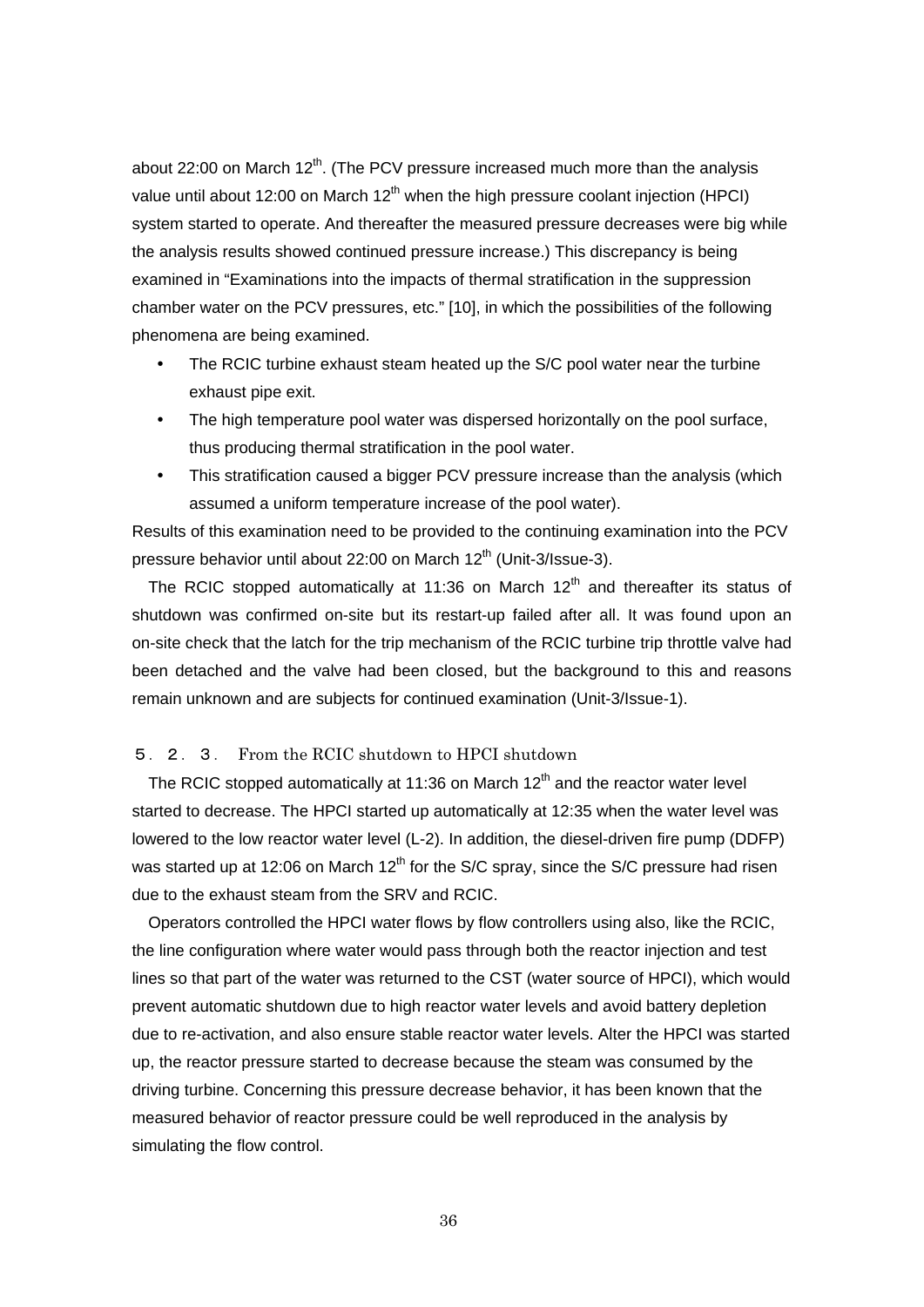about 22:00 on March  $12<sup>th</sup>$ . (The PCV pressure increased much more than the analysis value until about 12:00 on March  $12<sup>th</sup>$  when the high pressure coolant injection (HPCI) system started to operate. And thereafter the measured pressure decreases were big while the analysis results showed continued pressure increase.) This discrepancy is being examined in "Examinations into the impacts of thermal stratification in the suppression chamber water on the PCV pressures, etc." [10], in which the possibilities of the following phenomena are being examined.

- The RCIC turbine exhaust steam heated up the S/C pool water near the turbine exhaust pipe exit.
- The high temperature pool water was dispersed horizontally on the pool surface, thus producing thermal stratification in the pool water.
- This stratification caused a bigger PCV pressure increase than the analysis (which assumed a uniform temperature increase of the pool water).

Results of this examination need to be provided to the continuing examination into the PCV pressure behavior until about 22:00 on March 12<sup>th</sup> (Unit-3/Issue-3).

The RCIC stopped automatically at 11:36 on March  $12<sup>th</sup>$  and thereafter its status of shutdown was confirmed on-site but its restart-up failed after all. It was found upon an on-site check that the latch for the trip mechanism of the RCIC turbine trip throttle valve had been detached and the valve had been closed, but the background to this and reasons remain unknown and are subjects for continued examination (Unit-3/Issue-1).

# 5.2.3. From the RCIC shutdown to HPCI shutdown

The RCIC stopped automatically at 11:36 on March  $12<sup>th</sup>$  and the reactor water level started to decrease. The HPCI started up automatically at 12:35 when the water level was lowered to the low reactor water level (L-2). In addition, the diesel-driven fire pump (DDFP) was started up at 12:06 on March  $12^{th}$  for the S/C spray, since the S/C pressure had risen due to the exhaust steam from the SRV and RCIC.

Operators controlled the HPCI water flows by flow controllers using also, like the RCIC, the line configuration where water would pass through both the reactor injection and test lines so that part of the water was returned to the CST (water source of HPCI), which would prevent automatic shutdown due to high reactor water levels and avoid battery depletion due to re-activation, and also ensure stable reactor water levels. Alter the HPCI was started up, the reactor pressure started to decrease because the steam was consumed by the driving turbine. Concerning this pressure decrease behavior, it has been known that the measured behavior of reactor pressure could be well reproduced in the analysis by simulating the flow control.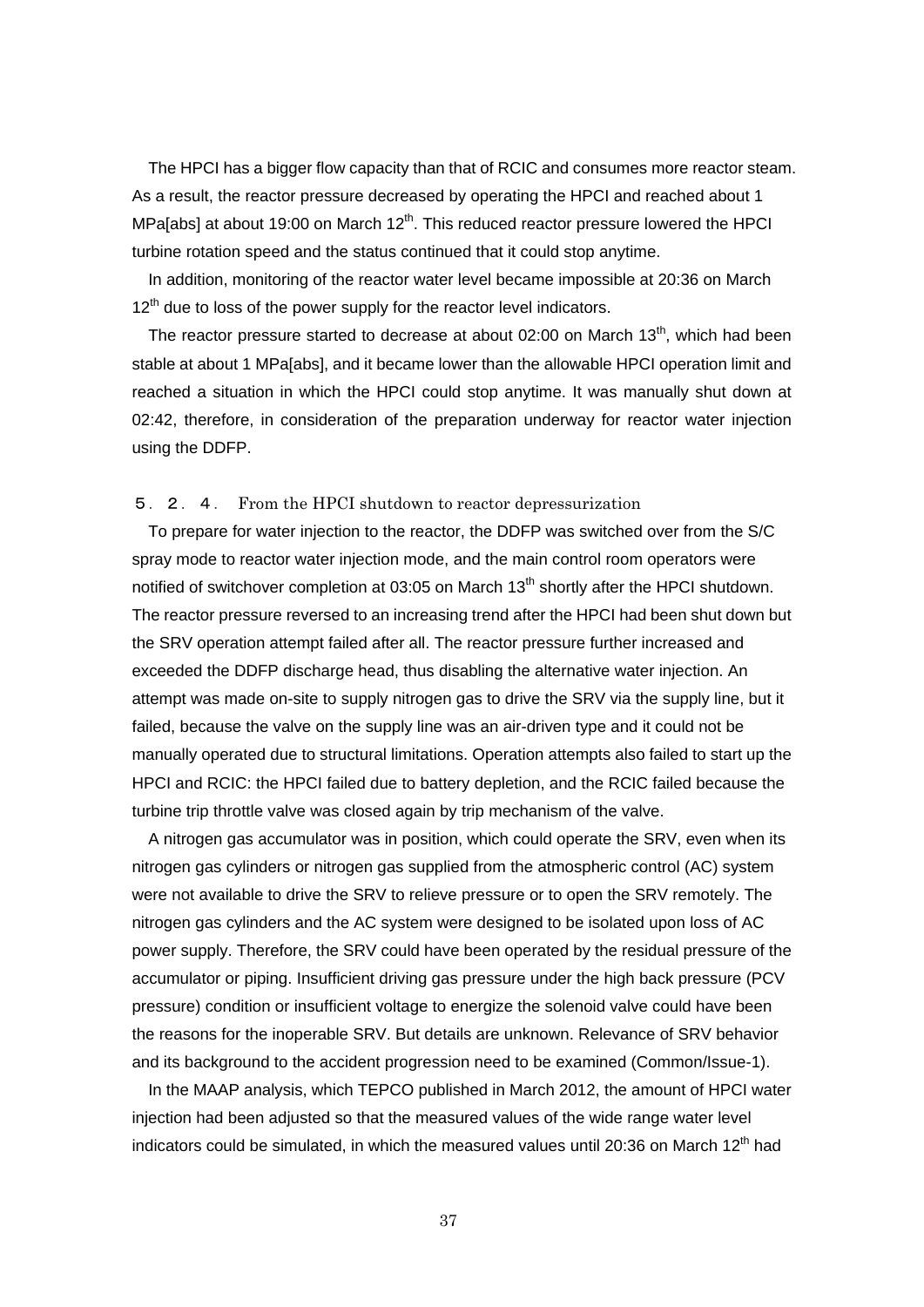The HPCI has a bigger flow capacity than that of RCIC and consumes more reactor steam. As a result, the reactor pressure decreased by operating the HPCI and reached about 1 MPa[abs] at about 19:00 on March 12<sup>th</sup>. This reduced reactor pressure lowered the HPCI turbine rotation speed and the status continued that it could stop anytime.

In addition, monitoring of the reactor water level became impossible at 20:36 on March  $12<sup>th</sup>$  due to loss of the power supply for the reactor level indicators.

The reactor pressure started to decrease at about 02:00 on March  $13<sup>th</sup>$ , which had been stable at about 1 MPa[abs], and it became lower than the allowable HPCI operation limit and reached a situation in which the HPCI could stop anytime. It was manually shut down at 02:42, therefore, in consideration of the preparation underway for reactor water injection using the DDFP.

## 5.2.4. From the HPCI shutdown to reactor depressurization

To prepare for water injection to the reactor, the DDFP was switched over from the S/C spray mode to reactor water injection mode, and the main control room operators were notified of switchover completion at 03:05 on March 13<sup>th</sup> shortly after the HPCI shutdown. The reactor pressure reversed to an increasing trend after the HPCI had been shut down but the SRV operation attempt failed after all. The reactor pressure further increased and exceeded the DDFP discharge head, thus disabling the alternative water injection. An attempt was made on-site to supply nitrogen gas to drive the SRV via the supply line, but it failed, because the valve on the supply line was an air-driven type and it could not be manually operated due to structural limitations. Operation attempts also failed to start up the HPCI and RCIC: the HPCI failed due to battery depletion, and the RCIC failed because the turbine trip throttle valve was closed again by trip mechanism of the valve.

A nitrogen gas accumulator was in position, which could operate the SRV, even when its nitrogen gas cylinders or nitrogen gas supplied from the atmospheric control (AC) system were not available to drive the SRV to relieve pressure or to open the SRV remotely. The nitrogen gas cylinders and the AC system were designed to be isolated upon loss of AC power supply. Therefore, the SRV could have been operated by the residual pressure of the accumulator or piping. Insufficient driving gas pressure under the high back pressure (PCV pressure) condition or insufficient voltage to energize the solenoid valve could have been the reasons for the inoperable SRV. But details are unknown. Relevance of SRV behavior and its background to the accident progression need to be examined (Common/Issue-1).

In the MAAP analysis, which TEPCO published in March 2012, the amount of HPCI water injection had been adjusted so that the measured values of the wide range water level indicators could be simulated, in which the measured values until 20:36 on March 12<sup>th</sup> had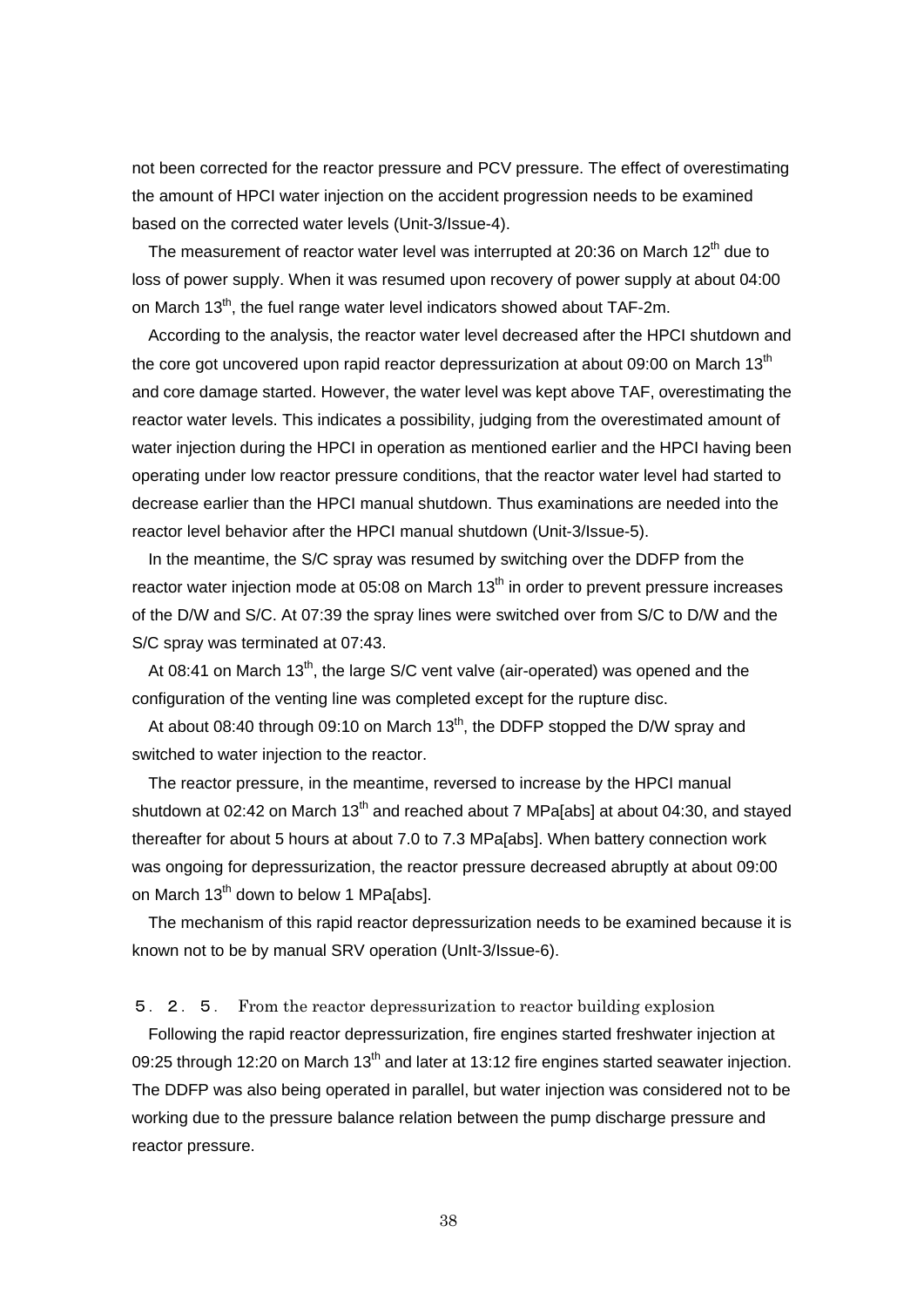not been corrected for the reactor pressure and PCV pressure. The effect of overestimating the amount of HPCI water injection on the accident progression needs to be examined based on the corrected water levels (Unit-3/Issue-4).

The measurement of reactor water level was interrupted at 20:36 on March 12<sup>th</sup> due to loss of power supply. When it was resumed upon recovery of power supply at about 04:00 on March 13<sup>th</sup>, the fuel range water level indicators showed about TAF-2m.

According to the analysis, the reactor water level decreased after the HPCI shutdown and the core got uncovered upon rapid reactor depressurization at about 09:00 on March  $13<sup>th</sup>$ and core damage started. However, the water level was kept above TAF, overestimating the reactor water levels. This indicates a possibility, judging from the overestimated amount of water injection during the HPCI in operation as mentioned earlier and the HPCI having been operating under low reactor pressure conditions, that the reactor water level had started to decrease earlier than the HPCI manual shutdown. Thus examinations are needed into the reactor level behavior after the HPCI manual shutdown (Unit-3/Issue-5).

In the meantime, the S/C spray was resumed by switching over the DDFP from the reactor water injection mode at 05:08 on March  $13<sup>th</sup>$  in order to prevent pressure increases of the D/W and S/C. At 07:39 the spray lines were switched over from S/C to D/W and the S/C spray was terminated at 07:43.

At 08:41 on March 13<sup>th</sup>, the large S/C vent valve (air-operated) was opened and the configuration of the venting line was completed except for the rupture disc.

At about 08:40 through 09:10 on March 13<sup>th</sup>, the DDFP stopped the D/W spray and switched to water injection to the reactor.

The reactor pressure, in the meantime, reversed to increase by the HPCI manual shutdown at 02:42 on March 13<sup>th</sup> and reached about 7 MPa[abs] at about 04:30, and stayed thereafter for about 5 hours at about 7.0 to 7.3 MPa[abs]. When battery connection work was ongoing for depressurization, the reactor pressure decreased abruptly at about 09:00 on March 13<sup>th</sup> down to below 1 MPa[abs].

The mechanism of this rapid reactor depressurization needs to be examined because it is known not to be by manual SRV operation (UnIt-3/Issue-6).

5.2.5. From the reactor depressurization to reactor building explosion

Following the rapid reactor depressurization, fire engines started freshwater injection at 09:25 through 12:20 on March 13<sup>th</sup> and later at 13:12 fire engines started seawater injection. The DDFP was also being operated in parallel, but water injection was considered not to be working due to the pressure balance relation between the pump discharge pressure and reactor pressure.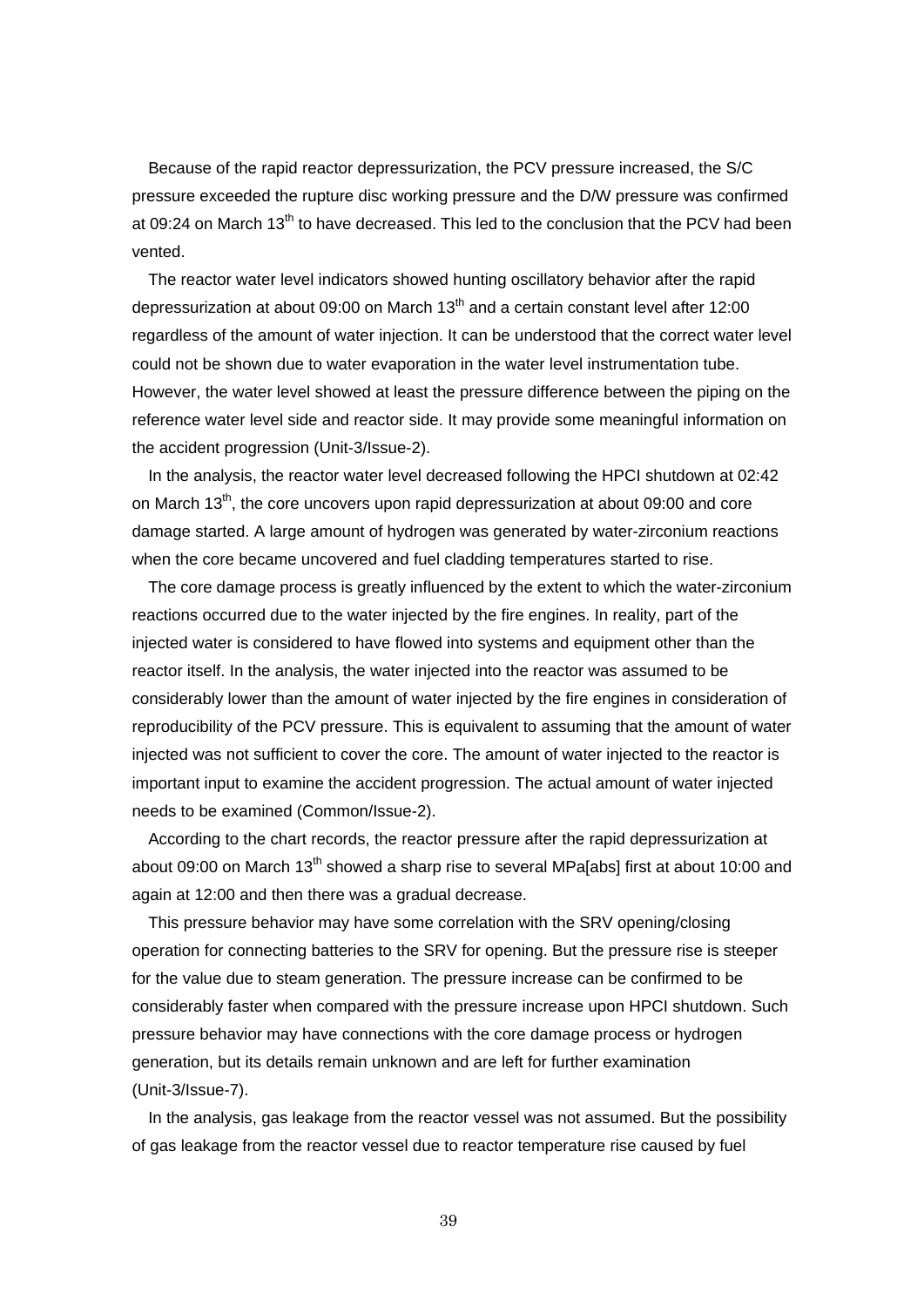Because of the rapid reactor depressurization, the PCV pressure increased, the S/C pressure exceeded the rupture disc working pressure and the D/W pressure was confirmed at 09:24 on March 13<sup>th</sup> to have decreased. This led to the conclusion that the PCV had been vented.

The reactor water level indicators showed hunting oscillatory behavior after the rapid depressurization at about 09:00 on March  $13<sup>th</sup>$  and a certain constant level after 12:00 regardless of the amount of water injection. It can be understood that the correct water level could not be shown due to water evaporation in the water level instrumentation tube. However, the water level showed at least the pressure difference between the piping on the reference water level side and reactor side. It may provide some meaningful information on the accident progression (Unit-3/Issue-2).

In the analysis, the reactor water level decreased following the HPCI shutdown at 02:42 on March 13<sup>th</sup>, the core uncovers upon rapid depressurization at about 09:00 and core damage started. A large amount of hydrogen was generated by water-zirconium reactions when the core became uncovered and fuel cladding temperatures started to rise.

The core damage process is greatly influenced by the extent to which the water-zirconium reactions occurred due to the water injected by the fire engines. In reality, part of the injected water is considered to have flowed into systems and equipment other than the reactor itself. In the analysis, the water injected into the reactor was assumed to be considerably lower than the amount of water injected by the fire engines in consideration of reproducibility of the PCV pressure. This is equivalent to assuming that the amount of water injected was not sufficient to cover the core. The amount of water injected to the reactor is important input to examine the accident progression. The actual amount of water injected needs to be examined (Common/Issue-2).

According to the chart records, the reactor pressure after the rapid depressurization at about 09:00 on March 13<sup>th</sup> showed a sharp rise to several MPa[abs] first at about 10:00 and again at 12:00 and then there was a gradual decrease.

This pressure behavior may have some correlation with the SRV opening/closing operation for connecting batteries to the SRV for opening. But the pressure rise is steeper for the value due to steam generation. The pressure increase can be confirmed to be considerably faster when compared with the pressure increase upon HPCI shutdown. Such pressure behavior may have connections with the core damage process or hydrogen generation, but its details remain unknown and are left for further examination (Unit-3/Issue-7).

In the analysis, gas leakage from the reactor vessel was not assumed. But the possibility of gas leakage from the reactor vessel due to reactor temperature rise caused by fuel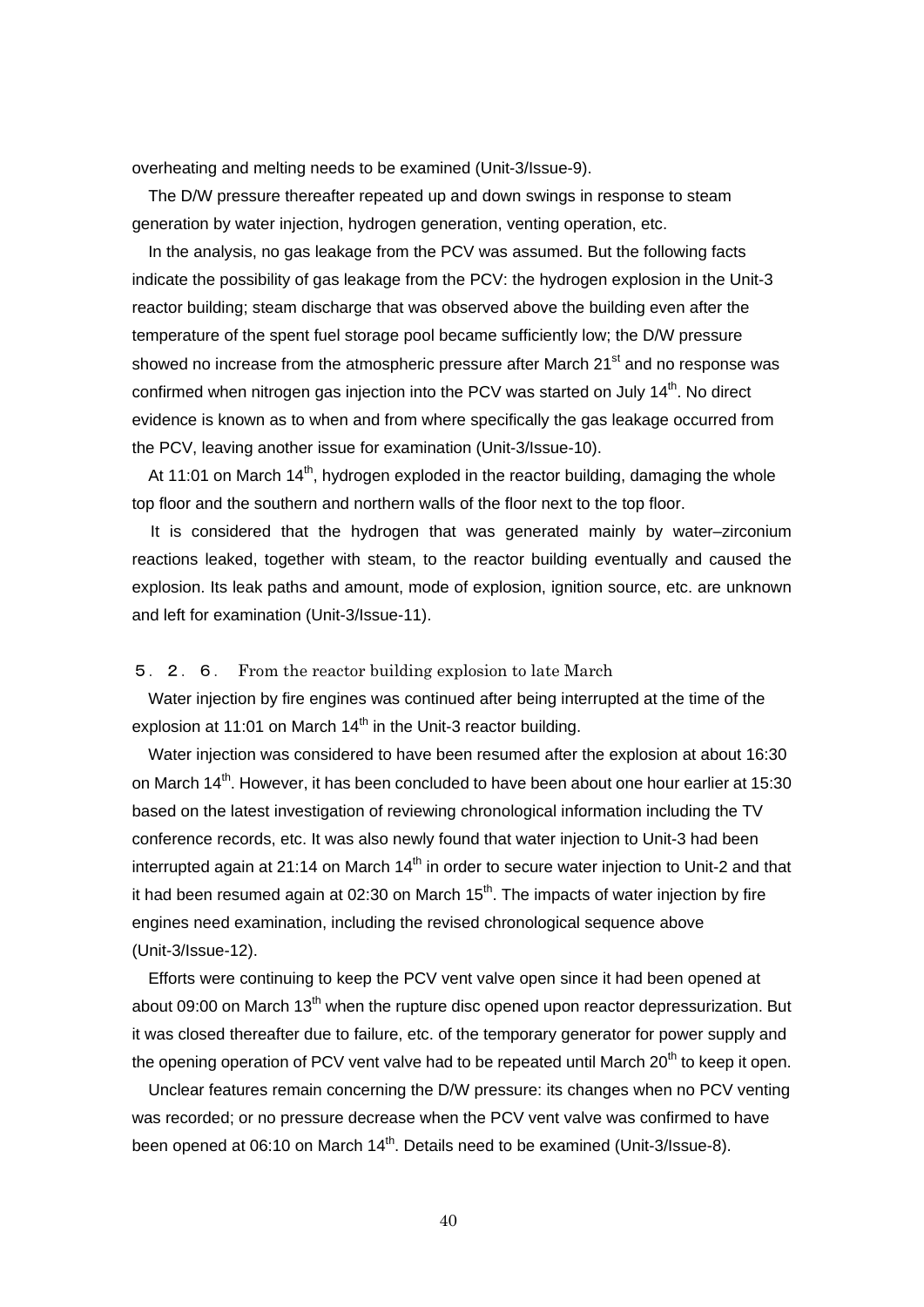overheating and melting needs to be examined (Unit-3/Issue-9).

The D/W pressure thereafter repeated up and down swings in response to steam generation by water injection, hydrogen generation, venting operation, etc.

In the analysis, no gas leakage from the PCV was assumed. But the following facts indicate the possibility of gas leakage from the PCV: the hydrogen explosion in the Unit-3 reactor building; steam discharge that was observed above the building even after the temperature of the spent fuel storage pool became sufficiently low; the D/W pressure showed no increase from the atmospheric pressure after March  $21<sup>st</sup>$  and no response was confirmed when nitrogen gas injection into the PCV was started on July  $14<sup>th</sup>$ . No direct evidence is known as to when and from where specifically the gas leakage occurred from the PCV, leaving another issue for examination (Unit-3/Issue-10).

At 11:01 on March  $14<sup>th</sup>$ , hydrogen exploded in the reactor building, damaging the whole top floor and the southern and northern walls of the floor next to the top floor.

It is considered that the hydrogen that was generated mainly by water–zirconium reactions leaked, together with steam, to the reactor building eventually and caused the explosion. Its leak paths and amount, mode of explosion, ignition source, etc. are unknown and left for examination (Unit-3/Issue-11).

## 5.2.6. From the reactor building explosion to late March

Water injection by fire engines was continued after being interrupted at the time of the explosion at 11:01 on March  $14<sup>th</sup>$  in the Unit-3 reactor building.

Water injection was considered to have been resumed after the explosion at about 16:30 on March  $14<sup>th</sup>$ . However, it has been concluded to have been about one hour earlier at 15:30 based on the latest investigation of reviewing chronological information including the TV conference records, etc. It was also newly found that water injection to Unit-3 had been interrupted again at 21:14 on March 14<sup>th</sup> in order to secure water injection to Unit-2 and that it had been resumed again at 02:30 on March  $15<sup>th</sup>$ . The impacts of water injection by fire engines need examination, including the revised chronological sequence above (Unit-3/Issue-12).

Efforts were continuing to keep the PCV vent valve open since it had been opened at about 09:00 on March 13<sup>th</sup> when the rupture disc opened upon reactor depressurization. But it was closed thereafter due to failure, etc. of the temporary generator for power supply and the opening operation of PCV vent valve had to be repeated until March  $20<sup>th</sup>$  to keep it open.

Unclear features remain concerning the D/W pressure: its changes when no PCV venting was recorded; or no pressure decrease when the PCV vent valve was confirmed to have been opened at 06:10 on March  $14<sup>th</sup>$ . Details need to be examined (Unit-3/Issue-8).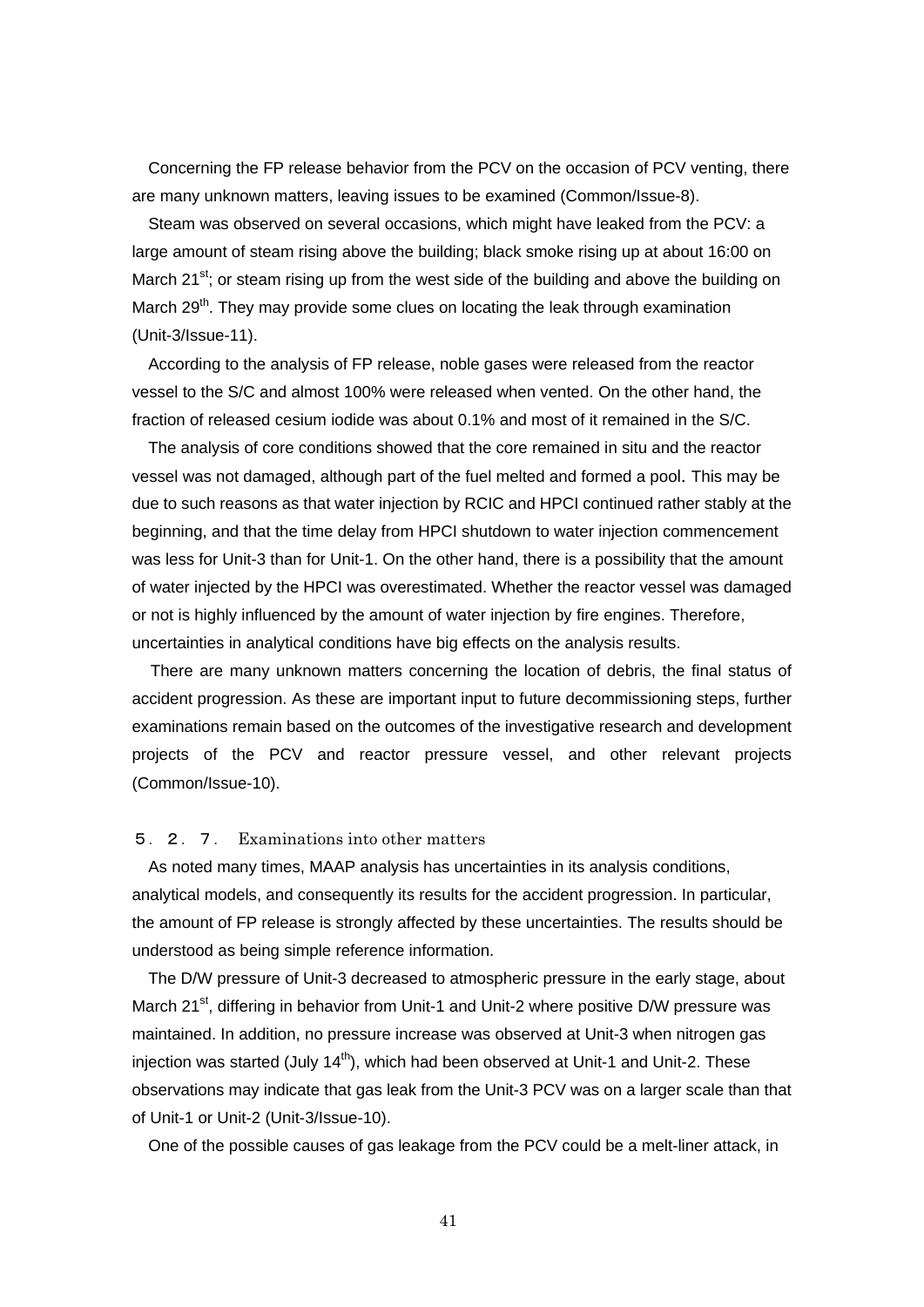Concerning the FP release behavior from the PCV on the occasion of PCV venting, there are many unknown matters, leaving issues to be examined (Common/Issue-8).

Steam was observed on several occasions, which might have leaked from the PCV: a large amount of steam rising above the building; black smoke rising up at about 16:00 on March 21<sup>st</sup>; or steam rising up from the west side of the building and above the building on March  $29<sup>th</sup>$ . They may provide some clues on locating the leak through examination (Unit-3/Issue-11).

According to the analysis of FP release, noble gases were released from the reactor vessel to the S/C and almost 100% were released when vented. On the other hand, the fraction of released cesium iodide was about 0.1% and most of it remained in the S/C.

The analysis of core conditions showed that the core remained in situ and the reactor vessel was not damaged, although part of the fuel melted and formed a pool. This may be due to such reasons as that water injection by RCIC and HPCI continued rather stably at the beginning, and that the time delay from HPCI shutdown to water injection commencement was less for Unit-3 than for Unit-1. On the other hand, there is a possibility that the amount of water injected by the HPCI was overestimated. Whether the reactor vessel was damaged or not is highly influenced by the amount of water injection by fire engines. Therefore, uncertainties in analytical conditions have big effects on the analysis results.

There are many unknown matters concerning the location of debris, the final status of accident progression. As these are important input to future decommissioning steps, further examinations remain based on the outcomes of the investigative research and development projects of the PCV and reactor pressure vessel, and other relevant projects (Common/Issue-10).

## 5.2.7. Examinations into other matters

As noted many times, MAAP analysis has uncertainties in its analysis conditions, analytical models, and consequently its results for the accident progression. In particular, the amount of FP release is strongly affected by these uncertainties. The results should be understood as being simple reference information.

The D/W pressure of Unit-3 decreased to atmospheric pressure in the early stage, about March 21<sup>st</sup>, differing in behavior from Unit-1 and Unit-2 where positive D/W pressure was maintained. In addition, no pressure increase was observed at Unit-3 when nitrogen gas iniection was started (July  $14<sup>th</sup>$ ), which had been observed at Unit-1 and Unit-2. These observations may indicate that gas leak from the Unit-3 PCV was on a larger scale than that of Unit-1 or Unit-2 (Unit-3/Issue-10).

One of the possible causes of gas leakage from the PCV could be a melt-liner attack, in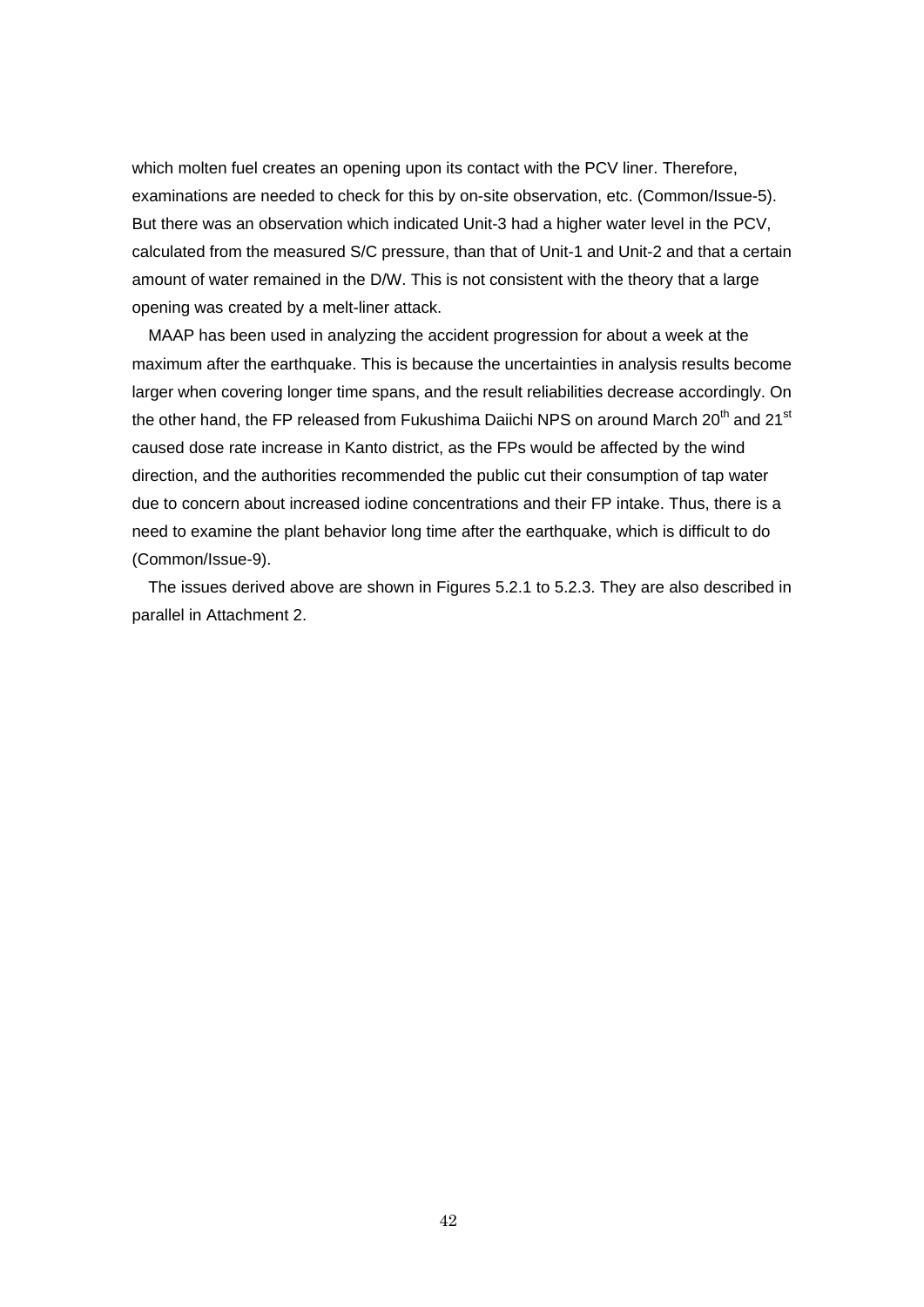which molten fuel creates an opening upon its contact with the PCV liner. Therefore, examinations are needed to check for this by on-site observation, etc. (Common/Issue-5). But there was an observation which indicated Unit-3 had a higher water level in the PCV, calculated from the measured S/C pressure, than that of Unit-1 and Unit-2 and that a certain amount of water remained in the D/W. This is not consistent with the theory that a large opening was created by a melt-liner attack.

MAAP has been used in analyzing the accident progression for about a week at the maximum after the earthquake. This is because the uncertainties in analysis results become larger when covering longer time spans, and the result reliabilities decrease accordingly. On the other hand, the FP released from Fukushima Daiichi NPS on around March 20<sup>th</sup> and 21<sup>st</sup> caused dose rate increase in Kanto district, as the FPs would be affected by the wind direction, and the authorities recommended the public cut their consumption of tap water due to concern about increased iodine concentrations and their FP intake. Thus, there is a need to examine the plant behavior long time after the earthquake, which is difficult to do (Common/Issue-9).

The issues derived above are shown in Figures 5.2.1 to 5.2.3. They are also described in parallel in Attachment 2.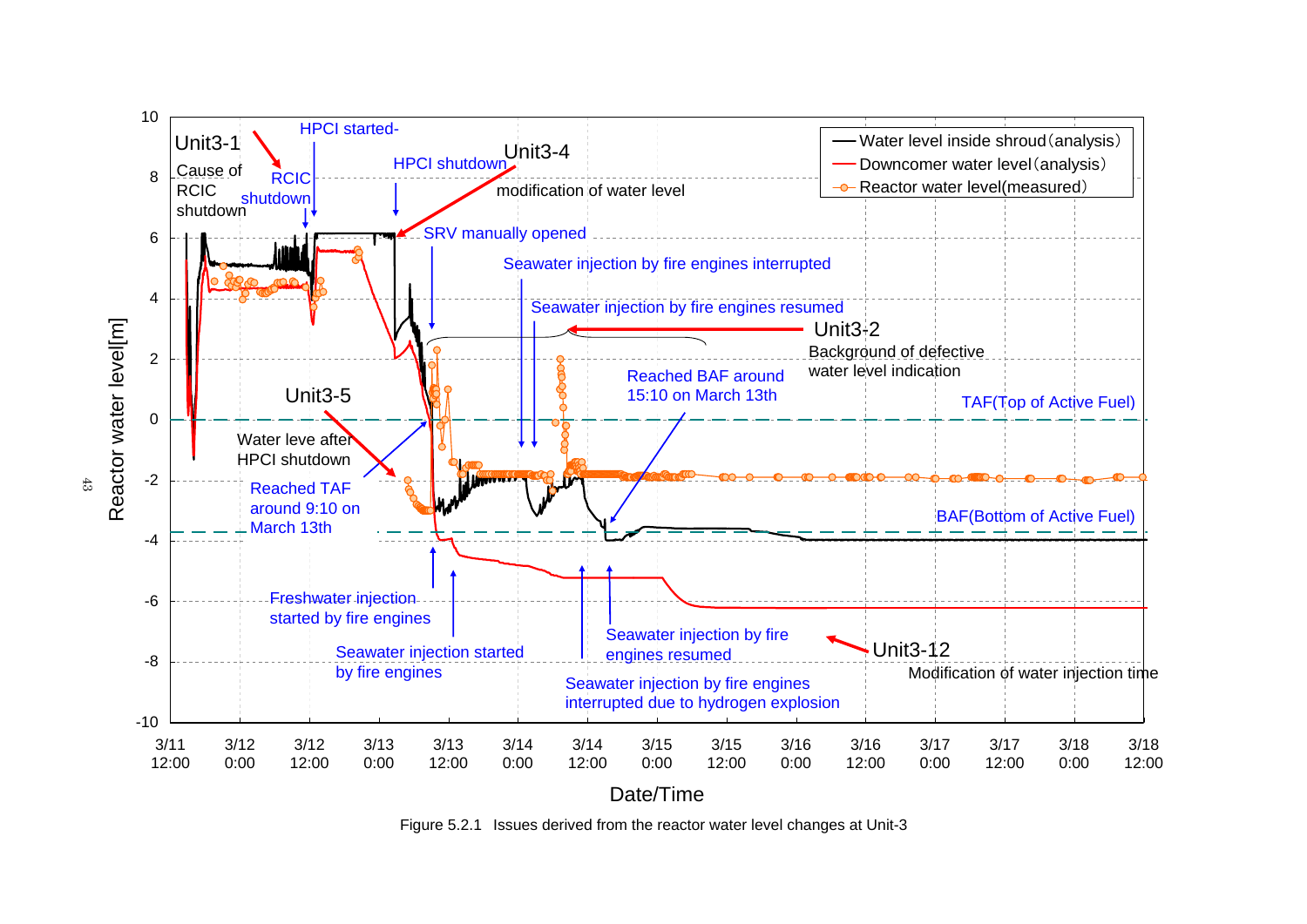

Figure 5.2.1 Issues derived from the reactor water level changes at Unit-3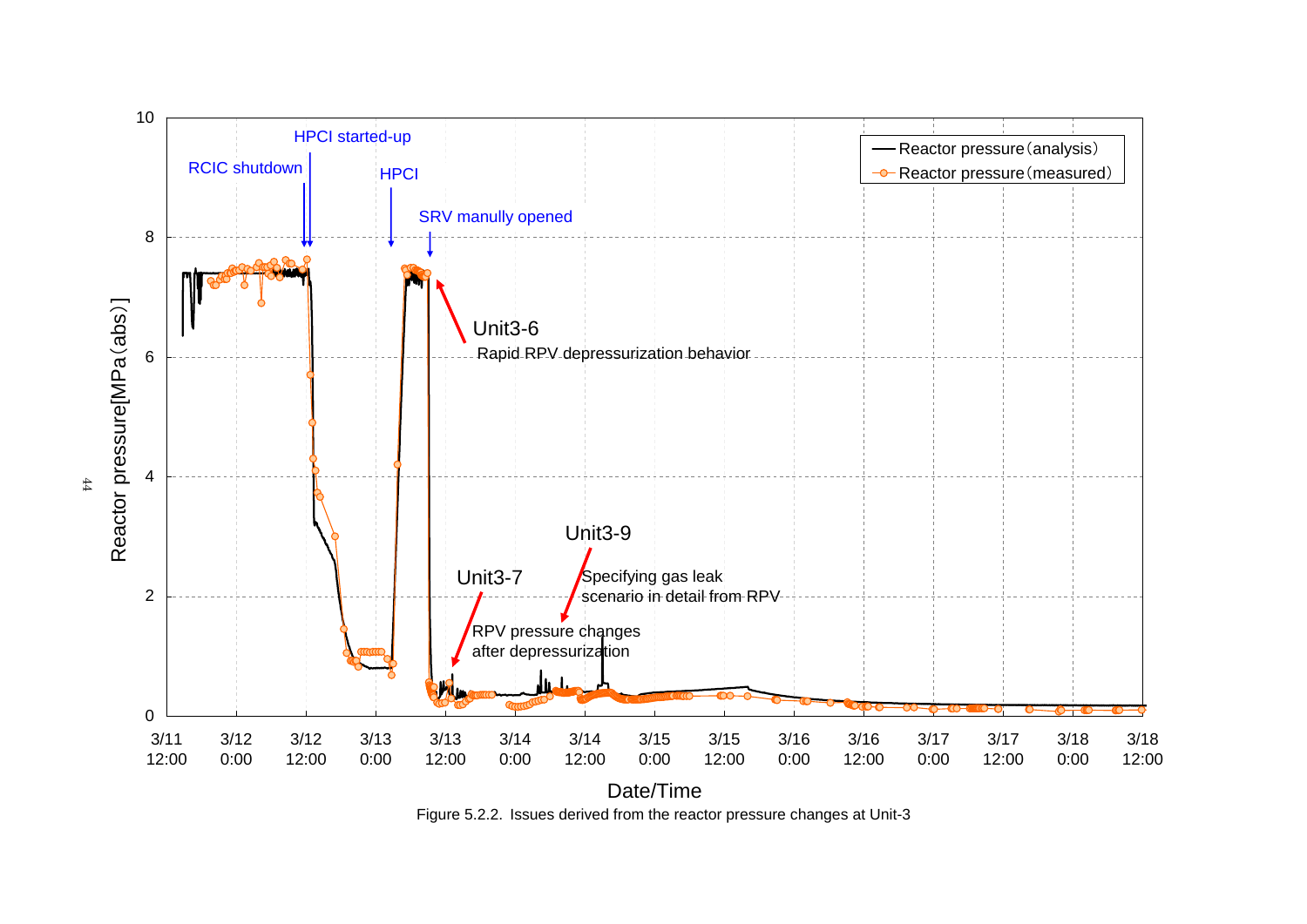

Figure 5.2.2. Issues derived from the reactor pressure changes at Unit-3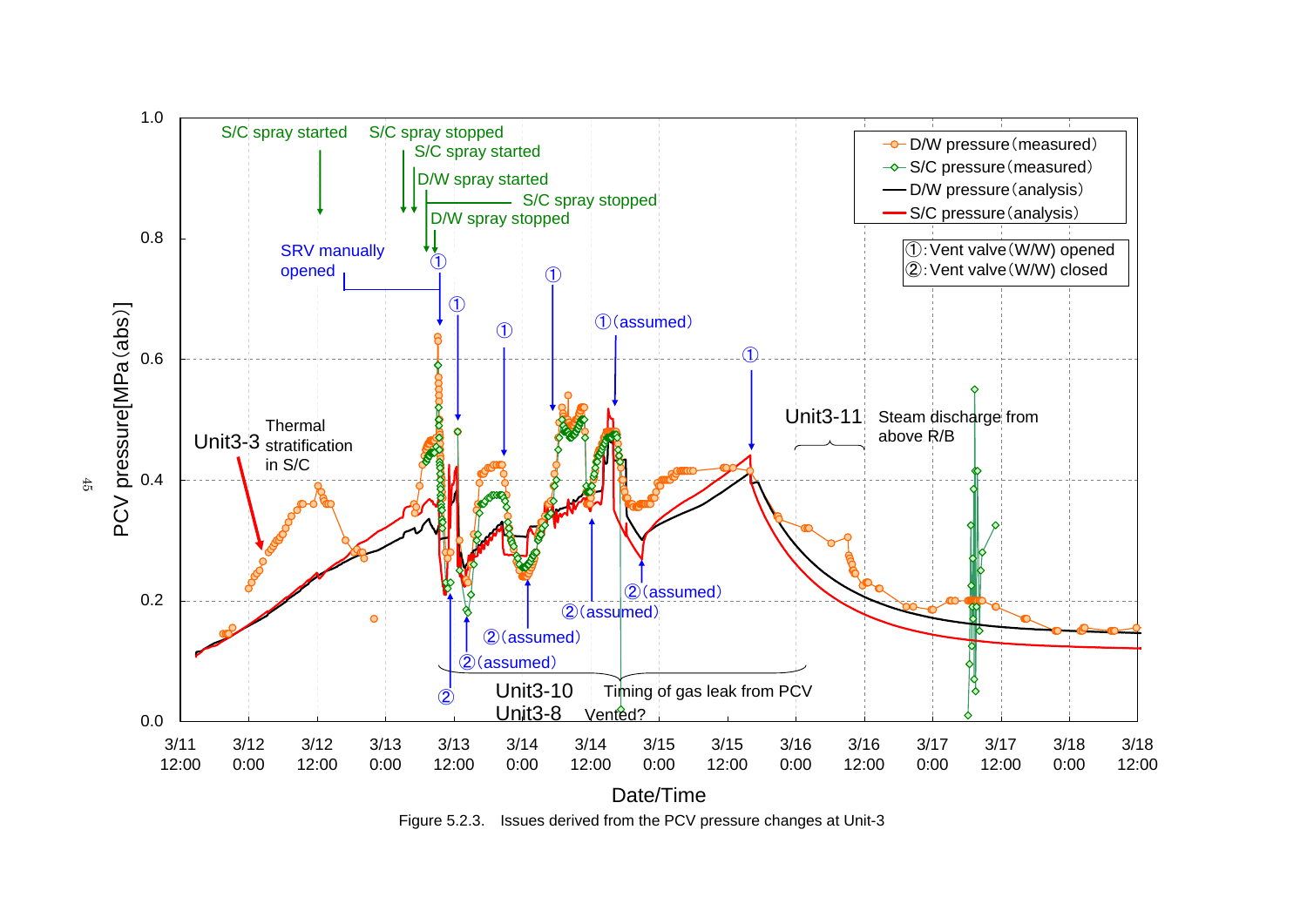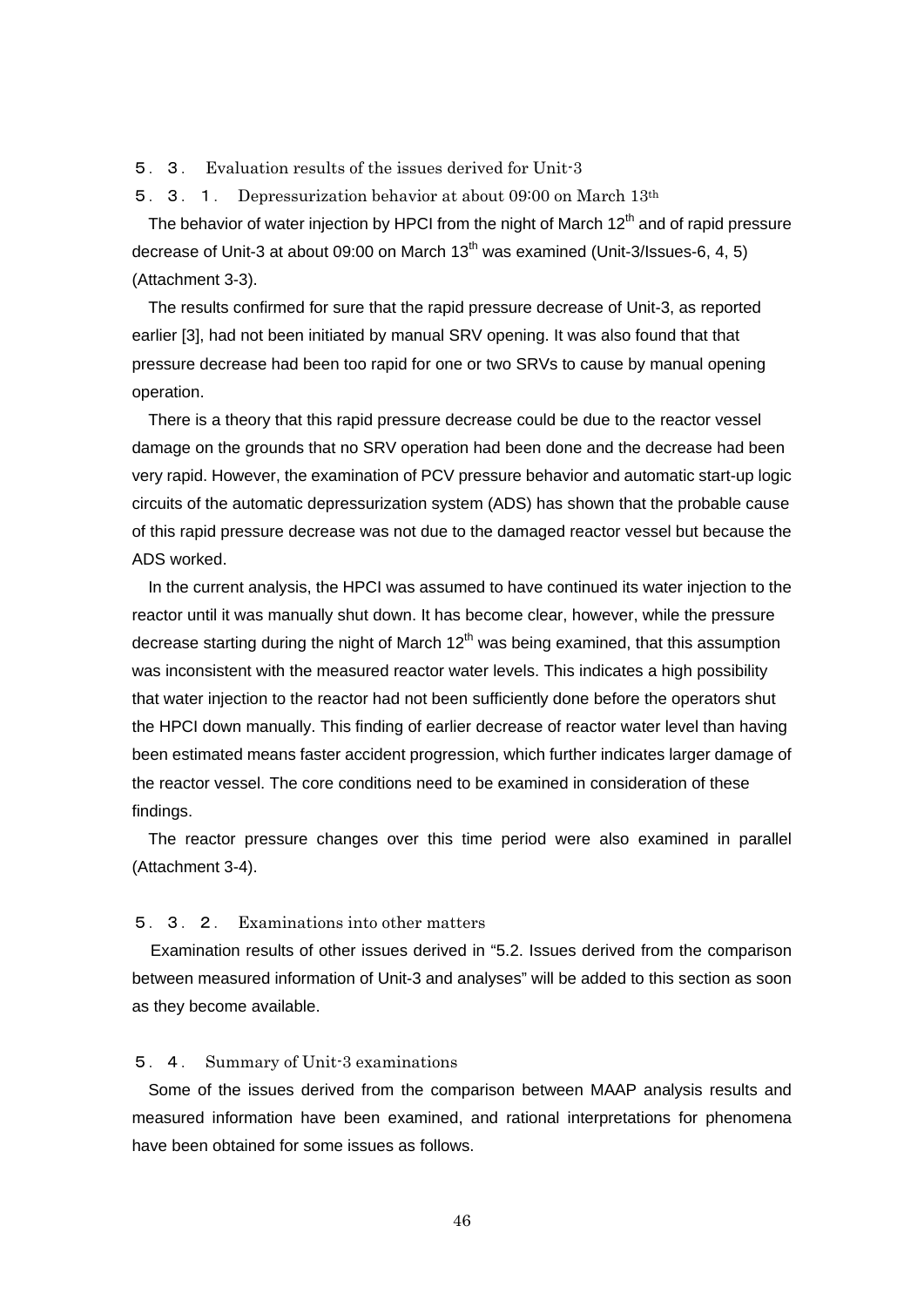5.3. Evaluation results of the issues derived for Unit-3

5.3.1. Depressurization behavior at about 09:00 on March 13th

The behavior of water injection by HPCI from the night of March  $12<sup>th</sup>$  and of rapid pressure decrease of Unit-3 at about 09:00 on March 13<sup>th</sup> was examined (Unit-3/Issues-6, 4, 5) (Attachment 3-3).

The results confirmed for sure that the rapid pressure decrease of Unit-3, as reported earlier [3], had not been initiated by manual SRV opening. It was also found that that pressure decrease had been too rapid for one or two SRVs to cause by manual opening operation.

There is a theory that this rapid pressure decrease could be due to the reactor vessel damage on the grounds that no SRV operation had been done and the decrease had been very rapid. However, the examination of PCV pressure behavior and automatic start-up logic circuits of the automatic depressurization system (ADS) has shown that the probable cause of this rapid pressure decrease was not due to the damaged reactor vessel but because the ADS worked.

In the current analysis, the HPCI was assumed to have continued its water injection to the reactor until it was manually shut down. It has become clear, however, while the pressure decrease starting during the night of March  $12<sup>th</sup>$  was being examined, that this assumption was inconsistent with the measured reactor water levels. This indicates a high possibility that water injection to the reactor had not been sufficiently done before the operators shut the HPCI down manually. This finding of earlier decrease of reactor water level than having been estimated means faster accident progression, which further indicates larger damage of the reactor vessel. The core conditions need to be examined in consideration of these findings.

The reactor pressure changes over this time period were also examined in parallel (Attachment 3-4).

## 5.3.2. Examinations into other matters

Examination results of other issues derived in "5.2. Issues derived from the comparison between measured information of Unit-3 and analyses" will be added to this section as soon as they become available.

### 5.4. Summary of Unit-3 examinations

Some of the issues derived from the comparison between MAAP analysis results and measured information have been examined, and rational interpretations for phenomena have been obtained for some issues as follows.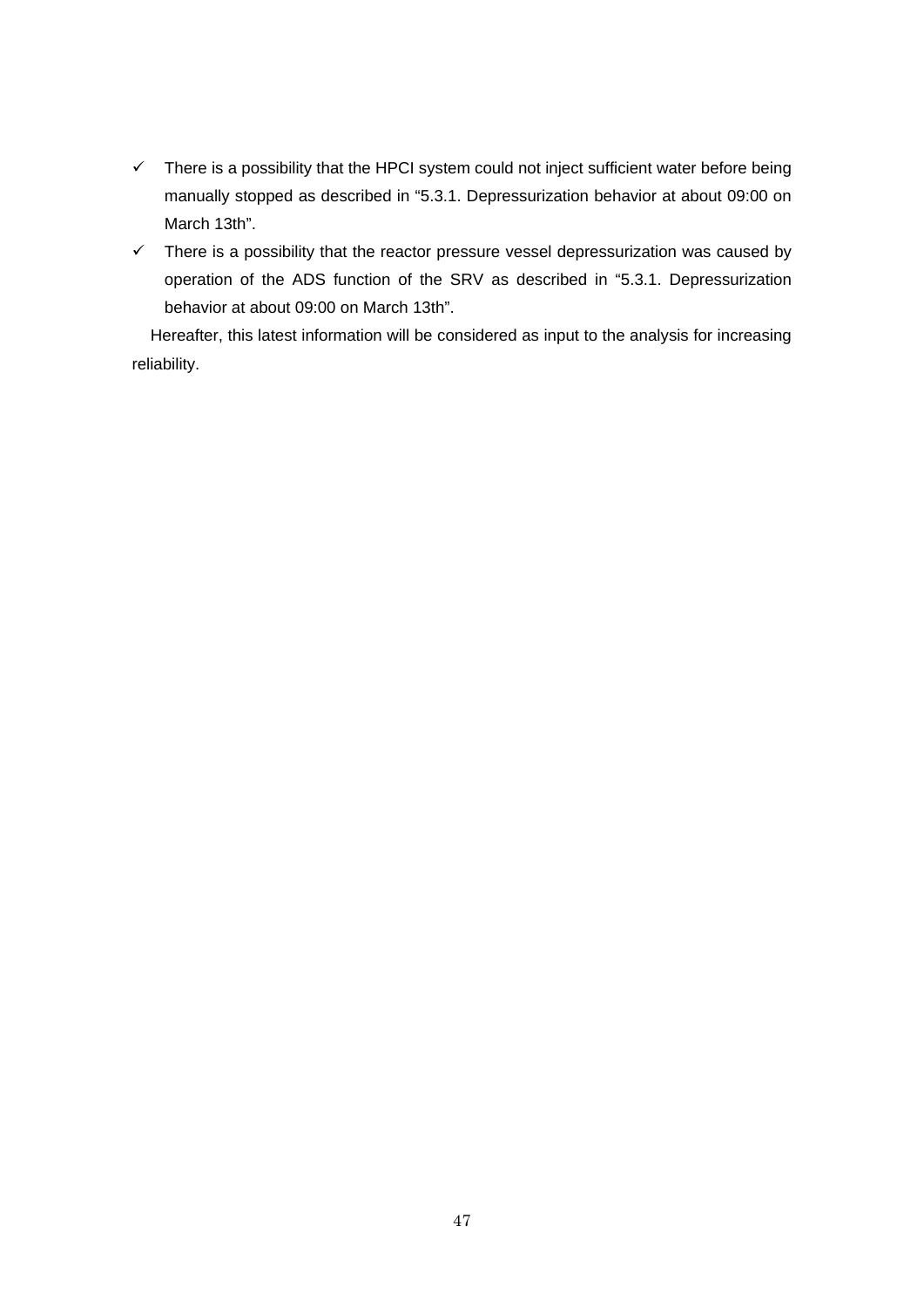- $\checkmark$  There is a possibility that the HPCI system could not inject sufficient water before being manually stopped as described in "5.3.1. Depressurization behavior at about 09:00 on March 13th".
- $\checkmark$  There is a possibility that the reactor pressure vessel depressurization was caused by operation of the ADS function of the SRV as described in "5.3.1. Depressurization behavior at about 09:00 on March 13th".

Hereafter, this latest information will be considered as input to the analysis for increasing reliability.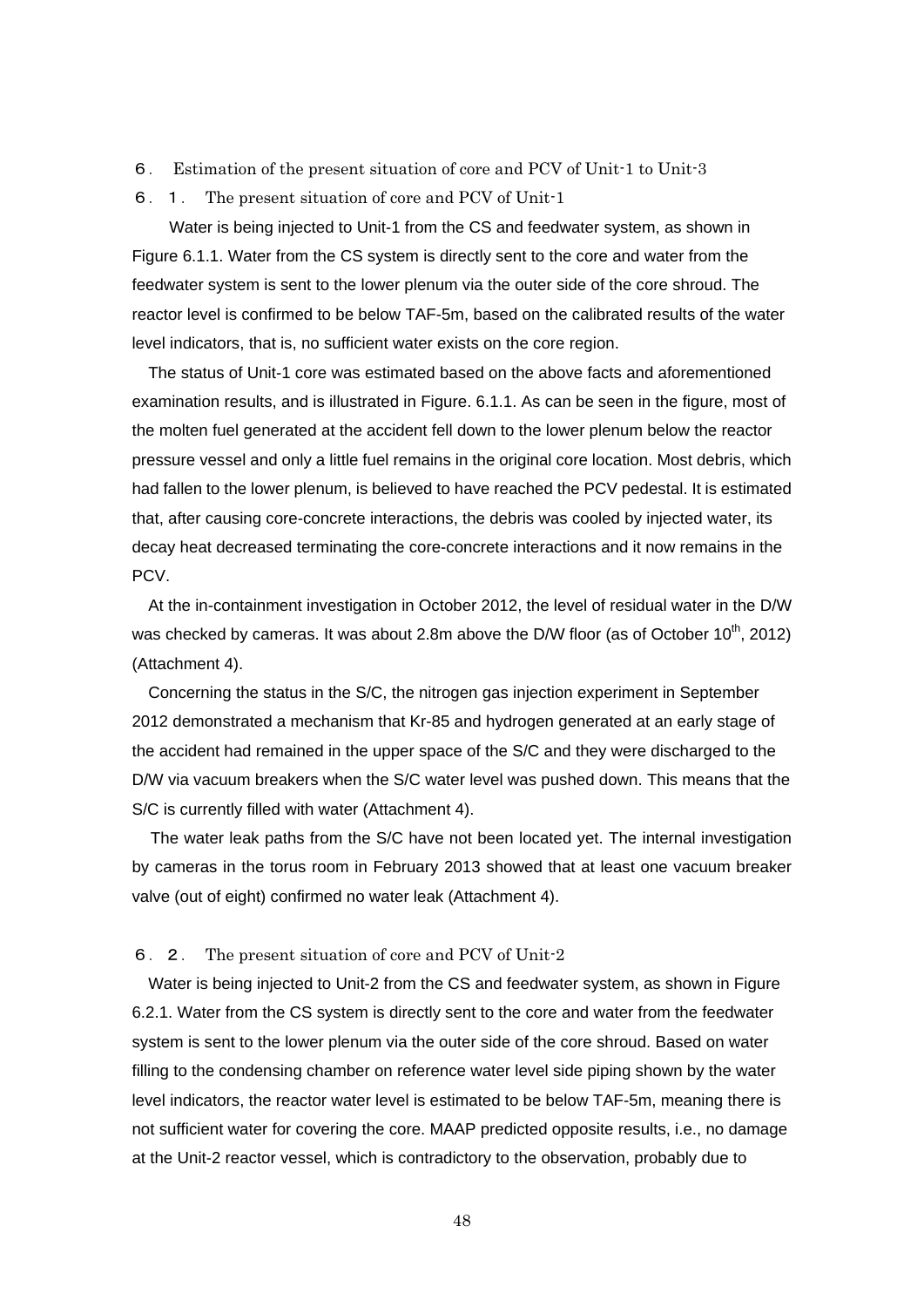- 6. Estimation of the present situation of core and PCV of Unit-1 to Unit-3
- 6.1. The present situation of core and PCV of Unit-1

Water is being injected to Unit-1 from the CS and feedwater system, as shown in Figure 6.1.1. Water from the CS system is directly sent to the core and water from the feedwater system is sent to the lower plenum via the outer side of the core shroud. The reactor level is confirmed to be below TAF-5m, based on the calibrated results of the water level indicators, that is, no sufficient water exists on the core region.

The status of Unit-1 core was estimated based on the above facts and aforementioned examination results, and is illustrated in Figure. 6.1.1. As can be seen in the figure, most of the molten fuel generated at the accident fell down to the lower plenum below the reactor pressure vessel and only a little fuel remains in the original core location. Most debris, which had fallen to the lower plenum, is believed to have reached the PCV pedestal. It is estimated that, after causing core-concrete interactions, the debris was cooled by injected water, its decay heat decreased terminating the core-concrete interactions and it now remains in the PC<sub>V</sub>

At the in-containment investigation in October 2012, the level of residual water in the D/W was checked by cameras. It was about 2.8m above the D/W floor (as of October  $10^{th}$ , 2012) (Attachment 4).

Concerning the status in the S/C, the nitrogen gas injection experiment in September 2012 demonstrated a mechanism that Kr-85 and hydrogen generated at an early stage of the accident had remained in the upper space of the S/C and they were discharged to the D/W via vacuum breakers when the S/C water level was pushed down. This means that the S/C is currently filled with water (Attachment 4).

The water leak paths from the S/C have not been located yet. The internal investigation by cameras in the torus room in February 2013 showed that at least one vacuum breaker valve (out of eight) confirmed no water leak (Attachment 4).

#### 6.2. The present situation of core and PCV of Unit-2

Water is being injected to Unit-2 from the CS and feedwater system, as shown in Figure 6.2.1. Water from the CS system is directly sent to the core and water from the feedwater system is sent to the lower plenum via the outer side of the core shroud. Based on water filling to the condensing chamber on reference water level side piping shown by the water level indicators, the reactor water level is estimated to be below TAF-5m, meaning there is not sufficient water for covering the core. MAAP predicted opposite results, i.e., no damage at the Unit-2 reactor vessel, which is contradictory to the observation, probably due to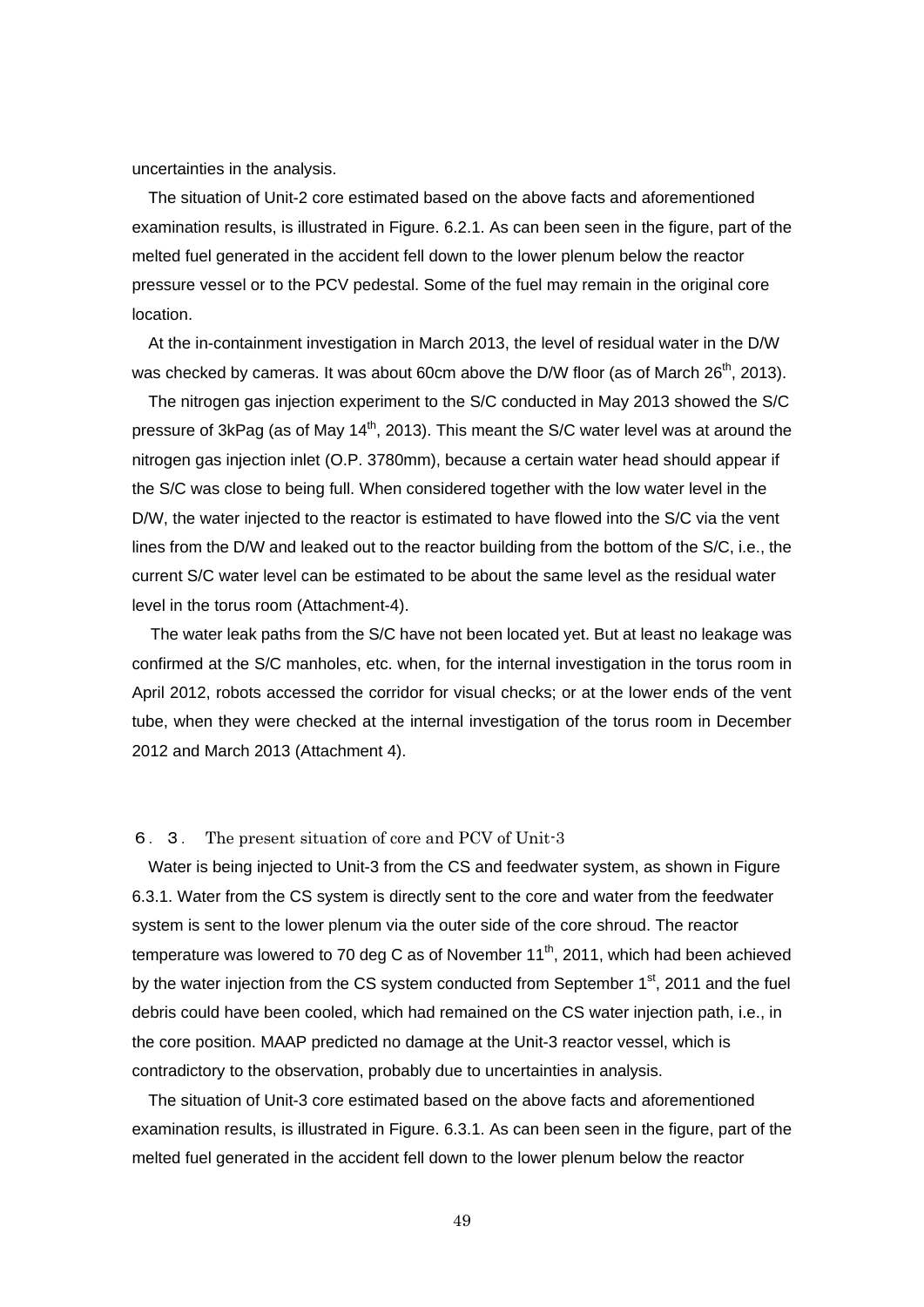uncertainties in the analysis.

The situation of Unit-2 core estimated based on the above facts and aforementioned examination results, is illustrated in Figure. 6.2.1. As can been seen in the figure, part of the melted fuel generated in the accident fell down to the lower plenum below the reactor pressure vessel or to the PCV pedestal. Some of the fuel may remain in the original core location.

At the in-containment investigation in March 2013, the level of residual water in the D/W was checked by cameras. It was about 60cm above the D/W floor (as of March  $26<sup>th</sup>$ , 2013).

The nitrogen gas injection experiment to the S/C conducted in May 2013 showed the S/C pressure of 3kPag (as of May 14<sup>th</sup>, 2013). This meant the S/C water level was at around the nitrogen gas injection inlet (O.P. 3780mm), because a certain water head should appear if the S/C was close to being full. When considered together with the low water level in the D/W, the water injected to the reactor is estimated to have flowed into the S/C via the vent lines from the D/W and leaked out to the reactor building from the bottom of the S/C, i.e., the current S/C water level can be estimated to be about the same level as the residual water level in the torus room (Attachment-4).

The water leak paths from the S/C have not been located yet. But at least no leakage was confirmed at the S/C manholes, etc. when, for the internal investigation in the torus room in April 2012, robots accessed the corridor for visual checks; or at the lower ends of the vent tube, when they were checked at the internal investigation of the torus room in December 2012 and March 2013 (Attachment 4).

#### 6.3. The present situation of core and PCV of Unit-3

Water is being injected to Unit-3 from the CS and feedwater system, as shown in Figure 6.3.1. Water from the CS system is directly sent to the core and water from the feedwater system is sent to the lower plenum via the outer side of the core shroud. The reactor temperature was lowered to 70 deg C as of November  $11<sup>th</sup>$ , 2011, which had been achieved by the water injection from the CS system conducted from September  $1<sup>st</sup>$ , 2011 and the fuel debris could have been cooled, which had remained on the CS water injection path, i.e., in the core position. MAAP predicted no damage at the Unit-3 reactor vessel, which is contradictory to the observation, probably due to uncertainties in analysis.

The situation of Unit-3 core estimated based on the above facts and aforementioned examination results, is illustrated in Figure. 6.3.1. As can been seen in the figure, part of the melted fuel generated in the accident fell down to the lower plenum below the reactor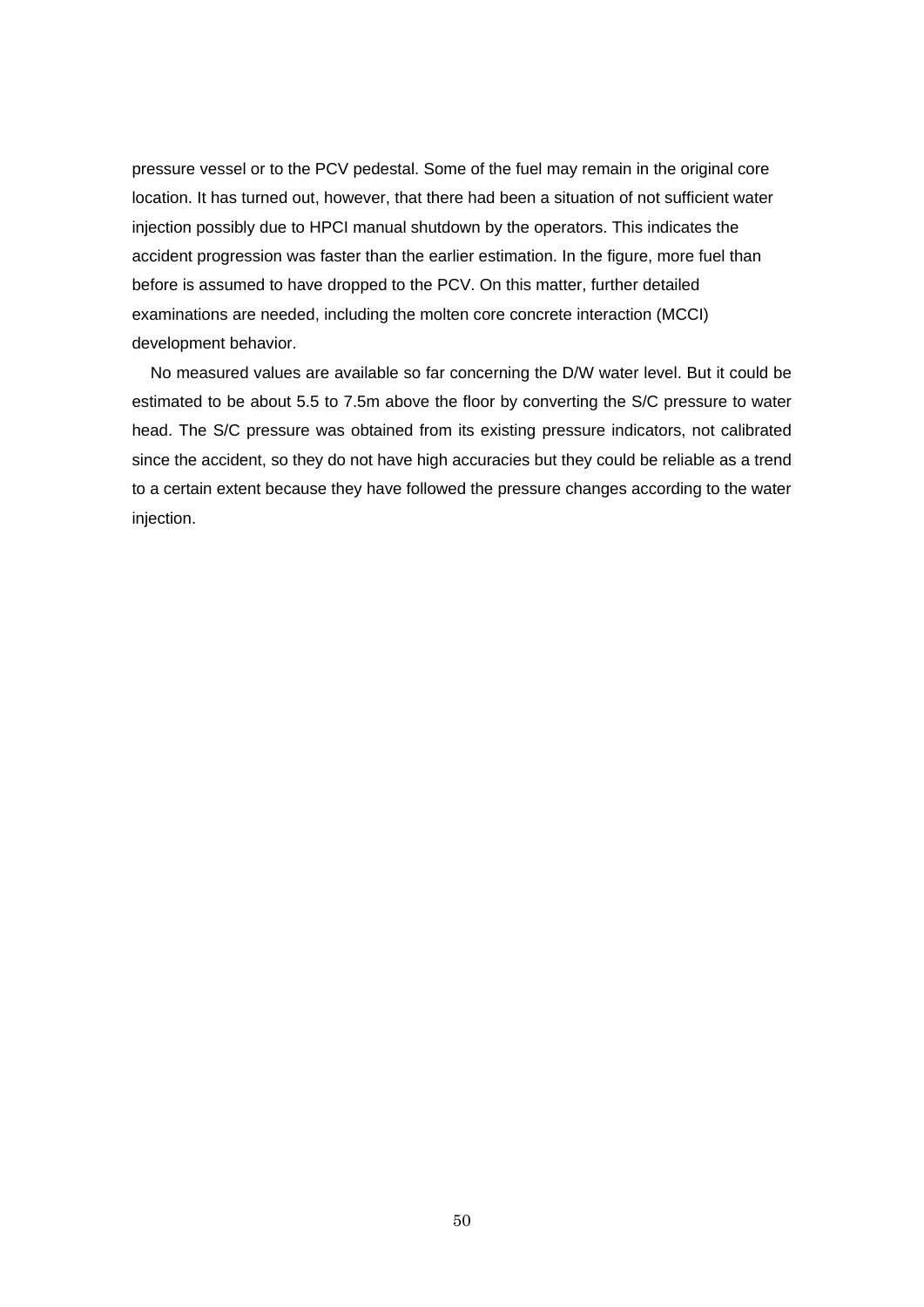pressure vessel or to the PCV pedestal. Some of the fuel may remain in the original core location. It has turned out, however, that there had been a situation of not sufficient water injection possibly due to HPCI manual shutdown by the operators. This indicates the accident progression was faster than the earlier estimation. In the figure, more fuel than before is assumed to have dropped to the PCV. On this matter, further detailed examinations are needed, including the molten core concrete interaction (MCCI) development behavior.

No measured values are available so far concerning the D/W water level. But it could be estimated to be about 5.5 to 7.5m above the floor by converting the S/C pressure to water head. The S/C pressure was obtained from its existing pressure indicators, not calibrated since the accident, so they do not have high accuracies but they could be reliable as a trend to a certain extent because they have followed the pressure changes according to the water injection.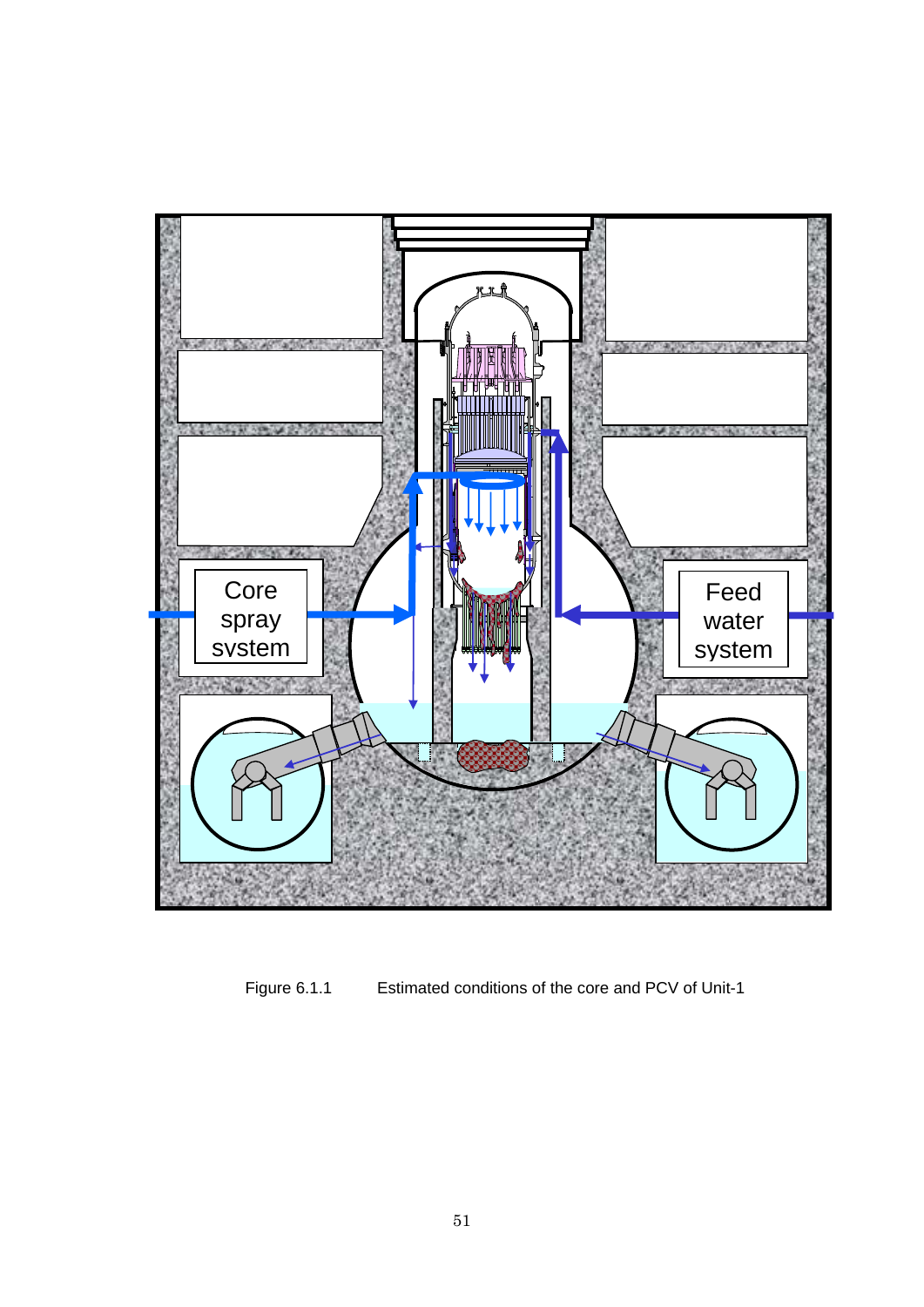

Figure 6.1.1 Estimated conditions of the core and PCV of Unit-1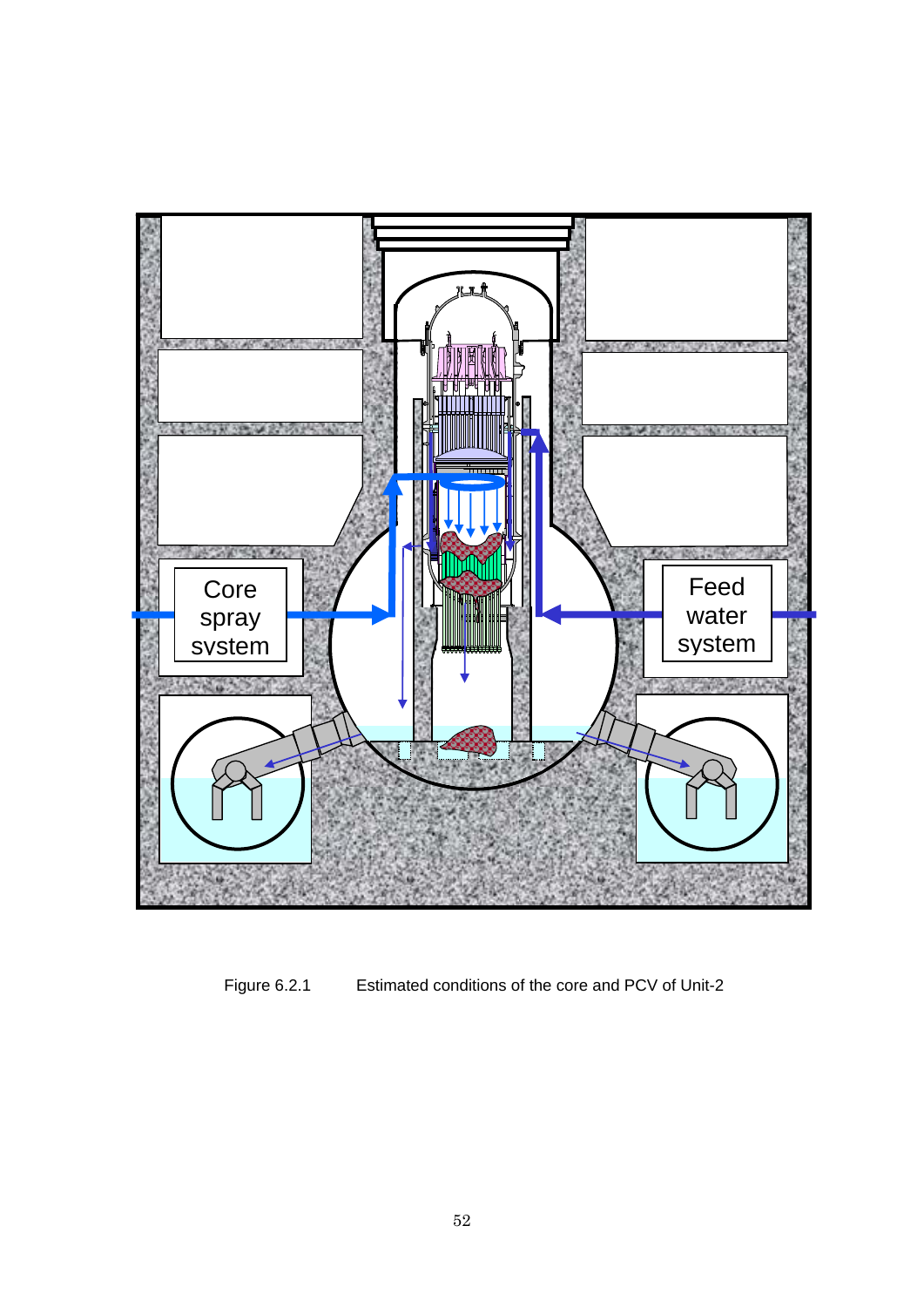

Figure 6.2.1 Estimated conditions of the core and PCV of Unit-2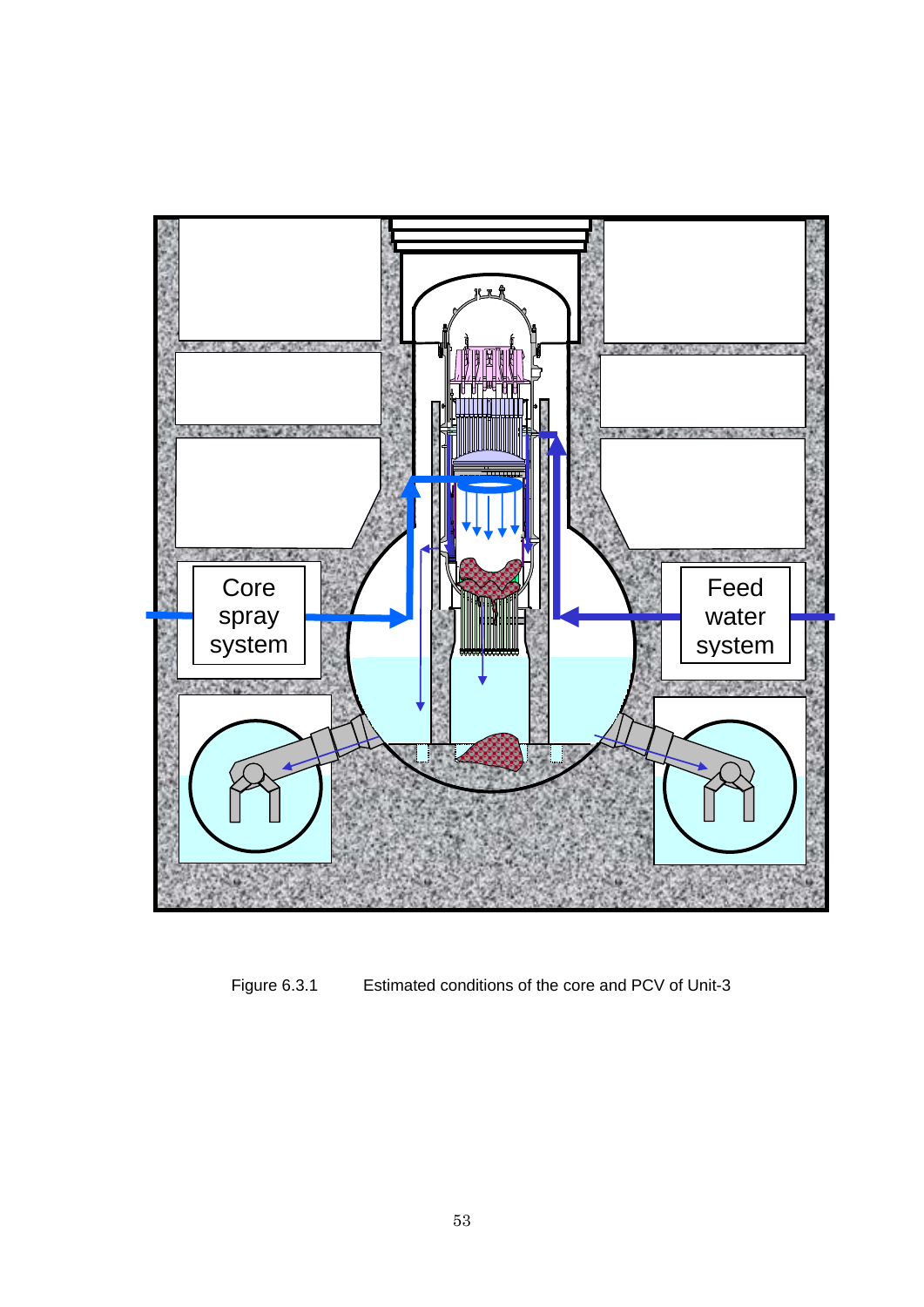

Figure 6.3.1 Estimated conditions of the core and PCV of Unit-3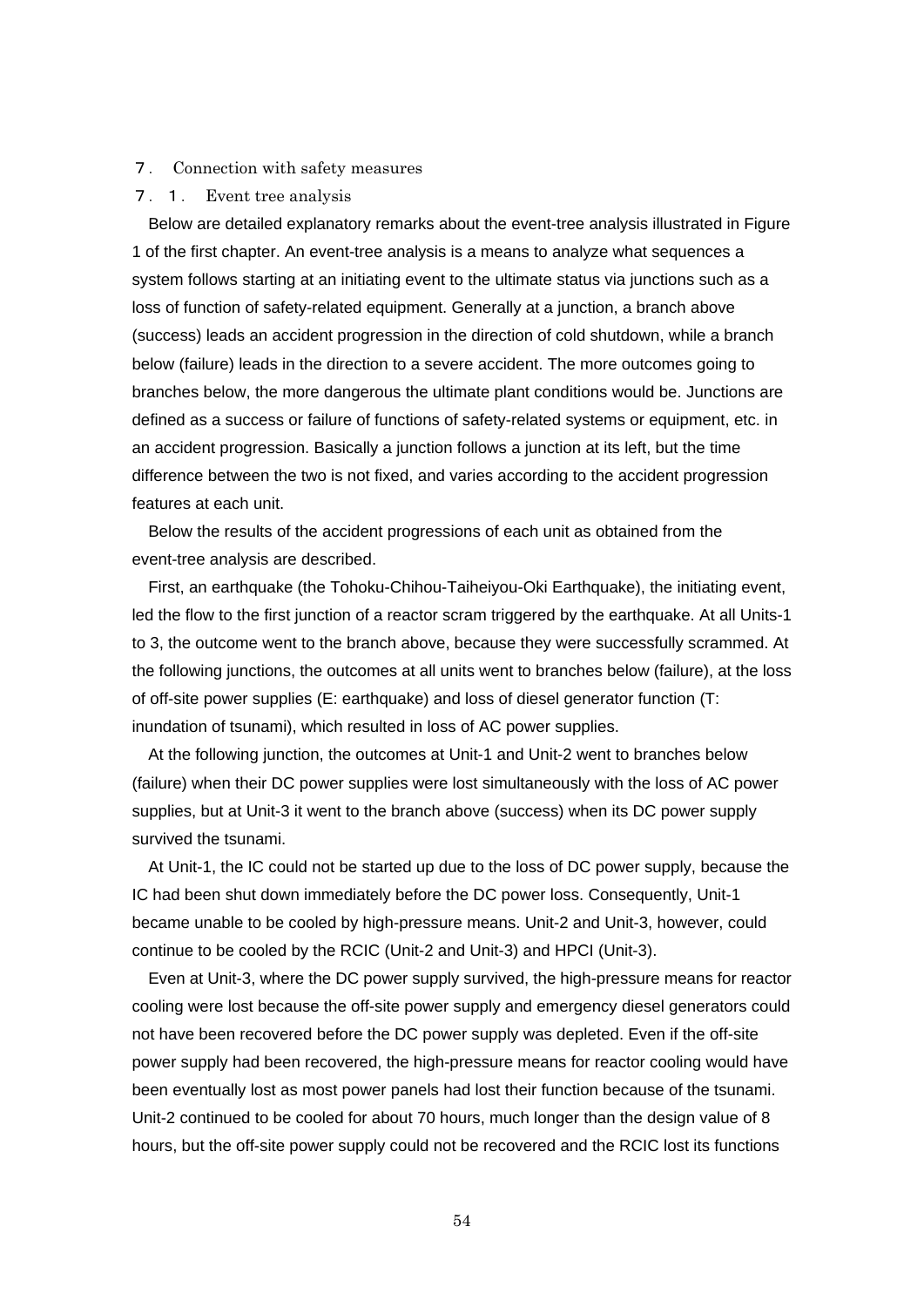### 7. Connection with safety measures

#### 7.1. Event tree analysis

Below are detailed explanatory remarks about the event-tree analysis illustrated in Figure 1 of the first chapter. An event-tree analysis is a means to analyze what sequences a system follows starting at an initiating event to the ultimate status via junctions such as a loss of function of safety-related equipment. Generally at a junction, a branch above (success) leads an accident progression in the direction of cold shutdown, while a branch below (failure) leads in the direction to a severe accident. The more outcomes going to branches below, the more dangerous the ultimate plant conditions would be. Junctions are defined as a success or failure of functions of safety-related systems or equipment, etc. in an accident progression. Basically a junction follows a junction at its left, but the time difference between the two is not fixed, and varies according to the accident progression features at each unit.

Below the results of the accident progressions of each unit as obtained from the event-tree analysis are described.

First, an earthquake (the Tohoku-Chihou-Taiheiyou-Oki Earthquake), the initiating event, led the flow to the first junction of a reactor scram triggered by the earthquake. At all Units-1 to 3, the outcome went to the branch above, because they were successfully scrammed. At the following junctions, the outcomes at all units went to branches below (failure), at the loss of off-site power supplies (E: earthquake) and loss of diesel generator function (T: inundation of tsunami), which resulted in loss of AC power supplies.

At the following junction, the outcomes at Unit-1 and Unit-2 went to branches below (failure) when their DC power supplies were lost simultaneously with the loss of AC power supplies, but at Unit-3 it went to the branch above (success) when its DC power supply survived the tsunami.

At Unit-1, the IC could not be started up due to the loss of DC power supply, because the IC had been shut down immediately before the DC power loss. Consequently, Unit-1 became unable to be cooled by high-pressure means. Unit-2 and Unit-3, however, could continue to be cooled by the RCIC (Unit-2 and Unit-3) and HPCI (Unit-3).

Even at Unit-3, where the DC power supply survived, the high-pressure means for reactor cooling were lost because the off-site power supply and emergency diesel generators could not have been recovered before the DC power supply was depleted. Even if the off-site power supply had been recovered, the high-pressure means for reactor cooling would have been eventually lost as most power panels had lost their function because of the tsunami. Unit-2 continued to be cooled for about 70 hours, much longer than the design value of 8 hours, but the off-site power supply could not be recovered and the RCIC lost its functions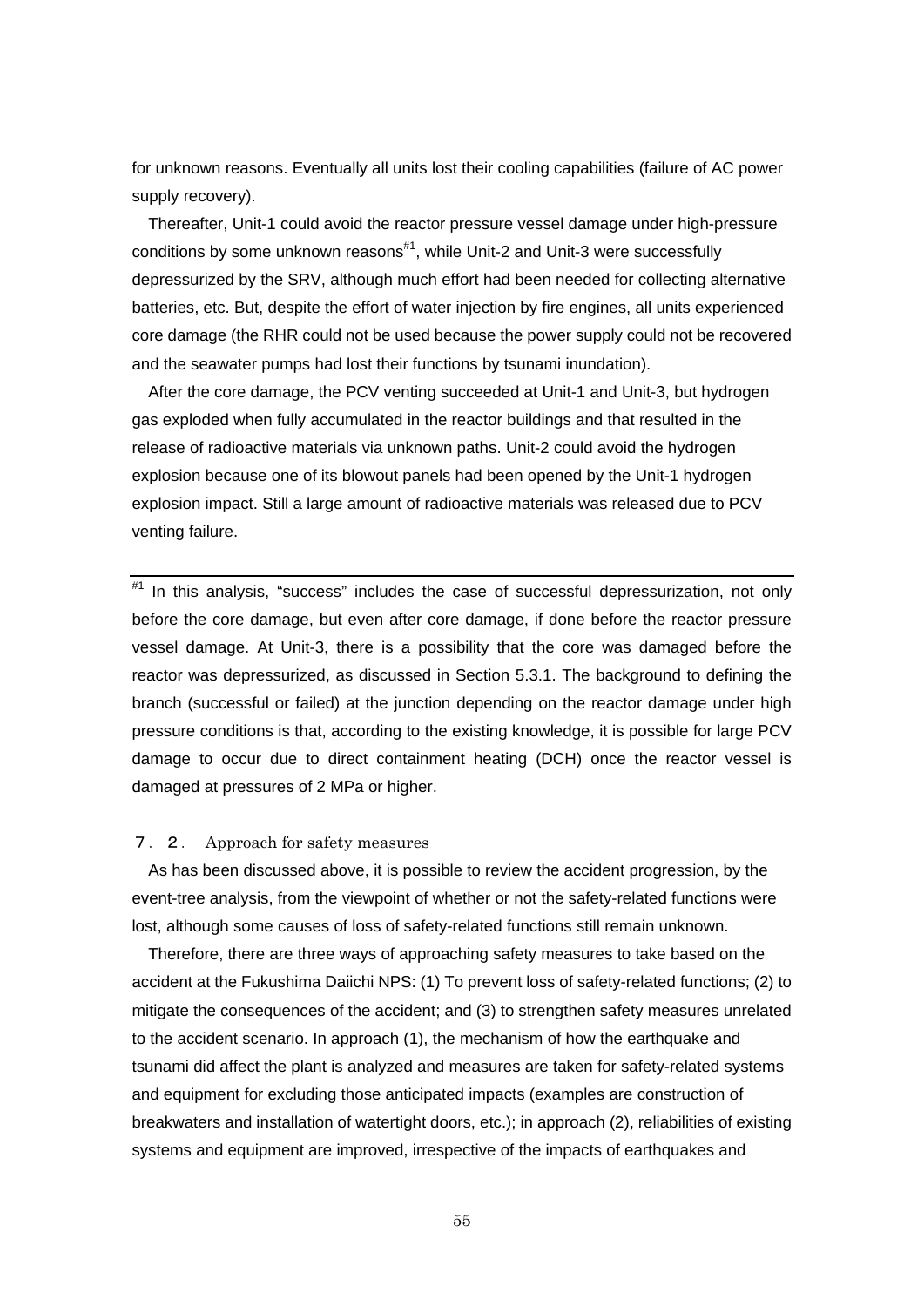for unknown reasons. Eventually all units lost their cooling capabilities (failure of AC power supply recovery).

Thereafter, Unit-1 could avoid the reactor pressure vessel damage under high-pressure conditions by some unknown reasons $\sharp$ <sup>1</sup>, while Unit-2 and Unit-3 were successfully depressurized by the SRV, although much effort had been needed for collecting alternative batteries, etc. But, despite the effort of water injection by fire engines, all units experienced core damage (the RHR could not be used because the power supply could not be recovered and the seawater pumps had lost their functions by tsunami inundation).

After the core damage, the PCV venting succeeded at Unit-1 and Unit-3, but hydrogen gas exploded when fully accumulated in the reactor buildings and that resulted in the release of radioactive materials via unknown paths. Unit-2 could avoid the hydrogen explosion because one of its blowout panels had been opened by the Unit-1 hydrogen explosion impact. Still a large amount of radioactive materials was released due to PCV venting failure.

 $*$ <sup>1</sup> In this analysis, "success" includes the case of successful depressurization, not only before the core damage, but even after core damage, if done before the reactor pressure vessel damage. At Unit-3, there is a possibility that the core was damaged before the reactor was depressurized, as discussed in Section 5.3.1. The background to defining the branch (successful or failed) at the junction depending on the reactor damage under high pressure conditions is that, according to the existing knowledge, it is possible for large PCV damage to occur due to direct containment heating (DCH) once the reactor vessel is damaged at pressures of 2 MPa or higher.

### 7.2. Approach for safety measures

As has been discussed above, it is possible to review the accident progression, by the event-tree analysis, from the viewpoint of whether or not the safety-related functions were lost, although some causes of loss of safety-related functions still remain unknown.

Therefore, there are three ways of approaching safety measures to take based on the accident at the Fukushima Daiichi NPS: (1) To prevent loss of safety-related functions; (2) to mitigate the consequences of the accident; and (3) to strengthen safety measures unrelated to the accident scenario. In approach (1), the mechanism of how the earthquake and tsunami did affect the plant is analyzed and measures are taken for safety-related systems and equipment for excluding those anticipated impacts (examples are construction of breakwaters and installation of watertight doors, etc.); in approach (2), reliabilities of existing systems and equipment are improved, irrespective of the impacts of earthquakes and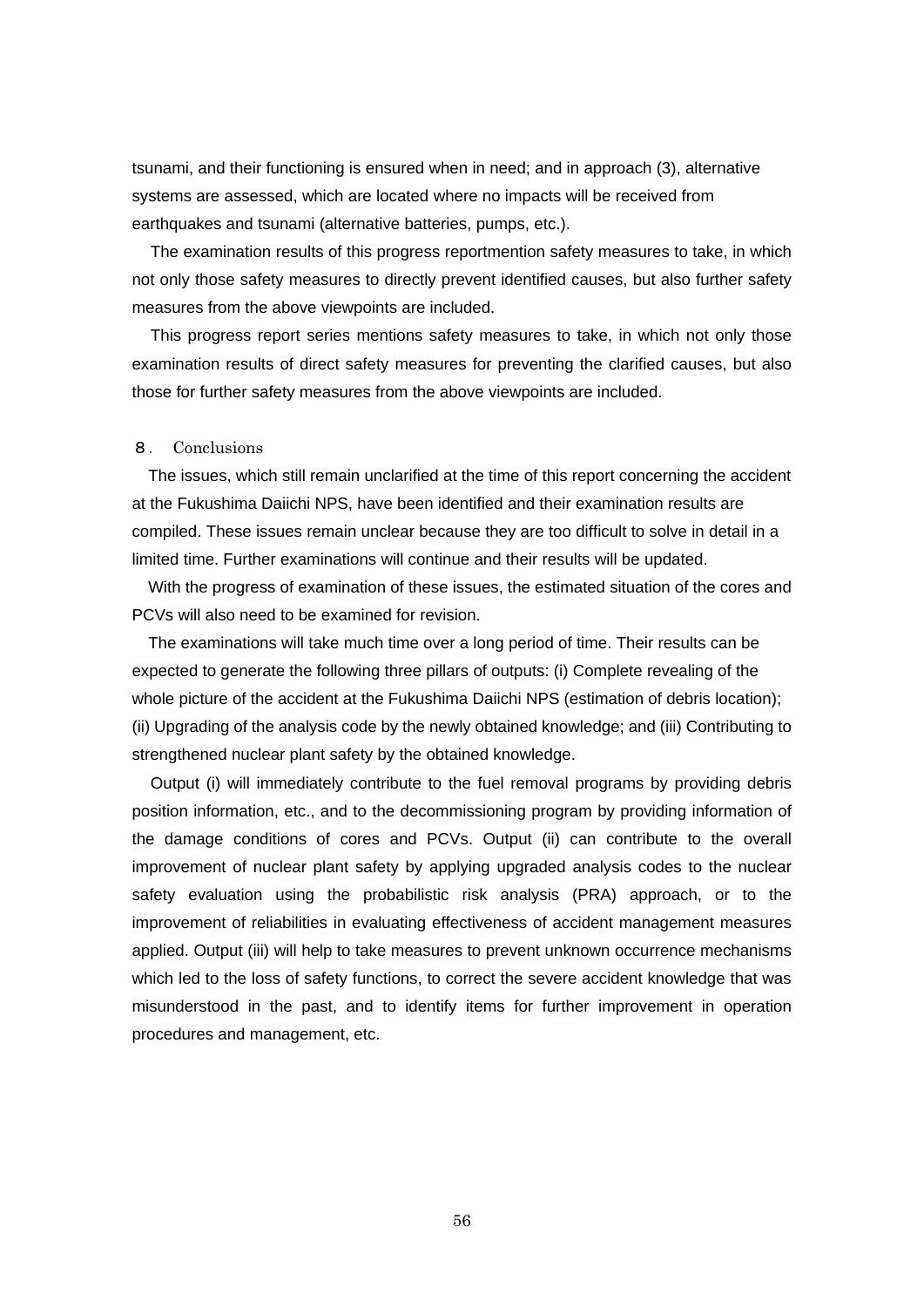tsunami, and their functioning is ensured when in need; and in approach (3), alternative systems are assessed, which are located where no impacts will be received from earthquakes and tsunami (alternative batteries, pumps, etc.).

The examination results of this progress reportmention safety measures to take, in which not only those safety measures to directly prevent identified causes, but also further safety measures from the above viewpoints are included.

This progress report series mentions safety measures to take, in which not only those examination results of direct safety measures for preventing the clarified causes, but also those for further safety measures from the above viewpoints are included.

## 8. Conclusions

The issues, which still remain unclarified at the time of this report concerning the accident at the Fukushima Daiichi NPS, have been identified and their examination results are compiled. These issues remain unclear because they are too difficult to solve in detail in a limited time. Further examinations will continue and their results will be updated.

With the progress of examination of these issues, the estimated situation of the cores and PCVs will also need to be examined for revision.

The examinations will take much time over a long period of time. Their results can be expected to generate the following three pillars of outputs: (i) Complete revealing of the whole picture of the accident at the Fukushima Daiichi NPS (estimation of debris location); (ii) Upgrading of the analysis code by the newly obtained knowledge; and (iii) Contributing to strengthened nuclear plant safety by the obtained knowledge.

Output (i) will immediately contribute to the fuel removal programs by providing debris position information, etc., and to the decommissioning program by providing information of the damage conditions of cores and PCVs. Output (ii) can contribute to the overall improvement of nuclear plant safety by applying upgraded analysis codes to the nuclear safety evaluation using the probabilistic risk analysis (PRA) approach, or to the improvement of reliabilities in evaluating effectiveness of accident management measures applied. Output (iii) will help to take measures to prevent unknown occurrence mechanisms which led to the loss of safety functions, to correct the severe accident knowledge that was misunderstood in the past, and to identify items for further improvement in operation procedures and management, etc.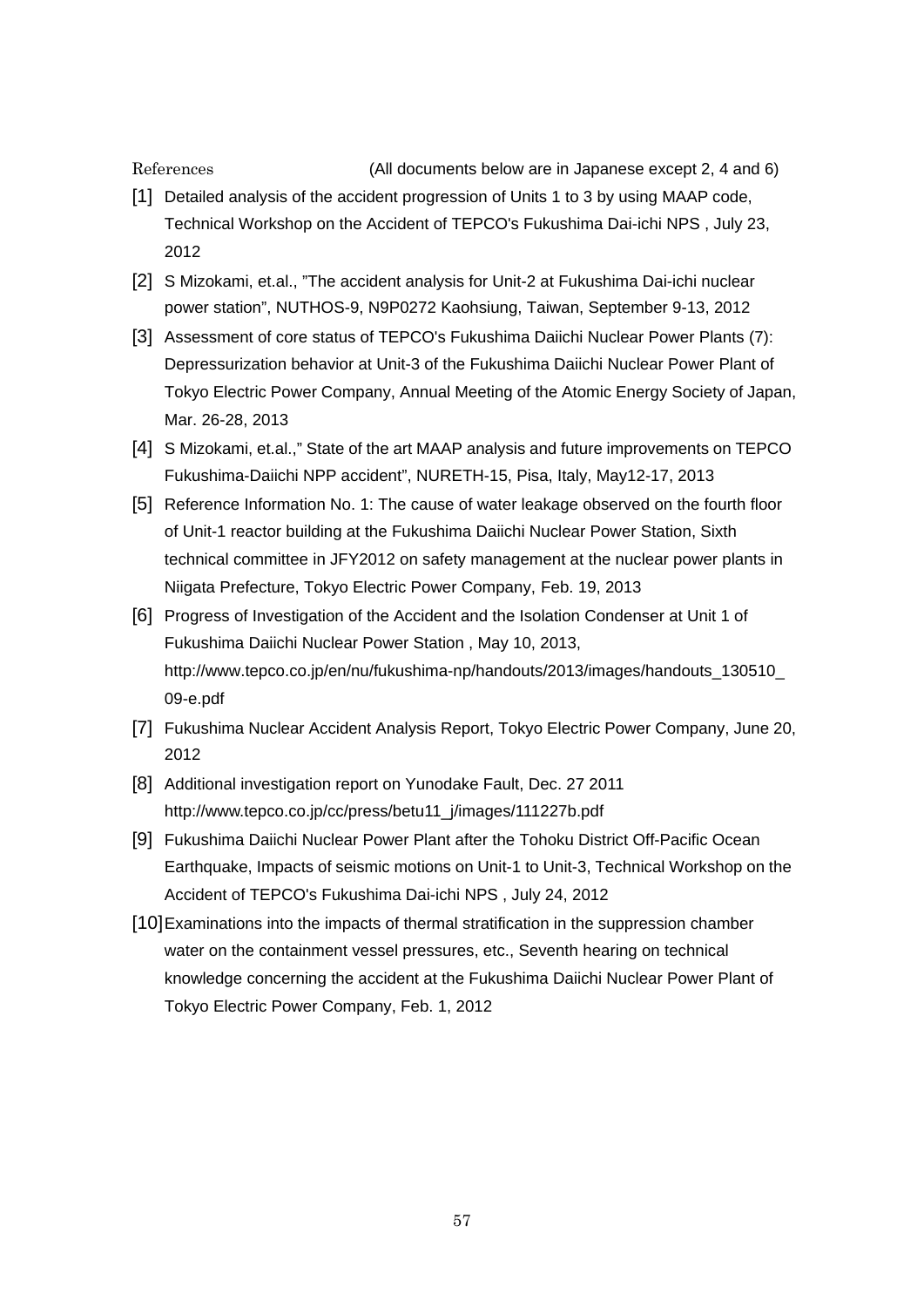References

(All documents below are in Japanese except 2, 4 and 6)

- [1] Detailed analysis of the accident progression of Units 1 to 3 by using MAAP code, Technical Workshop on the Accident of TEPCO's Fukushima Dai-ichi NPS , July 23, 2012
- [2] S Mizokami, et.al., "The accident analysis for Unit-2 at Fukushima Dai-ichi nuclear power station", NUTHOS-9, N9P0272 Kaohsiung, Taiwan, September 9-13, 2012
- [3] Assessment of core status of TEPCO's Fukushima Daiichi Nuclear Power Plants (7): Depressurization behavior at Unit-3 of the Fukushima Daiichi Nuclear Power Plant of Tokyo Electric Power Company, Annual Meeting of the Atomic Energy Society of Japan, Mar. 26-28, 2013
- [4] S Mizokami, et.al.," State of the art MAAP analysis and future improvements on TEPCO Fukushima-Daiichi NPP accident", NURETH-15, Pisa, Italy, May12-17, 2013
- [5] Reference Information No. 1: The cause of water leakage observed on the fourth floor of Unit-1 reactor building at the Fukushima Daiichi Nuclear Power Station, Sixth technical committee in JFY2012 on safety management at the nuclear power plants in Niigata Prefecture, Tokyo Electric Power Company, Feb. 19, 2013
- [6] Progress of Investigation of the Accident and the Isolation Condenser at Unit 1 of Fukushima Daiichi Nuclear Power Station , May 10, 2013, http://www.tepco.co.jp/en/nu/fukushima-np/handouts/2013/images/handouts\_130510\_ 09-e.pdf
- [7] Fukushima Nuclear Accident Analysis Report, Tokyo Electric Power Company, June 20, 2012
- [8] Additional investigation report on Yunodake Fault, Dec. 27 2011 http://www.tepco.co.jp/cc/press/betu11\_j/images/111227b.pdf
- [9] Fukushima Daiichi Nuclear Power Plant after the Tohoku District Off-Pacific Ocean Earthquake, Impacts of seismic motions on Unit-1 to Unit-3, Technical Workshop on the Accident of TEPCO's Fukushima Dai-ichi NPS , July 24, 2012
- [10] Examinations into the impacts of thermal stratification in the suppression chamber water on the containment vessel pressures, etc., Seventh hearing on technical knowledge concerning the accident at the Fukushima Daiichi Nuclear Power Plant of Tokyo Electric Power Company, Feb. 1, 2012